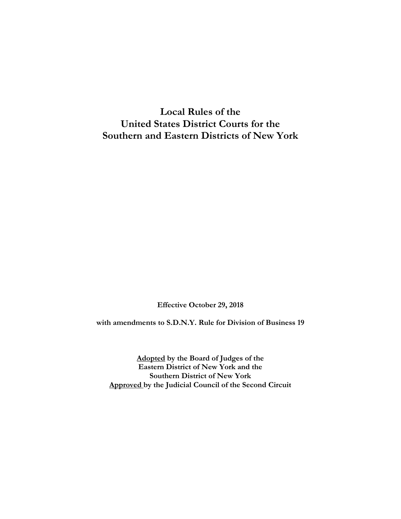**Local Rules of the United States District Courts for the Southern and Eastern Districts of New York**

**Effective October 29, 2018**

**with amendments to S.D.N.Y. Rule for Division of Business 19**

**Adopted by the Board of Judges of the Eastern District of New York and the Southern District of New York Approved by the Judicial Council of the Second Circuit**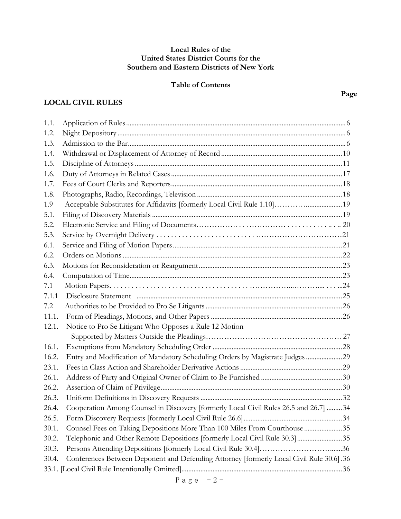### **Local Rules of the United States District Courts for the Southern and Eastern Districts of New York**

## **Table of Contents**

 **Page**

# **[LOCAL CIVIL RULES](#page-5-0)**

| 1.1.  |                                                                                         |  |
|-------|-----------------------------------------------------------------------------------------|--|
| 1.2.  |                                                                                         |  |
| 1.3.  |                                                                                         |  |
| 1.4.  |                                                                                         |  |
| 1.5.  |                                                                                         |  |
| 1.6.  |                                                                                         |  |
| 1.7.  |                                                                                         |  |
| 1.8.  |                                                                                         |  |
| 1.9   |                                                                                         |  |
| 5.1.  |                                                                                         |  |
| 5.2.  |                                                                                         |  |
| 5.3.  |                                                                                         |  |
| 6.1.  |                                                                                         |  |
| 6.2.  |                                                                                         |  |
| 6.3.  |                                                                                         |  |
| 6.4.  |                                                                                         |  |
| 7.1   |                                                                                         |  |
| 7.1.1 |                                                                                         |  |
| 7.2   |                                                                                         |  |
| 11.1. |                                                                                         |  |
| 12.1. | Notice to Pro Se Litigant Who Opposes a Rule 12 Motion                                  |  |
|       |                                                                                         |  |
| 16.1. |                                                                                         |  |
| 16.2. | Entry and Modification of Mandatory Scheduling Orders by Magistrate Judges 29           |  |
| 23.1. |                                                                                         |  |
| 26.1. |                                                                                         |  |
| 26.2. |                                                                                         |  |
| 26.3. |                                                                                         |  |
| 26.4. | Cooperation Among Counsel in Discovery [formerly Local Civil Rules 26.5 and 26.7] 34    |  |
| 26.5. |                                                                                         |  |
| 30.1. | Counsel Fees on Taking Depositions More Than 100 Miles From Courthouse 35               |  |
| 30.2. | Telephonic and Other Remote Depositions [formerly Local Civil Rule 30.3] 35             |  |
| 30.3. |                                                                                         |  |
| 30.4. | Conferences Between Deponent and Defending Attorney [formerly Local Civil Rule 30.6].36 |  |
|       |                                                                                         |  |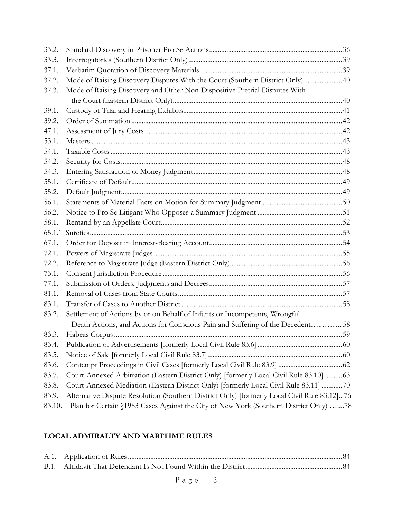| 33.2.  |                                                                                             |  |
|--------|---------------------------------------------------------------------------------------------|--|
| 33.3.  |                                                                                             |  |
| 37.1.  |                                                                                             |  |
| 37.2.  | Mode of Raising Discovery Disputes With the Court (Southern District Only)  40              |  |
| 37.3.  | Mode of Raising Discovery and Other Non-Dispositive Pretrial Disputes With                  |  |
|        |                                                                                             |  |
| 39.1.  |                                                                                             |  |
| 39.2.  |                                                                                             |  |
| 47.1.  |                                                                                             |  |
| 53.1.  |                                                                                             |  |
| 54.1.  |                                                                                             |  |
| 54.2.  |                                                                                             |  |
| 54.3.  |                                                                                             |  |
| 55.1.  |                                                                                             |  |
| 55.2.  |                                                                                             |  |
| 56.1.  |                                                                                             |  |
| 56.2.  |                                                                                             |  |
| 58.1.  |                                                                                             |  |
|        |                                                                                             |  |
| 67.1.  |                                                                                             |  |
| 72.1.  |                                                                                             |  |
| 72.2.  |                                                                                             |  |
| 73.1.  |                                                                                             |  |
| 77.1.  |                                                                                             |  |
| 81.1.  |                                                                                             |  |
| 83.1.  |                                                                                             |  |
| 83.2.  | Settlement of Actions by or on Behalf of Infants or Incompetents, Wrongful                  |  |
|        | Death Actions, and Actions for Conscious Pain and Suffering of the Decedent58               |  |
| 83.3.  |                                                                                             |  |
| 83.4.  |                                                                                             |  |
| 83.5.  |                                                                                             |  |
| 83.6.  |                                                                                             |  |
| 83.7.  | Court-Annexed Arbitration (Eastern District Only) [formerly Local Civil Rule 83.10] 63      |  |
| 83.8.  | Court-Annexed Mediation (Eastern District Only) [formerly Local Civil Rule 83.11] 70        |  |
| 83.9.  | Alternative Dispute Resolution (Southern District Only) [formerly Local Civil Rule 83.12]76 |  |
| 83.10. | Plan for Certain §1983 Cases Against the City of New York (Southern District Only) 78       |  |

# **[LOCAL ADMIRALTY AND MARITIME RULES](#page-86-0)**

Page  $-3$  -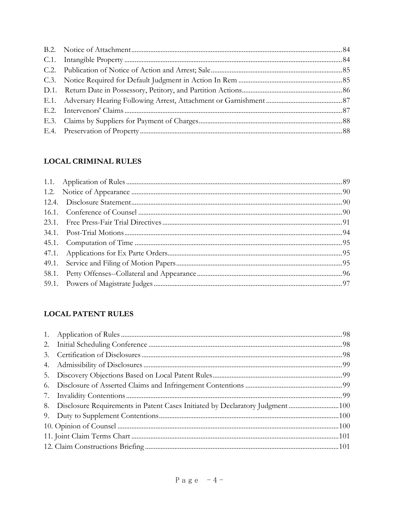# **LOCAL CRIMINAL RULES**

# **LOCAL PATENT RULES**

| 3. |  |
|----|--|
|    |  |
|    |  |
|    |  |
|    |  |
|    |  |
|    |  |
|    |  |
|    |  |
|    |  |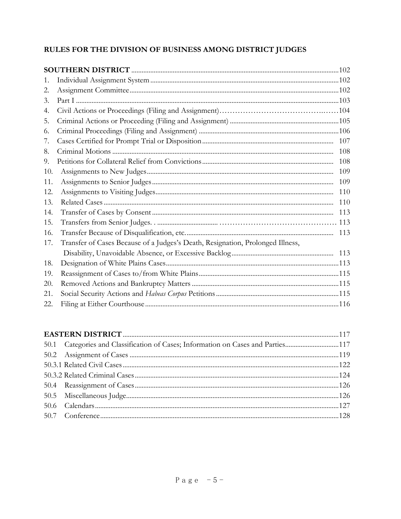# RULES FOR THE DIVISION OF BUSINESS AMONG DISTRICT JUDGES

| 1.  |                                                                                |     |  |
|-----|--------------------------------------------------------------------------------|-----|--|
| 2.  |                                                                                |     |  |
| 3.  |                                                                                |     |  |
| 4.  |                                                                                |     |  |
| 5.  |                                                                                |     |  |
| 6.  |                                                                                |     |  |
| 7.  |                                                                                |     |  |
| 8.  |                                                                                | 108 |  |
| 9.  |                                                                                | 108 |  |
| 10. |                                                                                | 109 |  |
| 11. |                                                                                | 109 |  |
| 12. |                                                                                | 110 |  |
| 13. |                                                                                | 110 |  |
| 14. |                                                                                | 113 |  |
| 15. |                                                                                |     |  |
| 16. |                                                                                | 113 |  |
| 17. | Transfer of Cases Because of a Judges's Death, Resignation, Prolonged Illness, |     |  |
|     |                                                                                |     |  |
| 18. |                                                                                |     |  |
| 19. |                                                                                |     |  |
| 20. |                                                                                |     |  |
| 21. |                                                                                |     |  |
| 22. |                                                                                |     |  |

| 50.1 Categories and Classification of Cases; Information on Cases and Parties117 |  |
|----------------------------------------------------------------------------------|--|
|                                                                                  |  |
|                                                                                  |  |
|                                                                                  |  |
|                                                                                  |  |
|                                                                                  |  |
|                                                                                  |  |
|                                                                                  |  |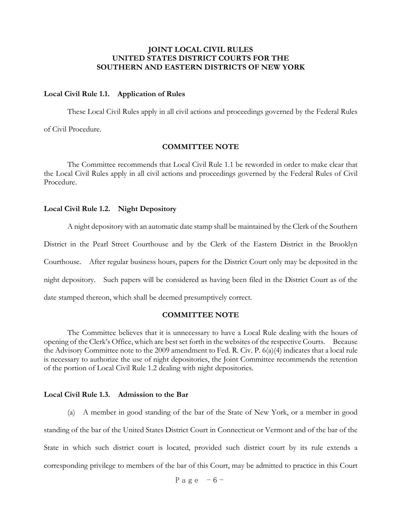### **JOINT LOCAL CIVIL RULES UNITED STATES DISTRICT COURTS FOR THE SOUTHERN AND EASTERN DISTRICTS OF NEW YORK**

### <span id="page-5-1"></span><span id="page-5-0"></span>**Local Civil Rule 1.1. Application of Rules**

These Local Civil Rules apply in all civil actions and proceedings governed by the Federal Rules

of Civil Procedure.

#### **COMMITTEE NOTE**

The Committee recommends that Local Civil Rule 1.1 be reworded in order to make clear that the Local Civil Rules apply in all civil actions and proceedings governed by the Federal Rules of Civil Procedure.

### <span id="page-5-2"></span>**Local Civil Rule 1.2. Night Depository**

A night depository with an automatic date stamp shall be maintained by the Clerk of the Southern District in the Pearl Street Courthouse and by the Clerk of the Eastern District in the Brooklyn Courthouse. After regular business hours, papers for the District Court only may be deposited in the night depository. Such papers will be considered as having been filed in the District Court as of the date stamped thereon, which shall be deemed presumptively correct.

### **COMMITTEE NOTE**

The Committee believes that it is unnecessary to have a Local Rule dealing with the hours of opening of the Clerk's Office, which are best set forth in the websites of the respective Courts. Because the Advisory Committee note to the 2009 amendment to Fed. R. Civ. P. 6(a)(4) indicates that a local rule is necessary to authorize the use of night depositories, the Joint Committee recommends the retention of the portion of Local Civil Rule 1.2 dealing with night depositories.

#### <span id="page-5-3"></span>**Local Civil Rule 1.3. Admission to the Bar**

(a) A member in good standing of the bar of the State of New York, or a member in good standing of the bar of the United States District Court in Connecticut or Vermont and of the bar of the State in which such district court is located, provided such district court by its rule extends a corresponding privilege to members of the bar of this Court, may be admitted to practice in this Court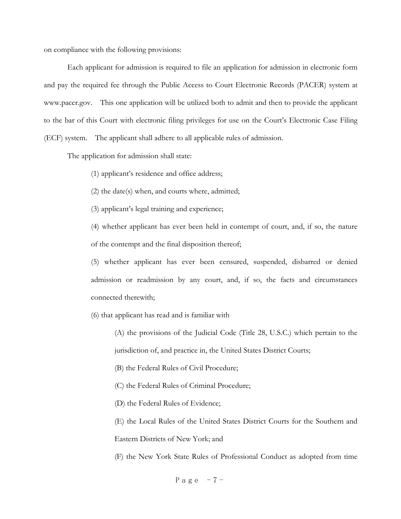on compliance with the following provisions:

Each applicant for admission is required to file an application for admission in electronic form and pay the required fee through the Public Access to Court Electronic Records (PACER) system at www.pacer.gov. This one application will be utilized both to admit and then to provide the applicant to the bar of this Court with electronic filing privileges for use on the Court's Electronic Case Filing (ECF) system. The applicant shall adhere to all applicable rules of admission.

The application for admission shall state:

(1) applicant's residence and office address;

(2) the date(s) when, and courts where, admitted;

(3) applicant's legal training and experience;

(4) whether applicant has ever been held in contempt of court, and, if so, the nature of the contempt and the final disposition thereof;

(5) whether applicant has ever been censured, suspended, disbarred or denied admission or readmission by any court, and, if so, the facts and circumstances connected therewith;

(6) that applicant has read and is familiar with

(A) the provisions of the Judicial Code (Title 28, U.S.C.) which pertain to the jurisdiction of, and practice in, the United States District Courts;

(B) the Federal Rules of Civil Procedure;

(C) the Federal Rules of Criminal Procedure;

(D) the Federal Rules of Evidence;

(E) the Local Rules of the United States District Courts for the Southern and Eastern Districts of New York; and

(F) the New York State Rules of Professional Conduct as adopted from time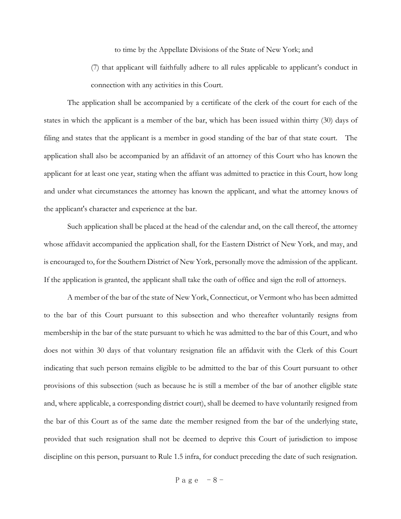to time by the Appellate Divisions of the State of New York; and

(7) that applicant will faithfully adhere to all rules applicable to applicant's conduct in connection with any activities in this Court.

The application shall be accompanied by a certificate of the clerk of the court for each of the states in which the applicant is a member of the bar, which has been issued within thirty (30) days of filing and states that the applicant is a member in good standing of the bar of that state court. The application shall also be accompanied by an affidavit of an attorney of this Court who has known the applicant for at least one year, stating when the affiant was admitted to practice in this Court, how long and under what circumstances the attorney has known the applicant, and what the attorney knows of the applicant's character and experience at the bar.

Such application shall be placed at the head of the calendar and, on the call thereof, the attorney whose affidavit accompanied the application shall, for the Eastern District of New York, and may, and is encouraged to, for the Southern District of New York, personally move the admission of the applicant. If the application is granted, the applicant shall take the oath of office and sign the roll of attorneys.

A member of the bar of the state of New York, Connecticut, or Vermont who has been admitted to the bar of this Court pursuant to this subsection and who thereafter voluntarily resigns from membership in the bar of the state pursuant to which he was admitted to the bar of this Court, and who does not within 30 days of that voluntary resignation file an affidavit with the Clerk of this Court indicating that such person remains eligible to be admitted to the bar of this Court pursuant to other provisions of this subsection (such as because he is still a member of the bar of another eligible state and, where applicable, a corresponding district court), shall be deemed to have voluntarily resigned from the bar of this Court as of the same date the member resigned from the bar of the underlying state, provided that such resignation shall not be deemed to deprive this Court of jurisdiction to impose discipline on this person, pursuant to Rule 1.5 infra, for conduct preceding the date of such resignation.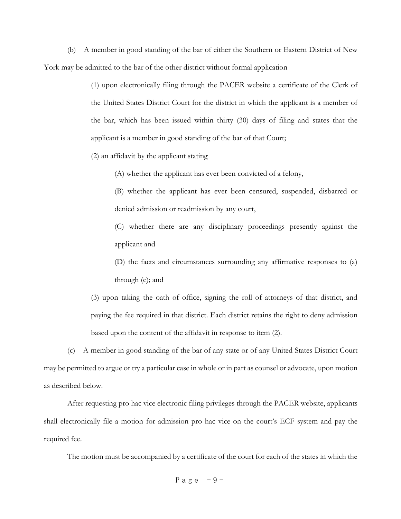(b) A member in good standing of the bar of either the Southern or Eastern District of New York may be admitted to the bar of the other district without formal application

> (1) upon electronically filing through the PACER website a certificate of the Clerk of the United States District Court for the district in which the applicant is a member of the bar, which has been issued within thirty (30) days of filing and states that the applicant is a member in good standing of the bar of that Court;

(2) an affidavit by the applicant stating

(A) whether the applicant has ever been convicted of a felony,

(B) whether the applicant has ever been censured, suspended, disbarred or denied admission or readmission by any court,

(C) whether there are any disciplinary proceedings presently against the applicant and

(D) the facts and circumstances surrounding any affirmative responses to (a) through (c); and

(3) upon taking the oath of office, signing the roll of attorneys of that district, and paying the fee required in that district. Each district retains the right to deny admission based upon the content of the affidavit in response to item (2).

(c) A member in good standing of the bar of any state or of any United States District Court may be permitted to argue or try a particular case in whole or in part as counsel or advocate, upon motion as described below.

After requesting pro hac vice electronic filing privileges through the PACER website, applicants shall electronically file a motion for admission pro hac vice on the court's ECF system and pay the required fee.

The motion must be accompanied by a certificate of the court for each of the states in which the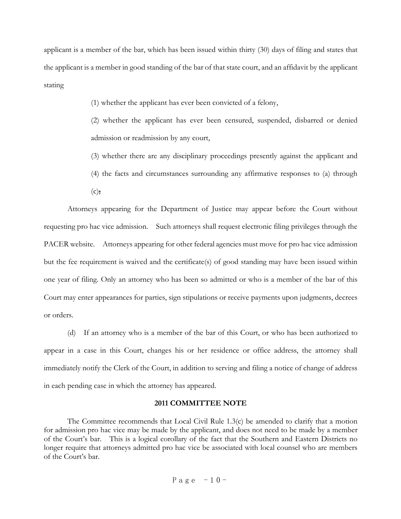applicant is a member of the bar, which has been issued within thirty (30) days of filing and states that the applicant is a member in good standing of the bar of that state court, and an affidavit by the applicant stating

(1) whether the applicant has ever been convicted of a felony,

(2) whether the applicant has ever been censured, suspended, disbarred or denied admission or readmission by any court,

- (3) whether there are any disciplinary proceedings presently against the applicant and
- (4) the facts and circumstances surrounding any affirmative responses to (a) through
- $(c)$ ;

Attorneys appearing for the Department of Justice may appear before the Court without requesting pro hac vice admission. Such attorneys shall request electronic filing privileges through the PACER website. Attorneys appearing for other federal agencies must move for pro hac vice admission but the fee requirement is waived and the certificate(s) of good standing may have been issued within one year of filing. Only an attorney who has been so admitted or who is a member of the bar of this Court may enter appearances for parties, sign stipulations or receive payments upon judgments, decrees or orders.

(d) If an attorney who is a member of the bar of this Court, or who has been authorized to appear in a case in this Court, changes his or her residence or office address, the attorney shall immediately notify the Clerk of the Court, in addition to serving and filing a notice of change of address in each pending case in which the attorney has appeared.

### **2011 COMMITTEE NOTE**

The Committee recommends that Local Civil Rule 1.3(c) be amended to clarify that a motion for admission pro hac vice may be made by the applicant, and does not need to be made by a member of the Court's bar. This is a logical corollary of the fact that the Southern and Eastern Districts no longer require that attorneys admitted pro hac vice be associated with local counsel who are members of the Court's bar.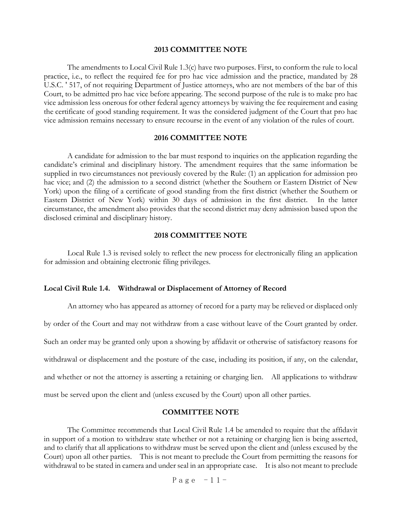#### **2013 COMMITTEE NOTE**

The amendments to Local Civil Rule 1.3(c) have two purposes. First, to conform the rule to local practice, i.e., to reflect the required fee for pro hac vice admission and the practice, mandated by 28 U.S.C. ' 517, of not requiring Department of Justice attorneys, who are not members of the bar of this Court, to be admitted pro hac vice before appearing. The second purpose of the rule is to make pro hac vice admission less onerous for other federal agency attorneys by waiving the fee requirement and easing the certificate of good standing requirement. It was the considered judgment of the Court that pro hac vice admission remains necessary to ensure recourse in the event of any violation of the rules of court.

#### **2016 COMMITTEE NOTE**

A candidate for admission to the bar must respond to inquiries on the application regarding the candidate's criminal and disciplinary history. The amendment requires that the same information be supplied in two circumstances not previously covered by the Rule: (1) an application for admission pro hac vice; and (2) the admission to a second district (whether the Southern or Eastern District of New York) upon the filing of a certificate of good standing from the first district (whether the Southern or Eastern District of New York) within 30 days of admission in the first district. In the latter circumstance, the amendment also provides that the second district may deny admission based upon the disclosed criminal and disciplinary history.

#### **2018 COMMITTEE NOTE**

Local Rule 1.3 is revised solely to reflect the new process for electronically filing an application for admission and obtaining electronic filing privileges.

### <span id="page-10-0"></span>**Local Civil Rule 1.4. Withdrawal or Displacement of Attorney of Record**

An attorney who has appeared as attorney of record for a party may be relieved or displaced only by order of the Court and may not withdraw from a case without leave of the Court granted by order. Such an order may be granted only upon a showing by affidavit or otherwise of satisfactory reasons for withdrawal or displacement and the posture of the case, including its position, if any, on the calendar, and whether or not the attorney is asserting a retaining or charging lien. All applications to withdraw must be served upon the client and (unless excused by the Court) upon all other parties.

### **COMMITTEE NOTE**

The Committee recommends that Local Civil Rule 1.4 be amended to require that the affidavit in support of a motion to withdraw state whether or not a retaining or charging lien is being asserted, and to clarify that all applications to withdraw must be served upon the client and (unless excused by the Court) upon all other parties. This is not meant to preclude the Court from permitting the reasons for withdrawal to be stated in camera and under seal in an appropriate case. It is also not meant to preclude

Page  $-11-$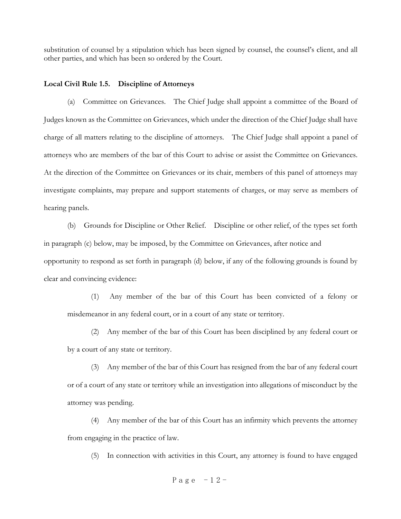substitution of counsel by a stipulation which has been signed by counsel, the counsel's client, and all other parties, and which has been so ordered by the Court.

#### <span id="page-11-0"></span>**Local Civil Rule 1.5. Discipline of Attorneys**

(a) Committee on Grievances. The Chief Judge shall appoint a committee of the Board of Judges known as the Committee on Grievances, which under the direction of the Chief Judge shall have charge of all matters relating to the discipline of attorneys. The Chief Judge shall appoint a panel of attorneys who are members of the bar of this Court to advise or assist the Committee on Grievances. At the direction of the Committee on Grievances or its chair, members of this panel of attorneys may investigate complaints, may prepare and support statements of charges, or may serve as members of hearing panels.

(b) Grounds for Discipline or Other Relief. Discipline or other relief, of the types set forth in paragraph (c) below, may be imposed, by the Committee on Grievances, after notice and opportunity to respond as set forth in paragraph (d) below, if any of the following grounds is found by clear and convincing evidence:

(1) Any member of the bar of this Court has been convicted of a felony or misdemeanor in any federal court, or in a court of any state or territory.

(2) Any member of the bar of this Court has been disciplined by any federal court or by a court of any state or territory.

(3) Any member of the bar of this Court has resigned from the bar of any federal court or of a court of any state or territory while an investigation into allegations of misconduct by the attorney was pending.

(4) Any member of the bar of this Court has an infirmity which prevents the attorney from engaging in the practice of law.

(5) In connection with activities in this Court, any attorney is found to have engaged

Page  $-12$  -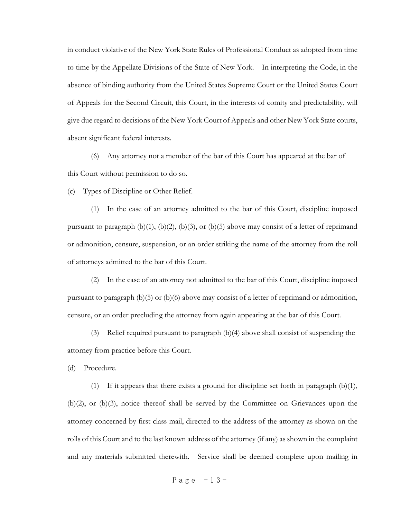in conduct violative of the New York State Rules of Professional Conduct as adopted from time to time by the Appellate Divisions of the State of New York. In interpreting the Code, in the absence of binding authority from the United States Supreme Court or the United States Court of Appeals for the Second Circuit, this Court, in the interests of comity and predictability, will give due regard to decisions of the New York Court of Appeals and other New York State courts, absent significant federal interests.

(6) Any attorney not a member of the bar of this Court has appeared at the bar of this Court without permission to do so.

(c) Types of Discipline or Other Relief.

(1) In the case of an attorney admitted to the bar of this Court, discipline imposed pursuant to paragraph (b)(1), (b)(2), (b)(3), or (b)(5) above may consist of a letter of reprimand or admonition, censure, suspension, or an order striking the name of the attorney from the roll of attorneys admitted to the bar of this Court.

(2) In the case of an attorney not admitted to the bar of this Court, discipline imposed pursuant to paragraph (b)(5) or (b)(6) above may consist of a letter of reprimand or admonition, censure, or an order precluding the attorney from again appearing at the bar of this Court.

(3) Relief required pursuant to paragraph (b)(4) above shall consist of suspending the attorney from practice before this Court.

(d) Procedure.

(1) If it appears that there exists a ground for discipline set forth in paragraph (b)(1), (b)(2), or (b)(3), notice thereof shall be served by the Committee on Grievances upon the attorney concerned by first class mail, directed to the address of the attorney as shown on the rolls of this Court and to the last known address of the attorney (if any) as shown in the complaint and any materials submitted therewith. Service shall be deemed complete upon mailing in

Page  $-13$  -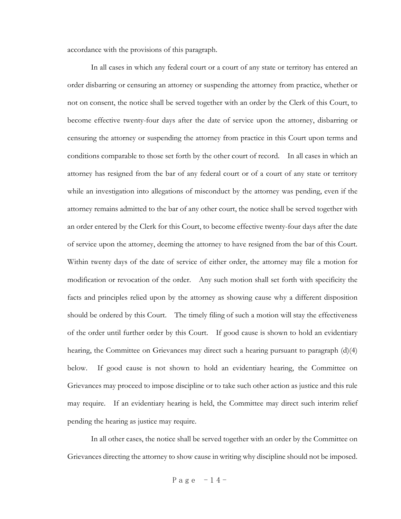accordance with the provisions of this paragraph.

In all cases in which any federal court or a court of any state or territory has entered an order disbarring or censuring an attorney or suspending the attorney from practice, whether or not on consent, the notice shall be served together with an order by the Clerk of this Court, to become effective twenty-four days after the date of service upon the attorney, disbarring or censuring the attorney or suspending the attorney from practice in this Court upon terms and conditions comparable to those set forth by the other court of record. In all cases in which an attorney has resigned from the bar of any federal court or of a court of any state or territory while an investigation into allegations of misconduct by the attorney was pending, even if the attorney remains admitted to the bar of any other court, the notice shall be served together with an order entered by the Clerk for this Court, to become effective twenty-four days after the date of service upon the attorney, deeming the attorney to have resigned from the bar of this Court. Within twenty days of the date of service of either order, the attorney may file a motion for modification or revocation of the order. Any such motion shall set forth with specificity the facts and principles relied upon by the attorney as showing cause why a different disposition should be ordered by this Court. The timely filing of such a motion will stay the effectiveness of the order until further order by this Court. If good cause is shown to hold an evidentiary hearing, the Committee on Grievances may direct such a hearing pursuant to paragraph  $(d)(4)$ below. If good cause is not shown to hold an evidentiary hearing, the Committee on Grievances may proceed to impose discipline or to take such other action as justice and this rule may require. If an evidentiary hearing is held, the Committee may direct such interim relief pending the hearing as justice may require.

In all other cases, the notice shall be served together with an order by the Committee on Grievances directing the attorney to show cause in writing why discipline should not be imposed.

Page  $-14$  -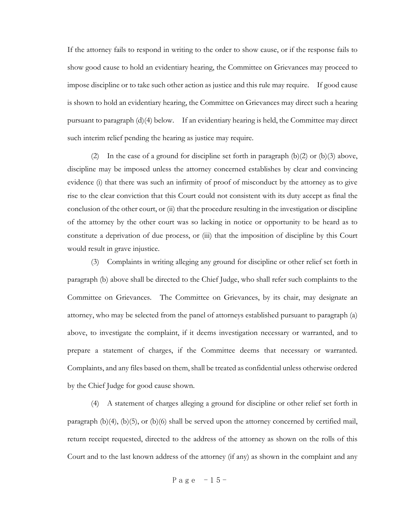If the attorney fails to respond in writing to the order to show cause, or if the response fails to show good cause to hold an evidentiary hearing, the Committee on Grievances may proceed to impose discipline or to take such other action as justice and this rule may require. If good cause is shown to hold an evidentiary hearing, the Committee on Grievances may direct such a hearing pursuant to paragraph (d)(4) below. If an evidentiary hearing is held, the Committee may direct such interim relief pending the hearing as justice may require.

(2) In the case of a ground for discipline set forth in paragraph (b)(2) or (b)(3) above, discipline may be imposed unless the attorney concerned establishes by clear and convincing evidence (i) that there was such an infirmity of proof of misconduct by the attorney as to give rise to the clear conviction that this Court could not consistent with its duty accept as final the conclusion of the other court, or (ii) that the procedure resulting in the investigation or discipline of the attorney by the other court was so lacking in notice or opportunity to be heard as to constitute a deprivation of due process, or (iii) that the imposition of discipline by this Court would result in grave injustice.

(3) Complaints in writing alleging any ground for discipline or other relief set forth in paragraph (b) above shall be directed to the Chief Judge, who shall refer such complaints to the Committee on Grievances. The Committee on Grievances, by its chair, may designate an attorney, who may be selected from the panel of attorneys established pursuant to paragraph (a) above, to investigate the complaint, if it deems investigation necessary or warranted, and to prepare a statement of charges, if the Committee deems that necessary or warranted. Complaints, and any files based on them, shall be treated as confidential unless otherwise ordered by the Chief Judge for good cause shown.

(4) A statement of charges alleging a ground for discipline or other relief set forth in paragraph (b)(4), (b)(5), or (b)(6) shall be served upon the attorney concerned by certified mail, return receipt requested, directed to the address of the attorney as shown on the rolls of this Court and to the last known address of the attorney (if any) as shown in the complaint and any

Page  $-15$  -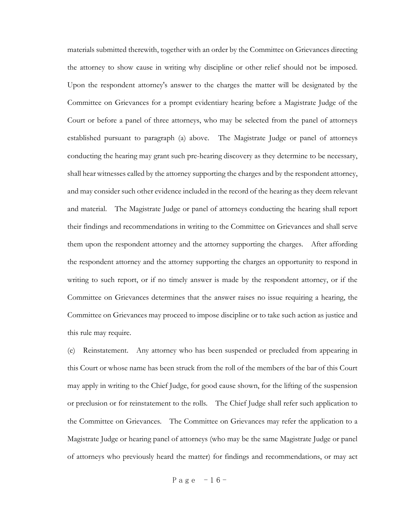materials submitted therewith, together with an order by the Committee on Grievances directing the attorney to show cause in writing why discipline or other relief should not be imposed. Upon the respondent attorney's answer to the charges the matter will be designated by the Committee on Grievances for a prompt evidentiary hearing before a Magistrate Judge of the Court or before a panel of three attorneys, who may be selected from the panel of attorneys established pursuant to paragraph (a) above. The Magistrate Judge or panel of attorneys conducting the hearing may grant such pre-hearing discovery as they determine to be necessary, shall hear witnesses called by the attorney supporting the charges and by the respondent attorney, and may consider such other evidence included in the record of the hearing as they deem relevant and material. The Magistrate Judge or panel of attorneys conducting the hearing shall report their findings and recommendations in writing to the Committee on Grievances and shall serve them upon the respondent attorney and the attorney supporting the charges. After affording the respondent attorney and the attorney supporting the charges an opportunity to respond in writing to such report, or if no timely answer is made by the respondent attorney, or if the Committee on Grievances determines that the answer raises no issue requiring a hearing, the Committee on Grievances may proceed to impose discipline or to take such action as justice and this rule may require.

(e) Reinstatement. Any attorney who has been suspended or precluded from appearing in this Court or whose name has been struck from the roll of the members of the bar of this Court may apply in writing to the Chief Judge, for good cause shown, for the lifting of the suspension or preclusion or for reinstatement to the rolls. The Chief Judge shall refer such application to the Committee on Grievances. The Committee on Grievances may refer the application to a Magistrate Judge or hearing panel of attorneys (who may be the same Magistrate Judge or panel of attorneys who previously heard the matter) for findings and recommendations, or may act

Page  $-16$  -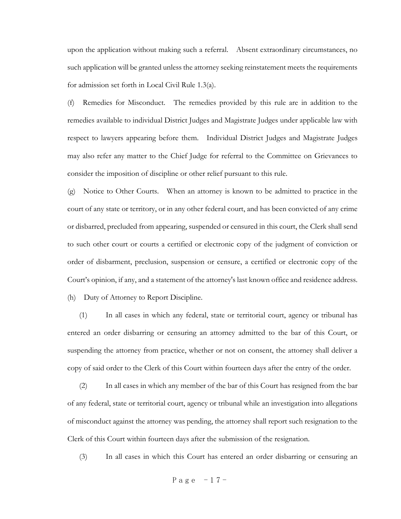upon the application without making such a referral. Absent extraordinary circumstances, no such application will be granted unless the attorney seeking reinstatement meets the requirements for admission set forth in Local Civil Rule 1.3(a).

(f) Remedies for Misconduct. The remedies provided by this rule are in addition to the remedies available to individual District Judges and Magistrate Judges under applicable law with respect to lawyers appearing before them. Individual District Judges and Magistrate Judges may also refer any matter to the Chief Judge for referral to the Committee on Grievances to consider the imposition of discipline or other relief pursuant to this rule.

(g) Notice to Other Courts. When an attorney is known to be admitted to practice in the court of any state or territory, or in any other federal court, and has been convicted of any crime or disbarred, precluded from appearing, suspended or censured in this court, the Clerk shall send to such other court or courts a certified or electronic copy of the judgment of conviction or order of disbarment, preclusion, suspension or censure, a certified or electronic copy of the Court's opinion, if any, and a statement of the attorney's last known office and residence address. (h) Duty of Attorney to Report Discipline.

(1) In all cases in which any federal, state or territorial court, agency or tribunal has entered an order disbarring or censuring an attorney admitted to the bar of this Court, or suspending the attorney from practice, whether or not on consent, the attorney shall deliver a copy of said order to the Clerk of this Court within fourteen days after the entry of the order.

(2) In all cases in which any member of the bar of this Court has resigned from the bar of any federal, state or territorial court, agency or tribunal while an investigation into allegations of misconduct against the attorney was pending, the attorney shall report such resignation to the Clerk of this Court within fourteen days after the submission of the resignation.

(3) In all cases in which this Court has entered an order disbarring or censuring an

Page  $-17$  -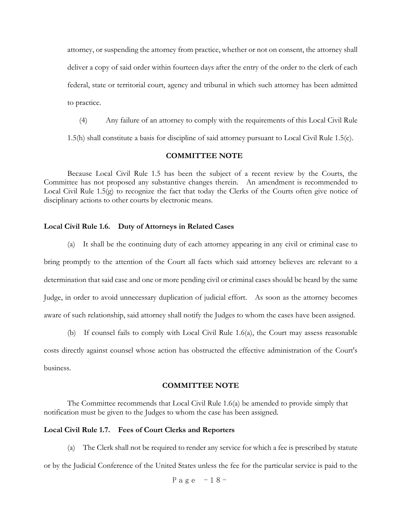attorney, or suspending the attorney from practice, whether or not on consent, the attorney shall deliver a copy of said order within fourteen days after the entry of the order to the clerk of each federal, state or territorial court, agency and tribunal in which such attorney has been admitted to practice.

(4) Any failure of an attorney to comply with the requirements of this Local Civil Rule

1.5(h) shall constitute a basis for discipline of said attorney pursuant to Local Civil Rule 1.5(c).

### **COMMITTEE NOTE**

Because Local Civil Rule 1.5 has been the subject of a recent review by the Courts, the Committee has not proposed any substantive changes therein. An amendment is recommended to Local Civil Rule 1.5(g) to recognize the fact that today the Clerks of the Courts often give notice of disciplinary actions to other courts by electronic means.

### <span id="page-17-0"></span>**Local Civil Rule 1.6. Duty of Attorneys in Related Cases**

(a) It shall be the continuing duty of each attorney appearing in any civil or criminal case to bring promptly to the attention of the Court all facts which said attorney believes are relevant to a determination that said case and one or more pending civil or criminal cases should be heard by the same Judge, in order to avoid unnecessary duplication of judicial effort. As soon as the attorney becomes aware of such relationship, said attorney shall notify the Judges to whom the cases have been assigned.

(b) If counsel fails to comply with Local Civil Rule 1.6(a), the Court may assess reasonable costs directly against counsel whose action has obstructed the effective administration of the Court's business.

### **COMMITTEE NOTE**

The Committee recommends that Local Civil Rule 1.6(a) be amended to provide simply that notification must be given to the Judges to whom the case has been assigned.

#### <span id="page-17-1"></span>**Local Civil Rule 1.7. Fees of Court Clerks and Reporters**

(a) The Clerk shall not be required to render any service for which a fee is prescribed by statute or by the Judicial Conference of the United States unless the fee for the particular service is paid to the

Page  $-18$  -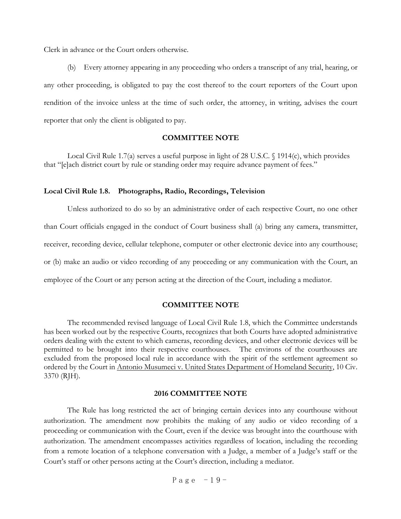Clerk in advance or the Court orders otherwise.

(b) Every attorney appearing in any proceeding who orders a transcript of any trial, hearing, or any other proceeding, is obligated to pay the cost thereof to the court reporters of the Court upon rendition of the invoice unless at the time of such order, the attorney, in writing, advises the court reporter that only the client is obligated to pay.

#### **COMMITTEE NOTE**

Local Civil Rule 1.7(a) serves a useful purpose in light of 28 U.S.C. § 1914(c), which provides that "[e]ach district court by rule or standing order may require advance payment of fees."

### <span id="page-18-0"></span>**Local Civil Rule 1.8. Photographs, Radio, Recordings, Television**

Unless authorized to do so by an administrative order of each respective Court, no one other than Court officials engaged in the conduct of Court business shall (a) bring any camera, transmitter, receiver, recording device, cellular telephone, computer or other electronic device into any courthouse; or (b) make an audio or video recording of any proceeding or any communication with the Court, an employee of the Court or any person acting at the direction of the Court, including a mediator.

#### **COMMITTEE NOTE**

The recommended revised language of Local Civil Rule 1.8, which the Committee understands has been worked out by the respective Courts, recognizes that both Courts have adopted administrative orders dealing with the extent to which cameras, recording devices, and other electronic devices will be permitted to be brought into their respective courthouses. The environs of the courthouses are excluded from the proposed local rule in accordance with the spirit of the settlement agreement so ordered by the Court in Antonio Musumeci v. United States Department of Homeland Security, 10 Civ. 3370 (RJH).

### **2016 COMMITTEE NOTE**

The Rule has long restricted the act of bringing certain devices into any courthouse without authorization. The amendment now prohibits the making of any audio or video recording of a proceeding or communication with the Court, even if the device was brought into the courthouse with authorization. The amendment encompasses activities regardless of location, including the recording from a remote location of a telephone conversation with a Judge, a member of a Judge's staff or the Court's staff or other persons acting at the Court's direction, including a mediator.

Page  $-19$  -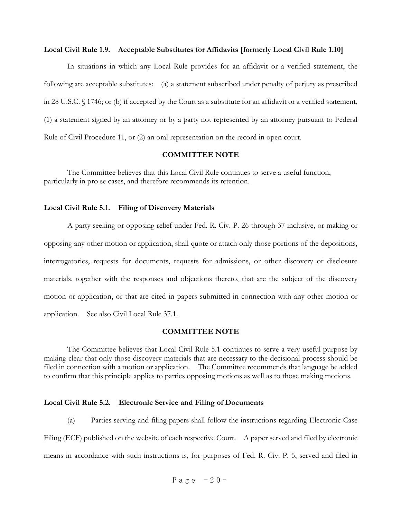#### <span id="page-19-0"></span>**Local Civil Rule 1.9. Acceptable Substitutes for Affidavits [formerly Local Civil Rule 1.10]**

In situations in which any Local Rule provides for an affidavit or a verified statement, the following are acceptable substitutes: (a) a statement subscribed under penalty of perjury as prescribed in 28 U.S.C. § 1746; or (b) if accepted by the Court as a substitute for an affidavit or a verified statement, (1) a statement signed by an attorney or by a party not represented by an attorney pursuant to Federal Rule of Civil Procedure 11, or (2) an oral representation on the record in open court.

### **COMMITTEE NOTE**

The Committee believes that this Local Civil Rule continues to serve a useful function, particularly in pro se cases, and therefore recommends its retention.

#### <span id="page-19-1"></span>**Local Civil Rule 5.1. Filing of Discovery Materials**

A party seeking or opposing relief under Fed. R. Civ. P. 26 through 37 inclusive, or making or opposing any other motion or application, shall quote or attach only those portions of the depositions, interrogatories, requests for documents, requests for admissions, or other discovery or disclosure materials, together with the responses and objections thereto, that are the subject of the discovery motion or application, or that are cited in papers submitted in connection with any other motion or application. See also Civil Local Rule 37.1.

### **COMMITTEE NOTE**

The Committee believes that Local Civil Rule 5.1 continues to serve a very useful purpose by making clear that only those discovery materials that are necessary to the decisional process should be filed in connection with a motion or application. The Committee recommends that language be added to confirm that this principle applies to parties opposing motions as well as to those making motions.

#### <span id="page-19-2"></span>**Local Civil Rule 5.2. Electronic Service and Filing of Documents**

(a) Parties serving and filing papers shall follow the instructions regarding Electronic Case Filing (ECF) published on the website of each respective Court. A paper served and filed by electronic means in accordance with such instructions is, for purposes of Fed. R. Civ. P. 5, served and filed in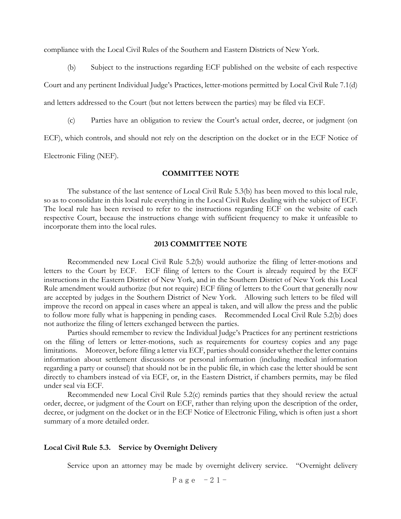compliance with the Local Civil Rules of the Southern and Eastern Districts of New York.

(b) Subject to the instructions regarding ECF published on the website of each respective

Court and any pertinent Individual Judge's Practices, letter-motions permitted by Local Civil Rule 7.1(d)

and letters addressed to the Court (but not letters between the parties) may be filed via ECF.

(c) Parties have an obligation to review the Court's actual order, decree, or judgment (on

ECF), which controls, and should not rely on the description on the docket or in the ECF Notice of

Electronic Filing (NEF).

### **COMMITTEE NOTE**

The substance of the last sentence of Local Civil Rule 5.3(b) has been moved to this local rule, so as to consolidate in this local rule everything in the Local Civil Rules dealing with the subject of ECF. The local rule has been revised to refer to the instructions regarding ECF on the website of each respective Court, because the instructions change with sufficient frequency to make it unfeasible to incorporate them into the local rules.

#### **2013 COMMITTEE NOTE**

Recommended new Local Civil Rule 5.2(b) would authorize the filing of letter-motions and letters to the Court by ECF. ECF filing of letters to the Court is already required by the ECF instructions in the Eastern District of New York, and in the Southern District of New York this Local Rule amendment would authorize (but not require) ECF filing of letters to the Court that generally now are accepted by judges in the Southern District of New York. Allowing such letters to be filed will improve the record on appeal in cases where an appeal is taken, and will allow the press and the public to follow more fully what is happening in pending cases. Recommended Local Civil Rule 5.2(b) does not authorize the filing of letters exchanged between the parties.

Parties should remember to review the Individual Judge's Practices for any pertinent restrictions on the filing of letters or letter-motions, such as requirements for courtesy copies and any page limitations. Moreover, before filing a letter via ECF, parties should consider whether the letter contains information about settlement discussions or personal information (including medical information regarding a party or counsel) that should not be in the public file, in which case the letter should be sent directly to chambers instead of via ECF, or, in the Eastern District, if chambers permits, may be filed under seal via ECF.

Recommended new Local Civil Rule 5.2(c) reminds parties that they should review the actual order, decree, or judgment of the Court on ECF, rather than relying upon the description of the order, decree, or judgment on the docket or in the ECF Notice of Electronic Filing, which is often just a short summary of a more detailed order.

#### <span id="page-20-0"></span>**Local Civil Rule 5.3. Service by Overnight Delivery**

Service upon an attorney may be made by overnight delivery service. "Overnight delivery

$$
P\ a\ g\ e\ -2\ 1\ -
$$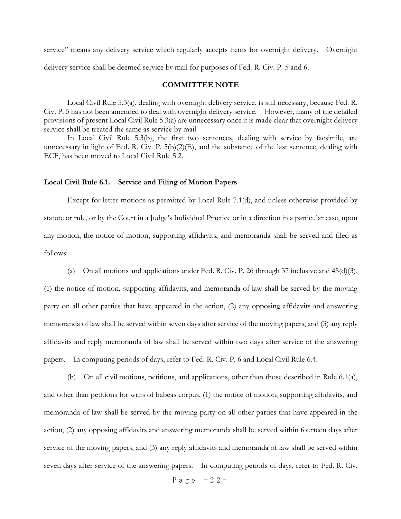service" means any delivery service which regularly accepts items for overnight delivery. Overnight delivery service shall be deemed service by mail for purposes of Fed. R. Civ. P. 5 and 6.

#### **COMMITTEE NOTE**

Local Civil Rule 5.3(a), dealing with overnight delivery service, is still necessary, because Fed. R. Civ. P. 5 has not been amended to deal with overnight delivery service. However, many of the detailed provisions of present Local Civil Rule 5.3(a) are unnecessary once it is made clear that overnight delivery service shall be treated the same as service by mail.

In Local Civil Rule 5.3(b), the first two sentences, dealing with service by facsimile, are unnecessary in light of Fed. R. Civ. P. 5(b)(2)(E), and the substance of the last sentence, dealing with ECF, has been moved to Local Civil Rule 5.2.

#### <span id="page-21-0"></span>**Local Civil Rule 6.1. Service and Filing of Motion Papers**

Except for letter-motions as permitted by Local Rule 7.1(d), and unless otherwise provided by statute or rule, or by the Court in a Judge's Individual Practice or in a direction in a particular case, upon any motion, the notice of motion, supporting affidavits, and memoranda shall be served and filed as follows:

(a) On all motions and applications under Fed. R. Civ. P. 26 through 37 inclusive and 45(d)(3),

(1) the notice of motion, supporting affidavits, and memoranda of law shall be served by the moving party on all other parties that have appeared in the action, (2) any opposing affidavits and answering memoranda of law shall be served within seven days after service of the moving papers, and (3) any reply affidavits and reply memoranda of law shall be served within two days after service of the answering papers. In computing periods of days, refer to Fed. R. Civ. P. 6 and Local Civil Rule 6.4.

(b) On all civil motions, petitions, and applications, other than those described in Rule 6.1(a), and other than petitions for writs of habeas corpus, (1) the notice of motion, supporting affidavits, and memoranda of law shall be served by the moving party on all other parties that have appeared in the action, (2) any opposing affidavits and answering memoranda shall be served within fourteen days after service of the moving papers, and (3) any reply affidavits and memoranda of law shall be served within seven days after service of the answering papers. In computing periods of days, refer to Fed. R. Civ.

Page  $-22 -$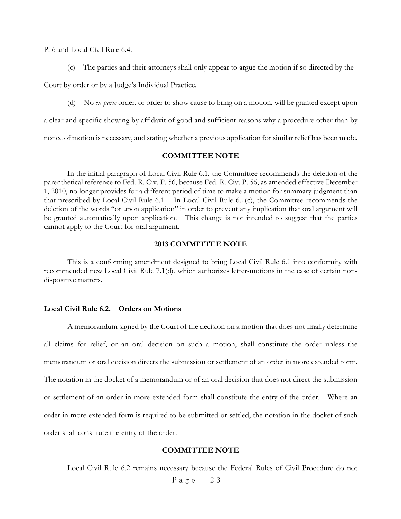P. 6 and Local Civil Rule 6.4.

(c) The parties and their attorneys shall only appear to argue the motion if so directed by the

Court by order or by a Judge's Individual Practice.

(d) No *ex parte* order, or order to show cause to bring on a motion, will be granted except upon

a clear and specific showing by affidavit of good and sufficient reasons why a procedure other than by

notice of motion is necessary, and stating whether a previous application for similar relief has been made.

#### **COMMITTEE NOTE**

In the initial paragraph of Local Civil Rule 6.1, the Committee recommends the deletion of the parenthetical reference to Fed. R. Civ. P. 56, because Fed. R. Civ. P. 56, as amended effective December 1, 2010, no longer provides for a different period of time to make a motion for summary judgment than that prescribed by Local Civil Rule 6.1. In Local Civil Rule 6.1(c), the Committee recommends the deletion of the words "or upon application" in order to prevent any implication that oral argument will be granted automatically upon application. This change is not intended to suggest that the parties cannot apply to the Court for oral argument.

#### **2013 COMMITTEE NOTE**

This is a conforming amendment designed to bring Local Civil Rule 6.1 into conformity with recommended new Local Civil Rule 7.1(d), which authorizes letter-motions in the case of certain nondispositive matters.

#### <span id="page-22-0"></span>**Local Civil Rule 6.2. Orders on Motions**

A memorandum signed by the Court of the decision on a motion that does not finally determine all claims for relief, or an oral decision on such a motion, shall constitute the order unless the memorandum or oral decision directs the submission or settlement of an order in more extended form. The notation in the docket of a memorandum or of an oral decision that does not direct the submission or settlement of an order in more extended form shall constitute the entry of the order. Where an order in more extended form is required to be submitted or settled, the notation in the docket of such order shall constitute the entry of the order.

### **COMMITTEE NOTE**

Local Civil Rule 6.2 remains necessary because the Federal Rules of Civil Procedure do not

 $P$  a g e  $-23$  -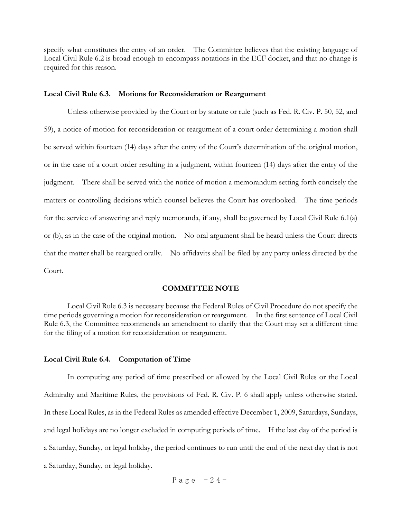specify what constitutes the entry of an order. The Committee believes that the existing language of Local Civil Rule 6.2 is broad enough to encompass notations in the ECF docket, and that no change is required for this reason.

### <span id="page-23-0"></span>**Local Civil Rule 6.3. Motions for Reconsideration or Reargument**

Unless otherwise provided by the Court or by statute or rule (such as Fed. R. Civ. P. 50, 52, and 59), a notice of motion for reconsideration or reargument of a court order determining a motion shall be served within fourteen (14) days after the entry of the Court's determination of the original motion, or in the case of a court order resulting in a judgment, within fourteen (14) days after the entry of the judgment. There shall be served with the notice of motion a memorandum setting forth concisely the matters or controlling decisions which counsel believes the Court has overlooked. The time periods for the service of answering and reply memoranda, if any, shall be governed by Local Civil Rule 6.1(a) or (b), as in the case of the original motion. No oral argument shall be heard unless the Court directs that the matter shall be reargued orally. No affidavits shall be filed by any party unless directed by the Court.

### **COMMITTEE NOTE**

Local Civil Rule 6.3 is necessary because the Federal Rules of Civil Procedure do not specify the time periods governing a motion for reconsideration or reargument. In the first sentence of Local Civil Rule 6.3, the Committee recommends an amendment to clarify that the Court may set a different time for the filing of a motion for reconsideration or reargument.

#### <span id="page-23-1"></span>**Local Civil Rule 6.4. Computation of Time**

In computing any period of time prescribed or allowed by the Local Civil Rules or the Local Admiralty and Maritime Rules, the provisions of Fed. R. Civ. P. 6 shall apply unless otherwise stated. In these Local Rules, as in the Federal Rules as amended effective December 1, 2009, Saturdays, Sundays, and legal holidays are no longer excluded in computing periods of time. If the last day of the period is a Saturday, Sunday, or legal holiday, the period continues to run until the end of the next day that is not a Saturday, Sunday, or legal holiday.

Page  $-24$  -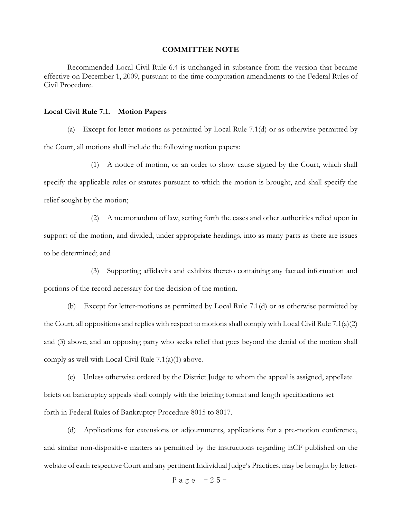#### **COMMITTEE NOTE**

Recommended Local Civil Rule 6.4 is unchanged in substance from the version that became effective on December 1, 2009, pursuant to the time computation amendments to the Federal Rules of Civil Procedure.

### <span id="page-24-0"></span>**Local Civil Rule 7.1. Motion Papers**

(a) Except for letter-motions as permitted by Local Rule 7.1(d) or as otherwise permitted by the Court, all motions shall include the following motion papers:

(1) A notice of motion, or an order to show cause signed by the Court, which shall specify the applicable rules or statutes pursuant to which the motion is brought, and shall specify the relief sought by the motion;

(2) A memorandum of law, setting forth the cases and other authorities relied upon in support of the motion, and divided, under appropriate headings, into as many parts as there are issues to be determined; and

(3) Supporting affidavits and exhibits thereto containing any factual information and portions of the record necessary for the decision of the motion.

(b) Except for letter-motions as permitted by Local Rule 7.1(d) or as otherwise permitted by the Court, all oppositions and replies with respect to motions shall comply with Local Civil Rule 7.1(a)(2) and (3) above, and an opposing party who seeks relief that goes beyond the denial of the motion shall comply as well with Local Civil Rule  $7.1(a)(1)$  above.

(c) Unless otherwise ordered by the District Judge to whom the appeal is assigned, appellate briefs on bankruptcy appeals shall comply with the briefing format and length specifications set forth in Federal Rules of Bankruptcy Procedure 8015 to 8017.

(d) Applications for extensions or adjournments, applications for a pre-motion conference, and similar non-dispositive matters as permitted by the instructions regarding ECF published on the website of each respective Court and any pertinent Individual Judge's Practices, may be brought by letter-

Page  $-25$ -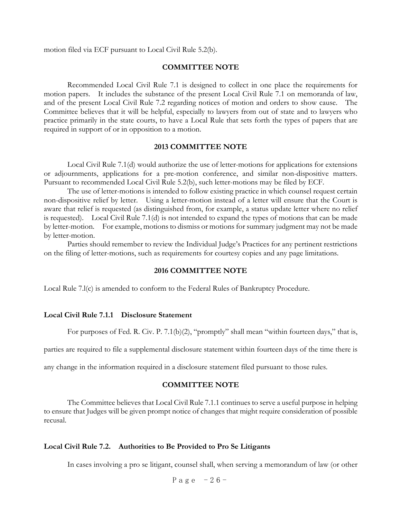motion filed via ECF pursuant to Local Civil Rule 5.2(b).

#### **COMMITTEE NOTE**

Recommended Local Civil Rule 7.1 is designed to collect in one place the requirements for motion papers. It includes the substance of the present Local Civil Rule 7.1 on memoranda of law, and of the present Local Civil Rule 7.2 regarding notices of motion and orders to show cause. The Committee believes that it will be helpful, especially to lawyers from out of state and to lawyers who practice primarily in the state courts, to have a Local Rule that sets forth the types of papers that are required in support of or in opposition to a motion.

#### **2013 COMMITTEE NOTE**

Local Civil Rule 7.1(d) would authorize the use of letter-motions for applications for extensions or adjournments, applications for a pre-motion conference, and similar non-dispositive matters. Pursuant to recommended Local Civil Rule 5.2(b), such letter-motions may be filed by ECF.

The use of letter-motions is intended to follow existing practice in which counsel request certain non-dispositive relief by letter. Using a letter-motion instead of a letter will ensure that the Court is aware that relief is requested (as distinguished from, for example, a status update letter where no relief is requested). Local Civil Rule 7.1(d) is not intended to expand the types of motions that can be made by letter-motion. For example, motions to dismiss or motions for summary judgment may not be made by letter-motion.

Parties should remember to review the Individual Judge's Practices for any pertinent restrictions on the filing of letter-motions, such as requirements for courtesy copies and any page limitations.

### **2016 COMMITTEE NOTE**

Local Rule 7.l(c) is amended to conform to the Federal Rules of Bankruptcy Procedure.

#### <span id="page-25-0"></span>**Local Civil Rule 7.1.1 Disclosure Statement**

For purposes of Fed. R. Civ. P. 7.1(b)(2), "promptly" shall mean "within fourteen days," that is,

parties are required to file a supplemental disclosure statement within fourteen days of the time there is

any change in the information required in a disclosure statement filed pursuant to those rules.

#### **COMMITTEE NOTE**

The Committee believes that Local Civil Rule 7.1.1 continues to serve a useful purpose in helping to ensure that Judges will be given prompt notice of changes that might require consideration of possible recusal.

### <span id="page-25-1"></span>**Local Civil Rule 7.2. Authorities to Be Provided to Pro Se Litigants**

In cases involving a pro se litigant, counsel shall, when serving a memorandum of law (or other

 $P$  a g e  $-26$  -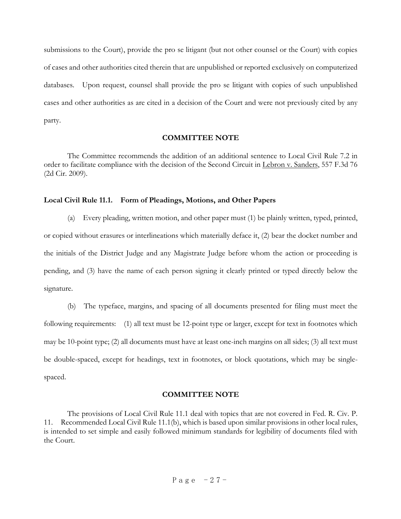submissions to the Court), provide the pro se litigant (but not other counsel or the Court) with copies of cases and other authorities cited therein that are unpublished or reported exclusively on computerized databases. Upon request, counsel shall provide the pro se litigant with copies of such unpublished cases and other authorities as are cited in a decision of the Court and were not previously cited by any party.

#### **COMMITTEE NOTE**

The Committee recommends the addition of an additional sentence to Local Civil Rule 7.2 in order to facilitate compliance with the decision of the Second Circuit in Lebron v. Sanders, 557 F.3d 76 (2d Cir. 2009).

#### <span id="page-26-0"></span>**Local Civil Rule 11.1. Form of Pleadings, Motions, and Other Papers**

(a) Every pleading, written motion, and other paper must (1) be plainly written, typed, printed, or copied without erasures or interlineations which materially deface it, (2) bear the docket number and the initials of the District Judge and any Magistrate Judge before whom the action or proceeding is pending, and (3) have the name of each person signing it clearly printed or typed directly below the signature.

(b) The typeface, margins, and spacing of all documents presented for filing must meet the following requirements: (1) all text must be 12-point type or larger, except for text in footnotes which may be 10-point type; (2) all documents must have at least one-inch margins on all sides; (3) all text must be double-spaced, except for headings, text in footnotes, or block quotations, which may be singlespaced.

#### **COMMITTEE NOTE**

The provisions of Local Civil Rule 11.1 deal with topics that are not covered in Fed. R. Civ. P. 11. Recommended Local Civil Rule 11.1(b), which is based upon similar provisions in other local rules, is intended to set simple and easily followed minimum standards for legibility of documents filed with the Court.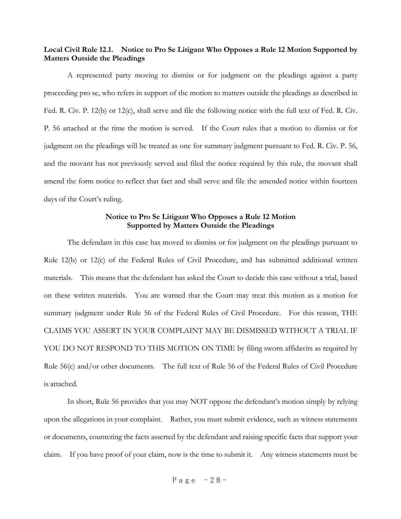### <span id="page-27-0"></span>**Local Civil Rule 12.1. Notice to Pro Se Litigant Who Opposes a Rule 12 Motion Supported by Matters Outside the Pleadings**

A represented party moving to dismiss or for judgment on the pleadings against a party proceeding pro se, who refers in support of the motion to matters outside the pleadings as described in Fed. R. Civ. P. 12(b) or 12(c), shall serve and file the following notice with the full text of Fed. R. Civ. P. 56 attached at the time the motion is served. If the Court rules that a motion to dismiss or for judgment on the pleadings will be treated as one for summary judgment pursuant to Fed. R. Civ. P. 56, and the movant has not previously served and filed the notice required by this rule, the movant shall amend the form notice to reflect that fact and shall serve and file the amended notice within fourteen days of the Court's ruling.

### **Notice to Pro Se Litigant Who Opposes a Rule 12 Motion Supported by Matters Outside the Pleadings**

The defendant in this case has moved to dismiss or for judgment on the pleadings pursuant to Rule 12(b) or 12(c) of the Federal Rules of Civil Procedure, and has submitted additional written materials. This means that the defendant has asked the Court to decide this case without a trial, based on these written materials. You are warned that the Court may treat this motion as a motion for summary judgment under Rule 56 of the Federal Rules of Civil Procedure. For this reason, THE CLAIMS YOU ASSERT IN YOUR COMPLAINT MAY BE DISMISSED WITHOUT A TRIAL IF YOU DO NOT RESPOND TO THIS MOTION ON TIME by filing sworn affidavits as required by Rule 56(c) and/or other documents. The full text of Rule 56 of the Federal Rules of Civil Procedure is attached.

In short, Rule 56 provides that you may NOT oppose the defendant's motion simply by relying upon the allegations in your complaint. Rather, you must submit evidence, such as witness statements or documents, countering the facts asserted by the defendant and raising specific facts that support your claim. If you have proof of your claim, now is the time to submit it. Any witness statements must be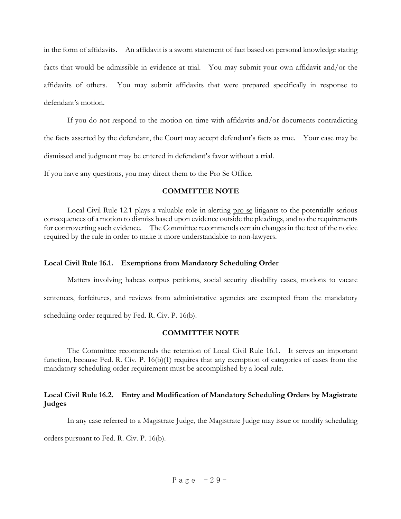in the form of affidavits. An affidavit is a sworn statement of fact based on personal knowledge stating facts that would be admissible in evidence at trial. You may submit your own affidavit and/or the affidavits of others. You may submit affidavits that were prepared specifically in response to defendant's motion.

If you do not respond to the motion on time with affidavits and/or documents contradicting the facts asserted by the defendant, the Court may accept defendant's facts as true. Your case may be dismissed and judgment may be entered in defendant's favor without a trial.

If you have any questions, you may direct them to the Pro Se Office.

### **COMMITTEE NOTE**

Local Civil Rule 12.1 plays a valuable role in alerting pro se litigants to the potentially serious consequences of a motion to dismiss based upon evidence outside the pleadings, and to the requirements for controverting such evidence. The Committee recommends certain changes in the text of the notice required by the rule in order to make it more understandable to non-lawyers.

### <span id="page-28-0"></span>**Local Civil Rule 16.1. Exemptions from Mandatory Scheduling Order**

Matters involving habeas corpus petitions, social security disability cases, motions to vacate sentences, forfeitures, and reviews from administrative agencies are exempted from the mandatory scheduling order required by Fed. R. Civ. P. 16(b).

#### **COMMITTEE NOTE**

The Committee recommends the retention of Local Civil Rule 16.1. It serves an important function, because Fed. R. Civ. P. 16(b)(1) requires that any exemption of categories of cases from the mandatory scheduling order requirement must be accomplished by a local rule.

### <span id="page-28-1"></span>**Local Civil Rule 16.2. Entry and Modification of Mandatory Scheduling Orders by Magistrate Judges**

In any case referred to a Magistrate Judge, the Magistrate Judge may issue or modify scheduling

orders pursuant to Fed. R. Civ. P. 16(b).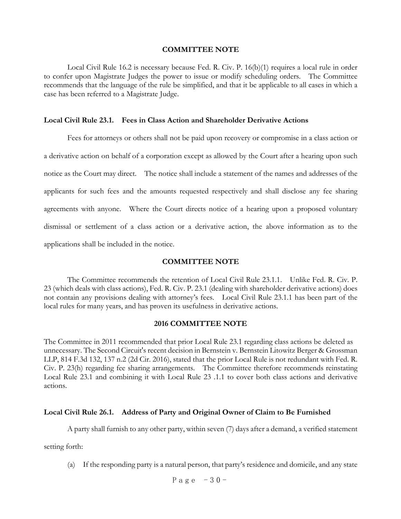#### **COMMITTEE NOTE**

Local Civil Rule 16.2 is necessary because Fed. R. Civ. P. 16(b)(1) requires a local rule in order to confer upon Magistrate Judges the power to issue or modify scheduling orders. The Committee recommends that the language of the rule be simplified, and that it be applicable to all cases in which a case has been referred to a Magistrate Judge.

### <span id="page-29-0"></span>**Local Civil Rule 23.1. Fees in Class Action and Shareholder Derivative Actions**

Fees for attorneys or others shall not be paid upon recovery or compromise in a class action or a derivative action on behalf of a corporation except as allowed by the Court after a hearing upon such notice as the Court may direct. The notice shall include a statement of the names and addresses of the applicants for such fees and the amounts requested respectively and shall disclose any fee sharing agreements with anyone. Where the Court directs notice of a hearing upon a proposed voluntary dismissal or settlement of a class action or a derivative action, the above information as to the applications shall be included in the notice.

### **COMMITTEE NOTE**

The Committee recommends the retention of Local Civil Rule 23.1.1. Unlike Fed. R. Civ. P. 23 (which deals with class actions), Fed. R. Civ. P. 23.1 (dealing with shareholder derivative actions) does not contain any provisions dealing with attorney's fees. Local Civil Rule 23.1.1 has been part of the local rules for many years, and has proven its usefulness in derivative actions.

### **2016 COMMITTEE NOTE**

The Committee in 2011 recommended that prior Local Rule 23.1 regarding class actions be deleted as unnecessary. The Second Circuit's recent decision in Bernstein v. Bernstein Litowitz Berger & Grossman LLP, 814 F.3d 132, 137 n.2 (2d Cir. 2016), stated that the prior Local Rule is not redundant with Fed. R. Civ. P. 23(h) regarding fee sharing arrangements. The Committee therefore recommends reinstating Local Rule 23.1 and combining it with Local Rule 23 .1.1 to cover both class actions and derivative actions.

### <span id="page-29-1"></span>**Local Civil Rule 26.1. Address of Party and Original Owner of Claim to Be Furnished**

A party shall furnish to any other party, within seven (7) days after a demand, a verified statement

setting forth:

(a) If the responding party is a natural person, that party's residence and domicile, and any state

Page  $-30-$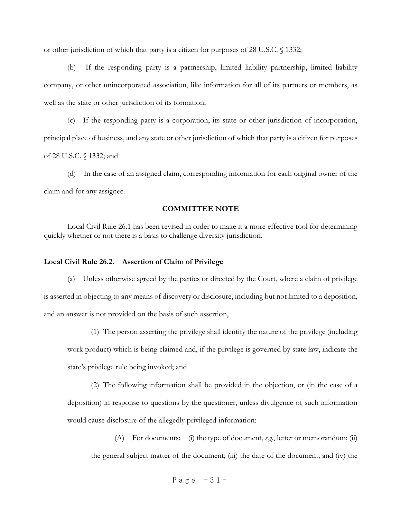or other jurisdiction of which that party is a citizen for purposes of 28 U.S.C. § 1332;

(b) If the responding party is a partnership, limited liability partnership, limited liability company, or other unincorporated association, like information for all of its partners or members, as well as the state or other jurisdiction of its formation;

(c) If the responding party is a corporation, its state or other jurisdiction of incorporation, principal place of business, and any state or other jurisdiction of which that party is a citizen for purposes of 28 U.S.C. § 1332; and

(d) In the case of an assigned claim, corresponding information for each original owner of the claim and for any assignee.

### **COMMITTEE NOTE**

Local Civil Rule 26.1 has been revised in order to make it a more effective tool for determining quickly whether or not there is a basis to challenge diversity jurisdiction.

#### <span id="page-30-0"></span>**Local Civil Rule 26.2. Assertion of Claim of Privilege**

(a) Unless otherwise agreed by the parties or directed by the Court, where a claim of privilege is asserted in objecting to any means of discovery or disclosure, including but not limited to a deposition, and an answer is not provided on the basis of such assertion,

(1) The person asserting the privilege shall identify the nature of the privilege (including work product) which is being claimed and, if the privilege is governed by state law, indicate the state's privilege rule being invoked; and

(2) The following information shall be provided in the objection, or (in the case of a deposition) in response to questions by the questioner, unless divulgence of such information would cause disclosure of the allegedly privileged information:

(A) For documents: (i) the type of document, *e.g.*, letter or memorandum; (ii) the general subject matter of the document; (iii) the date of the document; and (iv) the

Page  $-31$  -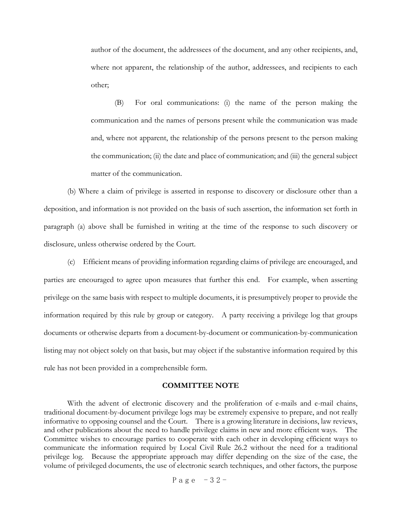author of the document, the addressees of the document, and any other recipients, and, where not apparent, the relationship of the author, addressees, and recipients to each other;

(B) For oral communications: (i) the name of the person making the communication and the names of persons present while the communication was made and, where not apparent, the relationship of the persons present to the person making the communication; (ii) the date and place of communication; and (iii) the general subject matter of the communication.

(b) Where a claim of privilege is asserted in response to discovery or disclosure other than a deposition, and information is not provided on the basis of such assertion, the information set forth in paragraph (a) above shall be furnished in writing at the time of the response to such discovery or disclosure, unless otherwise ordered by the Court.

(c) Efficient means of providing information regarding claims of privilege are encouraged, and parties are encouraged to agree upon measures that further this end. For example, when asserting privilege on the same basis with respect to multiple documents, it is presumptively proper to provide the information required by this rule by group or category. A party receiving a privilege log that groups documents or otherwise departs from a document-by-document or communication-by-communication listing may not object solely on that basis, but may object if the substantive information required by this rule has not been provided in a comprehensible form.

### **COMMITTEE NOTE**

With the advent of electronic discovery and the proliferation of e-mails and e-mail chains, traditional document-by-document privilege logs may be extremely expensive to prepare, and not really informative to opposing counsel and the Court. There is a growing literature in decisions, law reviews, and other publications about the need to handle privilege claims in new and more efficient ways. The Committee wishes to encourage parties to cooperate with each other in developing efficient ways to communicate the information required by Local Civil Rule 26.2 without the need for a traditional privilege log. Because the appropriate approach may differ depending on the size of the case, the volume of privileged documents, the use of electronic search techniques, and other factors, the purpose

$$
P\ a\ g\ e\ -3\ 2\ -
$$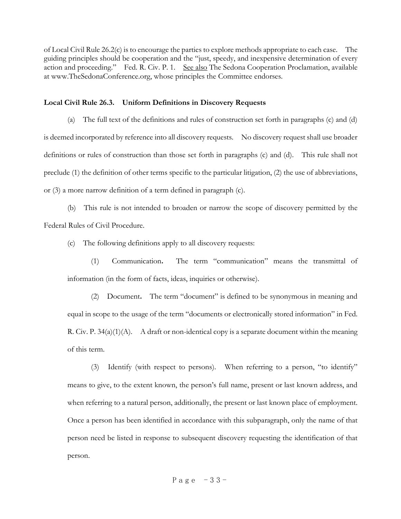of Local Civil Rule 26.2(c) is to encourage the parties to explore methods appropriate to each case. The guiding principles should be cooperation and the "just, speedy, and inexpensive determination of every action and proceeding." Fed. R. Civ. P. 1. See also The Sedona Cooperation Proclamation, available at www.TheSedonaConference.org, whose principles the Committee endorses.

### <span id="page-32-0"></span>**Local Civil Rule 26.3. Uniform Definitions in Discovery Requests**

(a) The full text of the definitions and rules of construction set forth in paragraphs (c) and (d) is deemed incorporated by reference into all discovery requests. No discovery request shall use broader definitions or rules of construction than those set forth in paragraphs (c) and (d). This rule shall not preclude (1) the definition of other terms specific to the particular litigation, (2) the use of abbreviations, or (3) a more narrow definition of a term defined in paragraph (c).

(b) This rule is not intended to broaden or narrow the scope of discovery permitted by the Federal Rules of Civil Procedure.

(c) The following definitions apply to all discovery requests:

(1) Communication**.** The term "communication" means the transmittal of information (in the form of facts, ideas, inquiries or otherwise).

(2) Document**.** The term "document" is defined to be synonymous in meaning and equal in scope to the usage of the term "documents or electronically stored information" in Fed. R. Civ. P.  $34(a)(1)(A)$ . A draft or non-identical copy is a separate document within the meaning of this term.

(3) Identify (with respect to persons). When referring to a person, "to identify" means to give, to the extent known, the person's full name, present or last known address, and when referring to a natural person, additionally, the present or last known place of employment. Once a person has been identified in accordance with this subparagraph, only the name of that person need be listed in response to subsequent discovery requesting the identification of that person.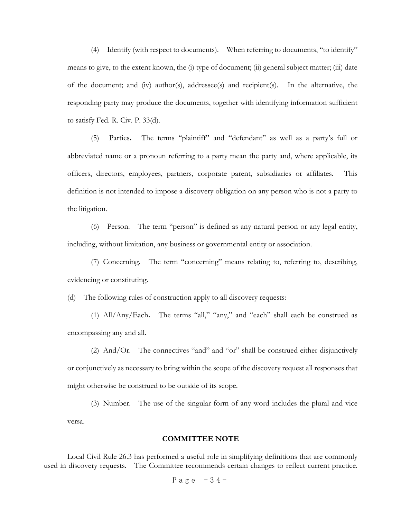(4) Identify (with respect to documents). When referring to documents, "to identify" means to give, to the extent known, the (i) type of document; (ii) general subject matter; (iii) date of the document; and (iv) author(s), addressee(s) and recipient(s). In the alternative, the responding party may produce the documents, together with identifying information sufficient to satisfy Fed. R. Civ. P. 33(d).

(5) Parties**.** The terms "plaintiff" and "defendant" as well as a party's full or abbreviated name or a pronoun referring to a party mean the party and, where applicable, its officers, directors, employees, partners, corporate parent, subsidiaries or affiliates. This definition is not intended to impose a discovery obligation on any person who is not a party to the litigation.

(6) Person. The term "person" is defined as any natural person or any legal entity, including, without limitation, any business or governmental entity or association.

(7) Concerning. The term "concerning" means relating to, referring to, describing, evidencing or constituting.

(d) The following rules of construction apply to all discovery requests:

(1) All/Any/Each**.** The terms "all," "any," and "each" shall each be construed as encompassing any and all.

(2) And/Or. The connectives "and" and "or" shall be construed either disjunctively or conjunctively as necessary to bring within the scope of the discovery request all responses that might otherwise be construed to be outside of its scope.

(3) Number. The use of the singular form of any word includes the plural and vice versa.

### **COMMITTEE NOTE**

Local Civil Rule 26.3 has performed a useful role in simplifying definitions that are commonly used in discovery requests. The Committee recommends certain changes to reflect current practice.

Page  $-34$  -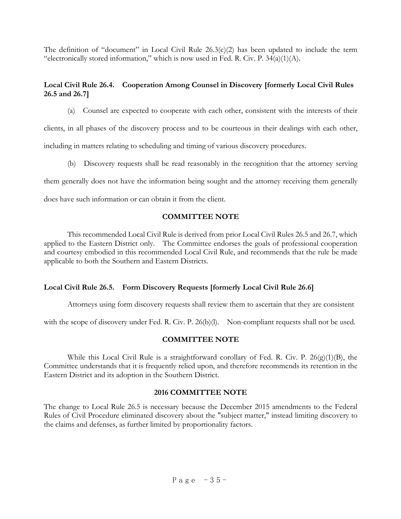The definition of "document" in Local Civil Rule  $26.3(c)(2)$  has been updated to include the term "electronically stored information," which is now used in Fed. R. Civ. P. 34(a)(1)(A).

### <span id="page-34-0"></span>**Local Civil Rule 26.4. Cooperation Among Counsel in Discovery [formerly Local Civil Rules 26.5 and 26.7]**

(a) Counsel are expected to cooperate with each other, consistent with the interests of their

clients, in all phases of the discovery process and to be courteous in their dealings with each other,

including in matters relating to scheduling and timing of various discovery procedures.

(b) Discovery requests shall be read reasonably in the recognition that the attorney serving

them generally does not have the information being sought and the attorney receiving them generally

does have such information or can obtain it from the client.

### **COMMITTEE NOTE**

This recommended Local Civil Rule is derived from prior Local Civil Rules 26.5 and 26.7, which applied to the Eastern District only. The Committee endorses the goals of professional cooperation and courtesy embodied in this recommended Local Civil Rule, and recommends that the rule be made applicable to both the Southern and Eastern Districts.

### <span id="page-34-1"></span>**Local Civil Rule 26.5. Form Discovery Requests [formerly Local Civil Rule 26.6]**

Attorneys using form discovery requests shall review them to ascertain that they are consistent

with the scope of discovery under Fed. R. Civ. P. 26(b)(l). Non-compliant requests shall not be used.

### **COMMITTEE NOTE**

While this Local Civil Rule is a straightforward corollary of Fed. R. Civ. P.  $26(g)(1)(B)$ , the Committee understands that it is frequently relied upon, and therefore recommends its retention in the Eastern District and its adoption in the Southern District.

### **2016 COMMITTEE NOTE**

The change to Local Rule 26.5 is necessary because the December 2015 amendments to the Federal Rules of Civil Procedure eliminated discovery about the "subject matter," instead limiting discovery to the claims and defenses, as further limited by proportionality factors.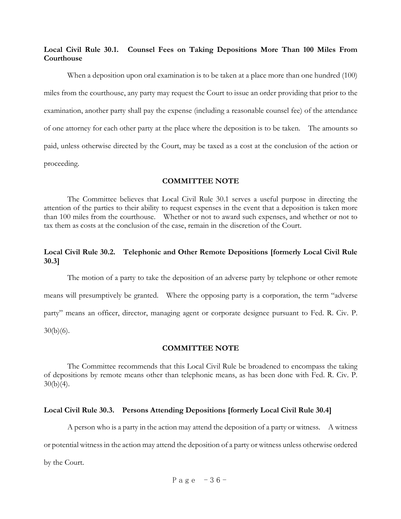### <span id="page-35-0"></span>**Local Civil Rule 30.1. Counsel Fees on Taking Depositions More Than 100 Miles From Courthouse**

When a deposition upon oral examination is to be taken at a place more than one hundred (100) miles from the courthouse, any party may request the Court to issue an order providing that prior to the examination, another party shall pay the expense (including a reasonable counsel fee) of the attendance of one attorney for each other party at the place where the deposition is to be taken. The amounts so paid, unless otherwise directed by the Court, may be taxed as a cost at the conclusion of the action or proceeding.

### **COMMITTEE NOTE**

The Committee believes that Local Civil Rule 30.1 serves a useful purpose in directing the attention of the parties to their ability to request expenses in the event that a deposition is taken more than 100 miles from the courthouse. Whether or not to award such expenses, and whether or not to tax them as costs at the conclusion of the case, remain in the discretion of the Court.

### <span id="page-35-1"></span>**Local Civil Rule 30.2. Telephonic and Other Remote Depositions [formerly Local Civil Rule 30.3]**

The motion of a party to take the deposition of an adverse party by telephone or other remote means will presumptively be granted. Where the opposing party is a corporation, the term "adverse party" means an officer, director, managing agent or corporate designee pursuant to Fed. R. Civ. P.  $30(b)(6)$ .

### **COMMITTEE NOTE**

The Committee recommends that this Local Civil Rule be broadened to encompass the taking of depositions by remote means other than telephonic means, as has been done with Fed. R. Civ. P.  $30(b)(4)$ .

### <span id="page-35-2"></span>**Local Civil Rule 30.3. Persons Attending Depositions [formerly Local Civil Rule 30.4]**

A person who is a party in the action may attend the deposition of a party or witness. A witness or potential witness in the action may attend the deposition of a party or witness unless otherwise ordered by the Court.

 $P$  a g e  $-36$  -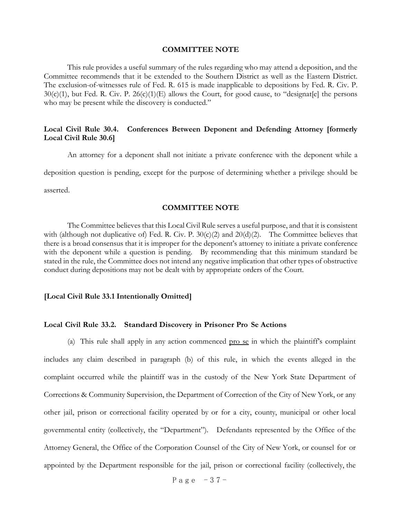#### **COMMITTEE NOTE**

This rule provides a useful summary of the rules regarding who may attend a deposition, and the Committee recommends that it be extended to the Southern District as well as the Eastern District. The exclusion-of-witnesses rule of Fed. R. 615 is made inapplicable to depositions by Fed. R. Civ. P.  $30(c)(1)$ , but Fed. R. Civ. P.  $26(c)(1)(E)$  allows the Court, for good cause, to "designat[e] the persons who may be present while the discovery is conducted."

#### **Local Civil Rule 30.4. Conferences Between Deponent and Defending Attorney [formerly Local Civil Rule 30.6]**

An attorney for a deponent shall not initiate a private conference with the deponent while a

deposition question is pending, except for the purpose of determining whether a privilege should be

asserted.

#### **COMMITTEE NOTE**

The Committee believes that this Local Civil Rule serves a useful purpose, and that it is consistent with (although not duplicative of) Fed. R. Civ. P. 30(c)(2) and 20(d)(2). The Committee believes that there is a broad consensus that it is improper for the deponent's attorney to initiate a private conference with the deponent while a question is pending. By recommending that this minimum standard be stated in the rule, the Committee does not intend any negative implication that other types of obstructive conduct during depositions may not be dealt with by appropriate orders of the Court.

#### **[Local Civil Rule 33.1 Intentionally Omitted]**

#### **Local Civil Rule 33.2. Standard Discovery in Prisoner Pro Se Actions**

(a) This rule shall apply in any action commenced pro se in which the plaintiff's complaint includes any claim described in paragraph (b) of this rule, in which the events alleged in the complaint occurred while the plaintiff was in the custody of the New York State Department of Corrections & Community Supervision, the Department of Correction of the City of New York, or any other jail, prison or correctional facility operated by or for a city, county, municipal or other local governmental entity (collectively, the "Department"). Defendants represented by the Office of the Attorney General, the Office of the Corporation Counsel of the City of New York, or counsel for or appointed by the Department responsible for the jail, prison or correctional facility (collectively, the

Page  $-37$  -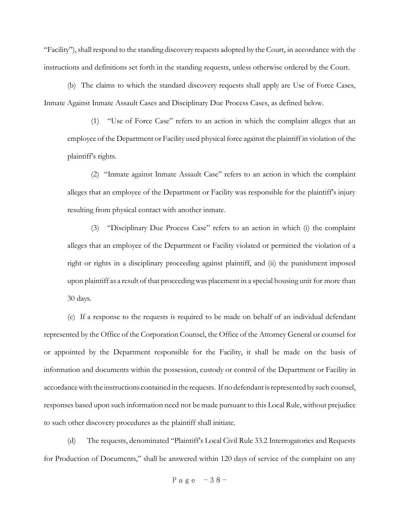"Facility"), shall respond to the standing discovery requests adopted by the Court, in accordance with the instructions and definitions set forth in the standing requests, unless otherwise ordered by the Court.

(b) The claims to which the standard discovery requests shall apply are Use of Force Cases, Inmate Against Inmate Assault Cases and Disciplinary Due Process Cases, as defined below.

(1) "Use of Force Case" refers to an action in which the complaint alleges that an employee of the Department or Facility used physical force against the plaintiff in violation of the plaintiff's rights.

(2) "Inmate against Inmate Assault Case" refers to an action in which the complaint alleges that an employee of the Department or Facility was responsible for the plaintiff's injury resulting from physical contact with another inmate.

(3) "Disciplinary Due Process Case" refers to an action in which (i) the complaint alleges that an employee of the Department or Facility violated or permitted the violation of a right or rights in a disciplinary proceeding against plaintiff, and (ii) the punishment imposed upon plaintiff as a result of that proceeding was placement in a special housing unit for more than 30 days.

(c) If a response to the requests is required to be made on behalf of an individual defendant represented by the Office of the Corporation Counsel, the Office of the Attorney General or counsel for or appointed by the Department responsible for the Facility, it shall be made on the basis of information and documents within the possession, custody or control of the Department or Facility in accordancewith the instructions contained in the requests. If no defendant isrepresented by such counsel, responses based upon such information need not be made pursuant to this Local Rule, without prejudice to such other discovery procedures as the plaintiff shall initiate.

(d) The requests, denominated "Plaintiff's Local Civil Rule 33.2 Interrogatories and Requests for Production of Documents," shall be answered within 120 days of service of the complaint on any

Page  $-38-$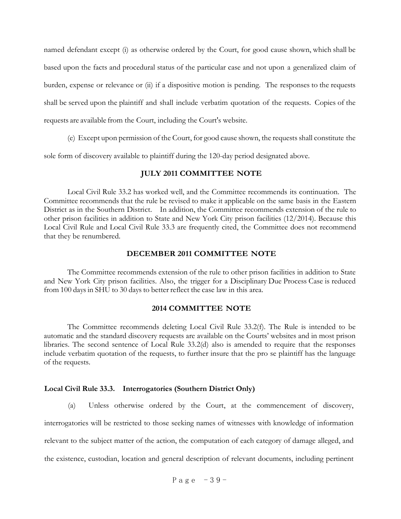named defendant except (i) as otherwise ordered by the Court, for good cause shown, which shall be based upon the facts and procedural status of the particular case and not upon a generalized claim of burden, expense or relevance or (ii) if a dispositive motion is pending. The responses to the requests shall be served upon the plaintiff and shall include verbatim quotation of the requests. Copies of the requests are available from the Court, including the Court's website.

(e) Except upon permission of the Court, for good cause shown, the requests shall constitute the

sole form of discovery available to plaintiff during the 120-day period designated above.

#### **JULY 2011 COMMITTEE NOTE**

Local Civil Rule 33.2 has worked well, and the Committee recommends its continuation. The Committee recommends that the rule be revised to make it applicable on the same basis in the Eastern District as in the Southern District. In addition, the Committee recommends extension of the rule to other prison facilities in addition to State and New York City prison facilities (12/2014). Because this Local Civil Rule and Local Civil Rule 33.3 are frequently cited, the Committee does not recommend that they be renumbered.

#### **DECEMBER 2011 COMMITTEE NOTE**

The Committee recommends extension of the rule to other prison facilities in addition to State and New York City prison facilities. Also, the trigger for a Disciplinary Due Process Case is reduced from 100 days in SHU to 30 days to better reflect the case law in this area.

#### **2014 COMMITTEE NOTE**

The Committee recommends deleting Local Civil Rule 33.2(f). The Rule is intended to be automatic and the standard discovery requests are available on the Courts' websites and in most prison libraries. The second sentence of Local Rule 33.2(d) also is amended to require that the responses include verbatim quotation of the requests, to further insure that the pro se plaintiff has the language of the requests.

#### **Local Civil Rule 33.3. Interrogatories (Southern District Only)**

(a) Unless otherwise ordered by the Court, at the commencement of discovery,

interrogatories will be restricted to those seeking names of witnesses with knowledge of information

relevant to the subject matter of the action, the computation of each category of damage alleged, and

the existence, custodian, location and general description of relevant documents, including pertinent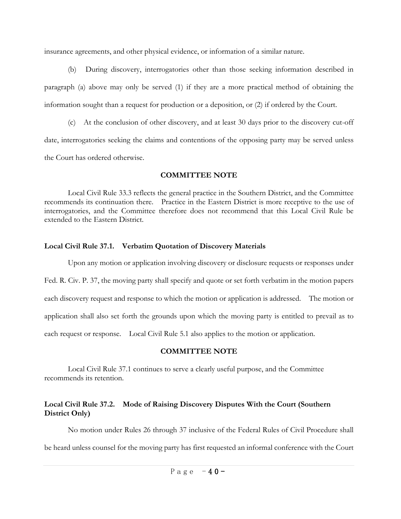insurance agreements, and other physical evidence, or information of a similar nature.

(b) During discovery, interrogatories other than those seeking information described in paragraph (a) above may only be served (1) if they are a more practical method of obtaining the information sought than a request for production or a deposition, or (2) if ordered by the Court.

(c) At the conclusion of other discovery, and at least 30 days prior to the discovery cut-off date, interrogatories seeking the claims and contentions of the opposing party may be served unless the Court has ordered otherwise.

### **COMMITTEE NOTE**

Local Civil Rule 33.3 reflects the general practice in the Southern District, and the Committee recommends its continuation there. Practice in the Eastern District is more receptive to the use of interrogatories, and the Committee therefore does not recommend that this Local Civil Rule be extended to the Eastern District.

# **Local Civil Rule 37.1. Verbatim Quotation of Discovery Materials**

Upon any motion or application involving discovery or disclosure requests or responses under Fed. R. Civ. P. 37, the moving party shall specify and quote or set forth verbatim in the motion papers each discovery request and response to which the motion or application is addressed. The motion or application shall also set forth the grounds upon which the moving party is entitled to prevail as to each request or response. Local Civil Rule 5.1 also applies to the motion or application.

# **COMMITTEE NOTE**

Local Civil Rule 37.1 continues to serve a clearly useful purpose, and the Committee recommends its retention.

# **Local Civil Rule 37.2. Mode of Raising Discovery Disputes With the Court (Southern District Only)**

No motion under Rules 26 through 37 inclusive of the Federal Rules of Civil Procedure shall

be heard unless counsel for the moving party has first requested an informal conference with the Court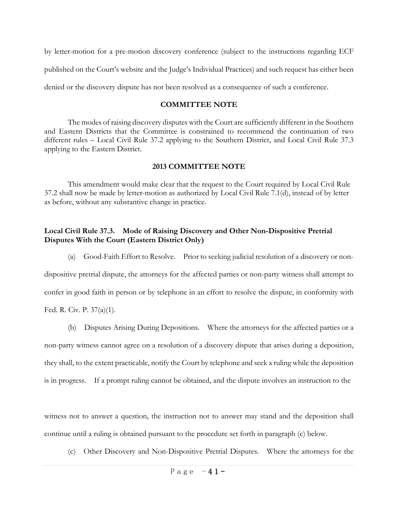by letter-motion for a pre-motion discovery conference (subject to the instructions regarding ECF published on the Court's website and the Judge's Individual Practices) and such request has either been denied or the discovery dispute has not been resolved as a consequence of such a conference.

### **COMMITTEE NOTE**

The modes of raising discovery disputes with the Court are sufficiently different in the Southern and Eastern Districts that the Committee is constrained to recommend the continuation of two different rules – Local Civil Rule 37.2 applying to the Southern District, and Local Civil Rule 37.3 applying to the Eastern District.

#### **2013 COMMITTEE NOTE**

This amendment would make clear that the request to the Court required by Local Civil Rule 37.2 shall now be made by letter-motion as authorized by Local Civil Rule 7.1(d), instead of by letter as before, without any substantive change in practice.

#### **Local Civil Rule 37.3. Mode of Raising Discovery and Other Non-Dispositive Pretrial Disputes With the Court (Eastern District Only)**

(a) Good-Faith Effort to Resolve. Prior to seeking judicial resolution of a discovery or nondispositive pretrial dispute, the attorneys for the affected parties or non-party witness shall attempt to confer in good faith in person or by telephone in an effort to resolve the dispute, in conformity with Fed. R. Civ. P. 37(a)(1).

(b) Disputes Arising During Depositions. Where the attorneys for the affected parties or a

non-party witness cannot agree on a resolution of a discovery dispute that arises during a deposition, they shall, to the extent practicable, notify the Court by telephone and seek a ruling while the deposition is in progress. If a prompt ruling cannot be obtained, and the dispute involves an instruction to the

witness not to answer a question, the instruction not to answer may stand and the deposition shall continue until a ruling is obtained pursuant to the procedure set forth in paragraph (c) below.

(c) Other Discovery and Non-Dispositive Pretrial Disputes. Where the attorneys for the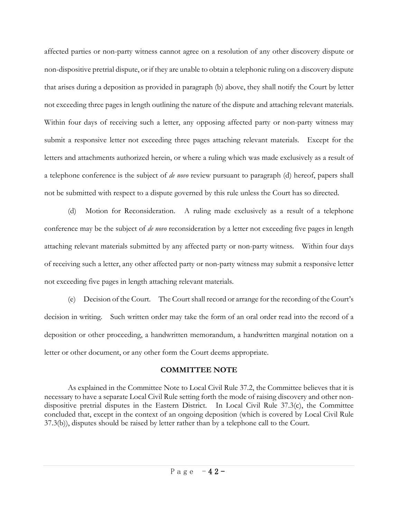affected parties or non-party witness cannot agree on a resolution of any other discovery dispute or non-dispositive pretrial dispute, or if they are unable to obtain a telephonic ruling on a discovery dispute that arises during a deposition as provided in paragraph (b) above, they shall notify the Court by letter not exceeding three pages in length outlining the nature of the dispute and attaching relevant materials. Within four days of receiving such a letter, any opposing affected party or non-party witness may submit a responsive letter not exceeding three pages attaching relevant materials. Except for the letters and attachments authorized herein, or where a ruling which was made exclusively as a result of a telephone conference is the subject of *de novo* review pursuant to paragraph (d) hereof, papers shall not be submitted with respect to a dispute governed by this rule unless the Court has so directed.

(d) Motion for Reconsideration. A ruling made exclusively as a result of a telephone conference may be the subject of *de novo* reconsideration by a letter not exceeding five pages in length attaching relevant materials submitted by any affected party or non-party witness. Within four days of receiving such a letter, any other affected party or non-party witness may submit a responsive letter not exceeding five pages in length attaching relevant materials.

(e) Decision of the Court. The Court shall record or arrange for the recording of the Court's decision in writing. Such written order may take the form of an oral order read into the record of a deposition or other proceeding, a handwritten memorandum, a handwritten marginal notation on a letter or other document, or any other form the Court deems appropriate.

#### **COMMITTEE NOTE**

As explained in the Committee Note to Local Civil Rule 37.2, the Committee believes that it is necessary to have a separate Local Civil Rule setting forth the mode of raising discovery and other nondispositive pretrial disputes in the Eastern District. In Local Civil Rule 37.3(c), the Committee concluded that, except in the context of an ongoing deposition (which is covered by Local Civil Rule 37.3(b)), disputes should be raised by letter rather than by a telephone call to the Court.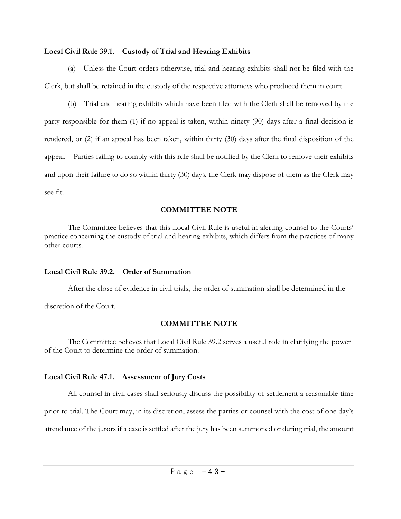#### **Local Civil Rule 39.1. Custody of Trial and Hearing Exhibits**

(a) Unless the Court orders otherwise, trial and hearing exhibits shall not be filed with the Clerk, but shall be retained in the custody of the respective attorneys who produced them in court.

(b) Trial and hearing exhibits which have been filed with the Clerk shall be removed by the party responsible for them (1) if no appeal is taken, within ninety (90) days after a final decision is rendered, or (2) if an appeal has been taken, within thirty (30) days after the final disposition of the appeal. Parties failing to comply with this rule shall be notified by the Clerk to remove their exhibits and upon their failure to do so within thirty (30) days, the Clerk may dispose of them as the Clerk may see fit.

### **COMMITTEE NOTE**

The Committee believes that this Local Civil Rule is useful in alerting counsel to the Courts' practice concerning the custody of trial and hearing exhibits, which differs from the practices of many other courts.

#### **Local Civil Rule 39.2. Order of Summation**

After the close of evidence in civil trials, the order of summation shall be determined in the discretion of the Court.

# **COMMITTEE NOTE**

The Committee believes that Local Civil Rule 39.2 serves a useful role in clarifying the power of the Court to determine the order of summation.

# **Local Civil Rule 47.1. Assessment of Jury Costs**

All counsel in civil cases shall seriously discuss the possibility of settlement a reasonable time

prior to trial. The Court may, in its discretion, assess the parties or counsel with the cost of one day's

attendance of the jurors if a case is settled after the jury has been summoned or during trial, the amount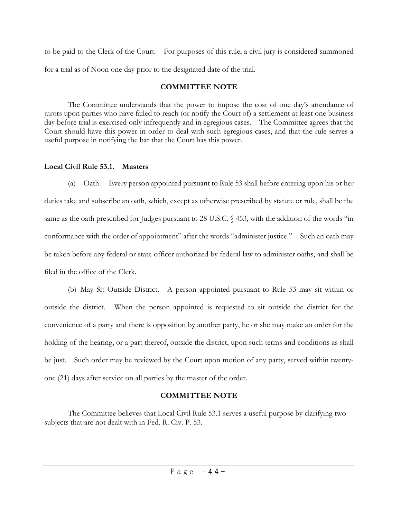to be paid to the Clerk of the Court. For purposes of this rule, a civil jury is considered summoned for a trial as of Noon one day prior to the designated date of the trial.

### **COMMITTEE NOTE**

The Committee understands that the power to impose the cost of one day's attendance of jurors upon parties who have failed to reach (or notify the Court of) a settlement at least one business day before trial is exercised only infrequently and in egregious cases. The Committee agrees that the Court should have this power in order to deal with such egregious cases, and that the rule serves a useful purpose in notifying the bar that the Court has this power.

# **Local Civil Rule 53.1. Masters**

(a) Oath. Every person appointed pursuant to Rule 53 shall before entering upon his or her duties take and subscribe an oath, which, except as otherwise prescribed by statute or rule, shall be the same as the oath prescribed for Judges pursuant to 28 U.S.C. § 453, with the addition of the words "in conformance with the order of appointment" after the words "administer justice." Such an oath may be taken before any federal or state officer authorized by federal law to administer oaths, and shall be filed in the office of the Clerk.

(b) May Sit Outside District. A person appointed pursuant to Rule 53 may sit within or outside the district. When the person appointed is requested to sit outside the district for the convenience of a party and there is opposition by another party, he or she may make an order for the holding of the hearing, or a part thereof, outside the district, upon such terms and conditions as shall be just. Such order may be reviewed by the Court upon motion of any party, served within twentyone (21) days after service on all parties by the master of the order.

# **COMMITTEE NOTE**

The Committee believes that Local Civil Rule 53.1 serves a useful purpose by clarifying two subjects that are not dealt with in Fed. R. Civ. P. 53.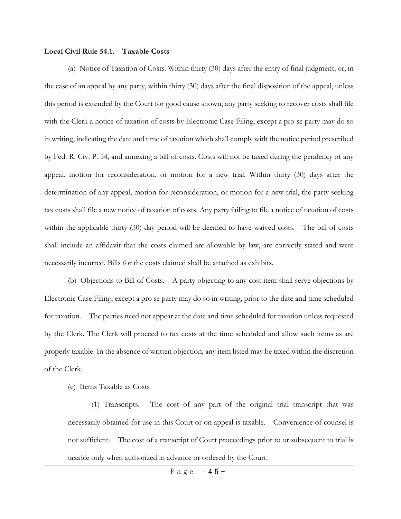#### **Local Civil Rule 54.1. Taxable Costs**

(a) Notice of Taxation of Costs. Within thirty (30) days after the entry of final judgment, or, in the case of an appeal by any party, within thirty (30) days after the final disposition of the appeal, unless this period is extended by the Court for good cause shown, any party seeking to recover costs shall file with the Clerk a notice of taxation of costs by Electronic Case Filing, except a pro se party may do so in writing, indicating the date and time of taxation which shall comply with the notice period prescribed by Fed. R. Civ. P. 54, and annexing a bill of costs. Costs will not be taxed during the pendency of any appeal, motion for reconsideration, or motion for a new trial. Within thirty (30) days after the determination of any appeal, motion for reconsideration, or motion for a new trial, the party seeking tax costs shall file a new notice of taxation of costs. Any party failing to file a notice of taxation of costs within the applicable thirty (30) day period will be deemed to have waived costs. The bill of costs shall include an affidavit that the costs claimed are allowable by law, are correctly stated and were necessarily incurred. Bills for the costs claimed shall be attached as exhibits.

(b) Objections to Bill of Costs. A party objecting to any cost item shall serve objections by Electronic Case Filing, except a pro se party may do so in writing, prior to the date and time scheduled for taxation. The parties need not appear at the date and time scheduled for taxation unless requested by the Clerk. The Clerk will proceed to tax costs at the time scheduled and allow such items as are properly taxable. In the absence of written objection, any item listed may be taxed within the discretion of the Clerk.

(c) Items Taxable as Costs

(1) Transcripts. The cost of any part of the original trial transcript that was necessarily obtained for use in this Court or on appeal is taxable. Convenience of counsel is not sufficient. The cost of a transcript of Court proceedings prior to or subsequent to trial is taxable only when authorized in advance or ordered by the Court.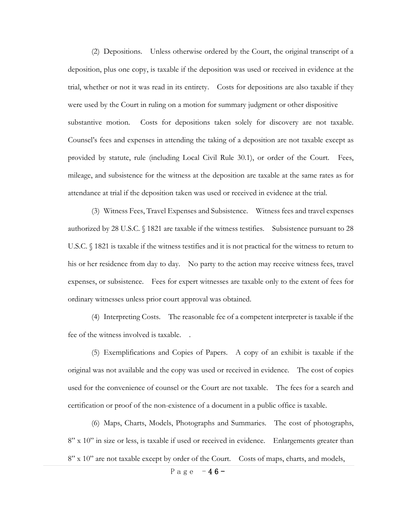(2) Depositions. Unless otherwise ordered by the Court, the original transcript of a deposition, plus one copy, is taxable if the deposition was used or received in evidence at the trial, whether or not it was read in its entirety. Costs for depositions are also taxable if they were used by the Court in ruling on a motion for summary judgment or other dispositive substantive motion. Costs for depositions taken solely for discovery are not taxable. Counsel's fees and expenses in attending the taking of a deposition are not taxable except as provided by statute, rule (including Local Civil Rule 30.1), or order of the Court. Fees, mileage, and subsistence for the witness at the deposition are taxable at the same rates as for attendance at trial if the deposition taken was used or received in evidence at the trial.

(3) Witness Fees, Travel Expenses and Subsistence. Witness fees and travel expenses authorized by 28 U.S.C. § 1821 are taxable if the witness testifies. Subsistence pursuant to 28 U.S.C. § 1821 is taxable if the witness testifies and it is not practical for the witness to return to his or her residence from day to day. No party to the action may receive witness fees, travel expenses, or subsistence. Fees for expert witnesses are taxable only to the extent of fees for ordinary witnesses unless prior court approval was obtained.

(4) Interpreting Costs. The reasonable fee of a competent interpreter is taxable if the fee of the witness involved is taxable. .

(5) Exemplifications and Copies of Papers. A copy of an exhibit is taxable if the original was not available and the copy was used or received in evidence. The cost of copies used for the convenience of counsel or the Court are not taxable. The fees for a search and certification or proof of the non-existence of a document in a public office is taxable.

(6) Maps, Charts, Models, Photographs and Summaries. The cost of photographs, 8" x 10" in size or less, is taxable if used or received in evidence. Enlargements greater than 8" x 10" are not taxable except by order of the Court. Costs of maps, charts, and models,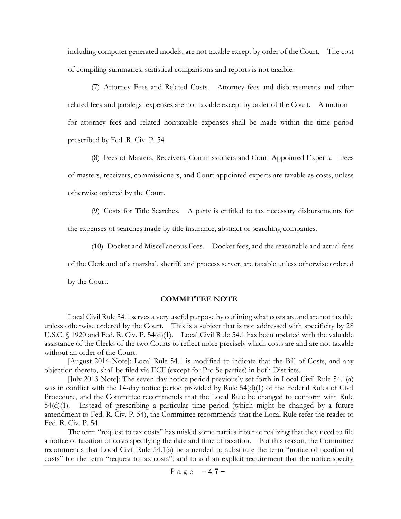including computer generated models, are not taxable except by order of the Court. The cost of compiling summaries, statistical comparisons and reports is not taxable.

(7) Attorney Fees and Related Costs. Attorney fees and disbursements and other related fees and paralegal expenses are not taxable except by order of the Court. A motion for attorney fees and related nontaxable expenses shall be made within the time period prescribed by Fed. R. Civ. P. 54.

(8) Fees of Masters, Receivers, Commissioners and Court Appointed Experts. Fees of masters, receivers, commissioners, and Court appointed experts are taxable as costs, unless otherwise ordered by the Court.

(9) Costs for Title Searches. A party is entitled to tax necessary disbursements for

the expenses of searches made by title insurance, abstract or searching companies.

(10) Docket and Miscellaneous Fees. Docket fees, and the reasonable and actual fees

of the Clerk and of a marshal, sheriff, and process server, are taxable unless otherwise ordered

by the Court.

#### **COMMITTEE NOTE**

Local Civil Rule 54.1 serves a very useful purpose by outlining what costs are and are not taxable unless otherwise ordered by the Court. This is a subject that is not addressed with specificity by 28 U.S.C. § 1920 and Fed. R. Civ. P. 54(d)(1). Local Civil Rule 54.1 has been updated with the valuable assistance of the Clerks of the two Courts to reflect more precisely which costs are and are not taxable without an order of the Court.

[August 2014 Note]: Local Rule 54.1 is modified to indicate that the Bill of Costs, and any objection thereto, shall be filed via ECF (except for Pro Se parties) in both Districts.

[July 2013 Note]: The seven-day notice period previously set forth in Local Civil Rule 54.1(a) was in conflict with the 14-day notice period provided by Rule 54(d)(1) of the Federal Rules of Civil Procedure, and the Committee recommends that the Local Rule be changed to conform with Rule 54(d)(1). Instead of prescribing a particular time period (which might be changed by a future amendment to Fed. R. Civ. P. 54), the Committee recommends that the Local Rule refer the reader to Fed. R. Civ. P. 54.

The term "request to tax costs" has misled some parties into not realizing that they need to file a notice of taxation of costs specifying the date and time of taxation. For this reason, the Committee recommends that Local Civil Rule 54.1(a) be amended to substitute the term "notice of taxation of costs" for the term "request to tax costs", and to add an explicit requirement that the notice specify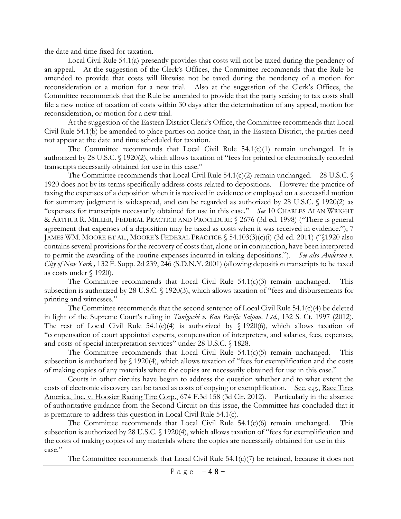the date and time fixed for taxation.

Local Civil Rule 54.1(a) presently provides that costs will not be taxed during the pendency of an appeal. At the suggestion of the Clerk's Offices, the Committee recommends that the Rule be amended to provide that costs will likewise not be taxed during the pendency of a motion for reconsideration or a motion for a new trial. Also at the suggestion of the Clerk's Offices, the Committee recommends that the Rule be amended to provide that the party seeking to tax costs shall file a new notice of taxation of costs within 30 days after the determination of any appeal, motion for reconsideration, or motion for a new trial.

At the suggestion of the Eastern District Clerk's Office, the Committee recommends that Local Civil Rule 54.1(b) be amended to place parties on notice that, in the Eastern District, the parties need not appear at the date and time scheduled for taxation.

The Committee recommends that Local Civil Rule 54.1(c)(1) remain unchanged. It is authorized by 28 U.S.C. § 1920(2), which allows taxation of "fees for printed or electronically recorded transcripts necessarily obtained for use in this case."

The Committee recommends that Local Civil Rule 54.1(c)(2) remain unchanged. 28 U.S.C.  $\sqrt{ }$ 1920 does not by its terms specifically address costs related to depositions. However the practice of taxing the expenses of a deposition when it is received in evidence or employed on a successful motion for summary judgment is widespread, and can be regarded as authorized by 28 U.S.C. § 1920(2) as "expenses for transcripts necessarily obtained for use in this case." *See* 10 CHARLES ALAN WRIGHT & ARTHUR R. MILLER, FEDERAL PRACTICE AND PROCEDURE § 2676 (3d ed. 1998) ("There is general agreement that expenses of a deposition may be taxed as costs when it was received in evidence."); 7 JAMES WM. MOORE ET AL., MOORE'S FEDERAL PRACTICE § 54.103(3)(c)(i) (3d ed. 2011) ("§1920 also contains several provisions for the recovery of costs that, alone or in conjunction, have been interpreted to permit the awarding of the routine expenses incurred in taking depositions."). *See also Anderson v. City of New York ,* 132 F. Supp. 2d 239, 246 (S.D.N.Y. 2001) (allowing deposition transcripts to be taxed as costs under § 1920).

The Committee recommends that Local Civil Rule  $54.1(c)(3)$  remain unchanged. This subsection is authorized by 28 U.S.C. § 1920(3), which allows taxation of "fees and disbursements for printing and witnesses."

The Committee recommends that the second sentence of Local Civil Rule 54.1(c)(4) be deleted in light of the Supreme Court's ruling in *Taniguchi v. Kan Pacific Saipan, Ltd.*, 132 S. Ct. 1997 (2012). The rest of Local Civil Rule 54.1(c)(4) is authorized by  $\frac{1}{20}(6)$ , which allows taxation of "compensation of court appointed experts, compensation of interpreters, and salaries, fees, expenses, and costs of special interpretation services" under 28 U.S.C. § 1828.

The Committee recommends that Local Civil Rule  $54.1(c)(5)$  remain unchanged. This subsection is authorized by  $\S$  1920(4), which allows taxation of "fees for exemplification and the costs of making copies of any materials where the copies are necessarily obtained for use in this case."

Courts in other circuits have begun to address the question whether and to what extent the costs of electronic discovery can be taxed as costs of copying or exemplification. See, e.g., Race Tires America, Inc. v. Hoosier Racing Tire Corp., 674 F.3d 158 (3d Cir. 2012). Particularly in the absence of authoritative guidance from the Second Circuit on this issue, the Committee has concluded that it is premature to address this question in Local Civil Rule 54.1(c).

The Committee recommends that Local Civil Rule  $54.1(c)(6)$  remain unchanged. This subsection is authorized by 28 U.S.C. § 1920(4), which allows taxation of "fees for exemplification and the costs of making copies of any materials where the copies are necessarily obtained for use in this case."

The Committee recommends that Local Civil Rule  $54.1(c)(7)$  be retained, because it does not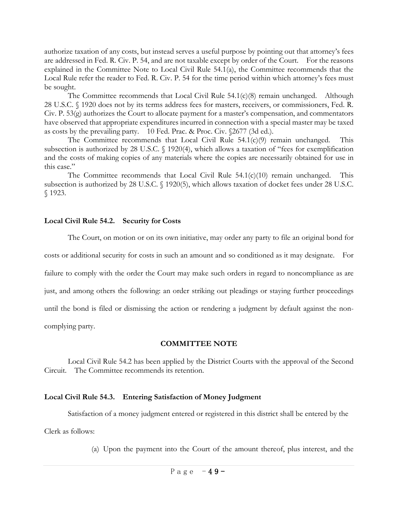authorize taxation of any costs, but instead serves a useful purpose by pointing out that attorney's fees are addressed in Fed. R. Civ. P. 54, and are not taxable except by order of the Court. For the reasons explained in the Committee Note to Local Civil Rule 54.1(a), the Committee recommends that the Local Rule refer the reader to Fed. R. Civ. P. 54 for the time period within which attorney's fees must be sought.

The Committee recommends that Local Civil Rule  $54.1(c)(8)$  remain unchanged. Although 28 U.S.C. § 1920 does not by its terms address fees for masters, receivers, or commissioners, Fed. R. Civ. P. 53(g) authorizes the Court to allocate payment for a master's compensation, and commentators have observed that appropriate expenditures incurred in connection with a special master may be taxed as costs by the prevailing party. 10 Fed. Prac. & Proc. Civ. §2677 (3d ed.).

The Committee recommends that Local Civil Rule 54.1(c)(9) remain unchanged. This subsection is authorized by 28 U.S.C. § 1920(4), which allows a taxation of "fees for exemplification and the costs of making copies of any materials where the copies are necessarily obtained for use in this case."

The Committee recommends that Local Civil Rule  $54.1(c)(10)$  remain unchanged. This subsection is authorized by 28 U.S.C. § 1920(5), which allows taxation of docket fees under 28 U.S.C. § 1923.

#### **Local Civil Rule 54.2. Security for Costs**

The Court, on motion or on its own initiative, may order any party to file an original bond for costs or additional security for costs in such an amount and so conditioned as it may designate. For failure to comply with the order the Court may make such orders in regard to noncompliance as are just, and among others the following: an order striking out pleadings or staying further proceedings until the bond is filed or dismissing the action or rendering a judgment by default against the noncomplying party.

#### **COMMITTEE NOTE**

Local Civil Rule 54.2 has been applied by the District Courts with the approval of the Second Circuit. The Committee recommends its retention.

#### **Local Civil Rule 54.3. Entering Satisfaction of Money Judgment**

Satisfaction of a money judgment entered or registered in this district shall be entered by the Clerk as follows:

(a) Upon the payment into the Court of the amount thereof, plus interest, and the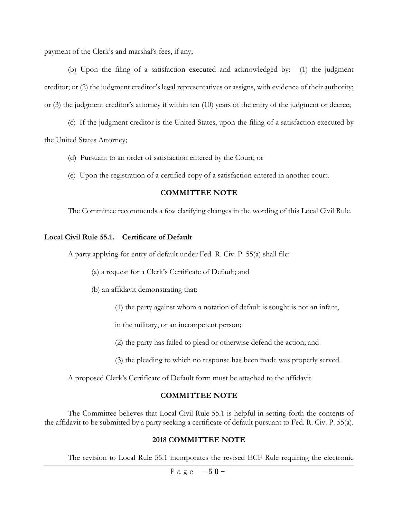payment of the Clerk's and marshal's fees, if any;

(b) Upon the filing of a satisfaction executed and acknowledged by: (1) the judgment creditor; or (2) the judgment creditor's legal representatives or assigns, with evidence of their authority; or (3) the judgment creditor's attorney if within ten (10) years of the entry of the judgment or decree;

(c) If the judgment creditor is the United States, upon the filing of a satisfaction executed by the United States Attorney;

- (d) Pursuant to an order of satisfaction entered by the Court; or
- (e) Upon the registration of a certified copy of a satisfaction entered in another court.

#### **COMMITTEE NOTE**

The Committee recommends a few clarifying changes in the wording of this Local Civil Rule.

#### **Local Civil Rule 55.1. Certificate of Default**

A party applying for entry of default under Fed. R. Civ. P. 55(a) shall file:

- (a) a request for a Clerk's Certificate of Default; and
- (b) an affidavit demonstrating that:
	- (1) the party against whom a notation of default is sought is not an infant,

in the military, or an incompetent person;

- (2) the party has failed to plead or otherwise defend the action; and
- (3) the pleading to which no response has been made was properly served.

A proposed Clerk's Certificate of Default form must be attached to the affidavit.

#### **COMMITTEE NOTE**

The Committee believes that Local Civil Rule 55.1 is helpful in setting forth the contents of the affidavit to be submitted by a party seeking a certificate of default pursuant to Fed. R. Civ. P. 55(a).

#### **2018 COMMITTEE NOTE**

The revision to Local Rule 55.1 incorporates the revised ECF Rule requiring the electronic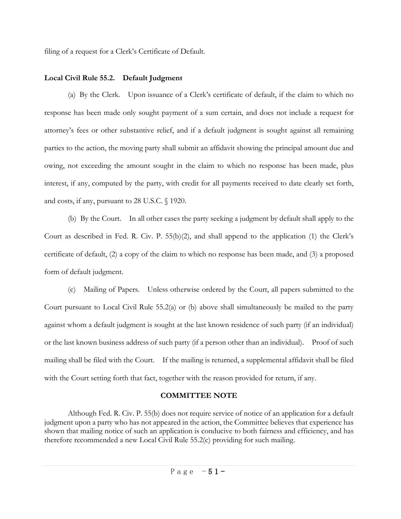filing of a request for a Clerk's Certificate of Default.

### **Local Civil Rule 55.2. Default Judgment**

(a) By the Clerk. Upon issuance of a Clerk's certificate of default, if the claim to which no response has been made only sought payment of a sum certain, and does not include a request for attorney's fees or other substantive relief, and if a default judgment is sought against all remaining parties to the action, the moving party shall submit an affidavit showing the principal amount due and owing, not exceeding the amount sought in the claim to which no response has been made, plus interest, if any, computed by the party, with credit for all payments received to date clearly set forth, and costs, if any, pursuant to 28 U.S.C. § 1920.

(b) By the Court. In all other cases the party seeking a judgment by default shall apply to the Court as described in Fed. R. Civ. P. 55(b)(2), and shall append to the application (1) the Clerk's certificate of default, (2) a copy of the claim to which no response has been made, and (3) a proposed form of default judgment.

(c) Mailing of Papers. Unless otherwise ordered by the Court, all papers submitted to the Court pursuant to Local Civil Rule 55.2(a) or (b) above shall simultaneously be mailed to the party against whom a default judgment is sought at the last known residence of such party (if an individual) or the last known business address of such party (if a person other than an individual). Proof of such mailing shall be filed with the Court. If the mailing is returned, a supplemental affidavit shall be filed with the Court setting forth that fact, together with the reason provided for return, if any.

#### **COMMITTEE NOTE**

Although Fed. R. Civ. P. 55(b) does not require service of notice of an application for a default judgment upon a party who has not appeared in the action, the Committee believes that experience has shown that mailing notice of such an application is conducive to both fairness and efficiency, and has therefore recommended a new Local Civil Rule 55.2(c) providing for such mailing.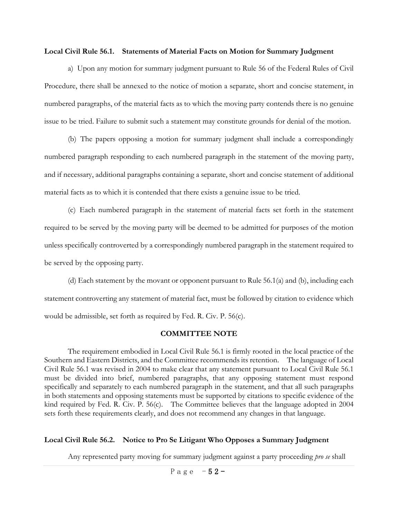#### **Local Civil Rule 56.1. Statements of Material Facts on Motion for Summary Judgment**

a) Upon any motion for summary judgment pursuant to Rule 56 of the Federal Rules of Civil Procedure, there shall be annexed to the notice of motion a separate, short and concise statement, in numbered paragraphs, of the material facts as to which the moving party contends there is no genuine issue to be tried. Failure to submit such a statement may constitute grounds for denial of the motion.

(b) The papers opposing a motion for summary judgment shall include a correspondingly numbered paragraph responding to each numbered paragraph in the statement of the moving party, and if necessary, additional paragraphs containing a separate, short and concise statement of additional material facts as to which it is contended that there exists a genuine issue to be tried.

(c) Each numbered paragraph in the statement of material facts set forth in the statement required to be served by the moving party will be deemed to be admitted for purposes of the motion unless specifically controverted by a correspondingly numbered paragraph in the statement required to be served by the opposing party.

(d) Each statement by the movant or opponent pursuant to Rule 56.1(a) and (b), including each statement controverting any statement of material fact, must be followed by citation to evidence which would be admissible, set forth as required by Fed. R. Civ. P. 56(c).

#### **COMMITTEE NOTE**

The requirement embodied in Local Civil Rule 56.1 is firmly rooted in the local practice of the Southern and Eastern Districts, and the Committee recommends its retention. The language of Local Civil Rule 56.1 was revised in 2004 to make clear that any statement pursuant to Local Civil Rule 56.1 must be divided into brief, numbered paragraphs, that any opposing statement must respond specifically and separately to each numbered paragraph in the statement, and that all such paragraphs in both statements and opposing statements must be supported by citations to specific evidence of the kind required by Fed. R. Civ. P. 56(c). The Committee believes that the language adopted in 2004 sets forth these requirements clearly, and does not recommend any changes in that language.

# **Local Civil Rule 56.2. Notice to Pro Se Litigant Who Opposes a Summary Judgment**

Any represented party moving for summary judgment against a party proceeding *pro se* shall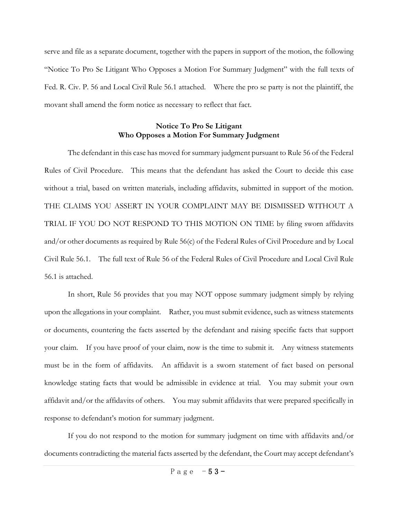serve and file as a separate document, together with the papers in support of the motion, the following "Notice To Pro Se Litigant Who Opposes a Motion For Summary Judgment" with the full texts of Fed. R. Civ. P. 56 and Local Civil Rule 56.1 attached. Where the pro se party is not the plaintiff, the movant shall amend the form notice as necessary to reflect that fact.

### **Notice To Pro Se Litigant Who Opposes a Motion For Summary Judgment**

The defendant in this case has moved for summary judgment pursuant to Rule 56 of the Federal Rules of Civil Procedure. This means that the defendant has asked the Court to decide this case without a trial, based on written materials, including affidavits, submitted in support of the motion. THE CLAIMS YOU ASSERT IN YOUR COMPLAINT MAY BE DISMISSED WITHOUT A TRIAL IF YOU DO NOT RESPOND TO THIS MOTION ON TIME by filing sworn affidavits and/or other documents as required by Rule 56(c) of the Federal Rules of Civil Procedure and by Local Civil Rule 56.1. The full text of Rule 56 of the Federal Rules of Civil Procedure and Local Civil Rule 56.1 is attached.

In short, Rule 56 provides that you may NOT oppose summary judgment simply by relying upon the allegations in your complaint. Rather, you must submit evidence, such as witness statements or documents, countering the facts asserted by the defendant and raising specific facts that support your claim. If you have proof of your claim, now is the time to submit it. Any witness statements must be in the form of affidavits. An affidavit is a sworn statement of fact based on personal knowledge stating facts that would be admissible in evidence at trial. You may submit your own affidavit and/or the affidavits of others. You may submit affidavits that were prepared specifically in response to defendant's motion for summary judgment.

If you do not respond to the motion for summary judgment on time with affidavits and/or documents contradicting the material facts asserted by the defendant, the Court may accept defendant's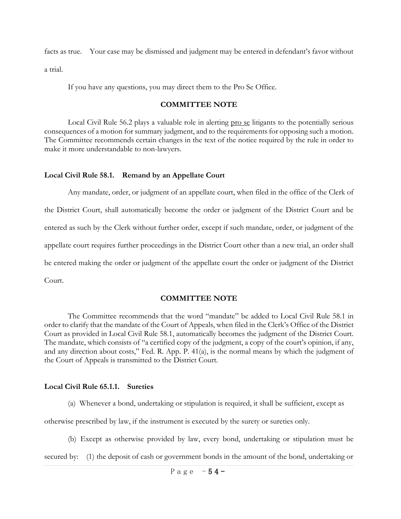facts as true. Your case may be dismissed and judgment may be entered in defendant's favor without a trial.

If you have any questions, you may direct them to the Pro Se Office.

### **COMMITTEE NOTE**

Local Civil Rule 56.2 plays a valuable role in alerting pro se litigants to the potentially serious consequences of a motion for summary judgment, and to the requirements for opposing such a motion. The Committee recommends certain changes in the text of the notice required by the rule in order to make it more understandable to non-lawyers.

### **Local Civil Rule 58.1. Remand by an Appellate Court**

Any mandate, order, or judgment of an appellate court, when filed in the office of the Clerk of the District Court, shall automatically become the order or judgment of the District Court and be entered as such by the Clerk without further order, except if such mandate, order, or judgment of the appellate court requires further proceedings in the District Court other than a new trial, an order shall be entered making the order or judgment of the appellate court the order or judgment of the District Court.

#### **COMMITTEE NOTE**

The Committee recommends that the word "mandate" be added to Local Civil Rule 58.1 in order to clarify that the mandate of the Court of Appeals, when filed in the Clerk's Office of the District Court as provided in Local Civil Rule 58.1, automatically becomes the judgment of the District Court. The mandate, which consists of "a certified copy of the judgment, a copy of the court's opinion, if any, and any direction about costs," Fed. R. App. P. 41(a), is the normal means by which the judgment of the Court of Appeals is transmitted to the District Court.

#### **Local Civil Rule 65.1.1. Sureties**

(a) Whenever a bond, undertaking or stipulation is required, it shall be sufficient, except as

otherwise prescribed by law, if the instrument is executed by the surety or sureties only.

(b) Except as otherwise provided by law, every bond, undertaking or stipulation must be

secured by: (1) the deposit of cash or government bonds in the amount of the bond, undertaking or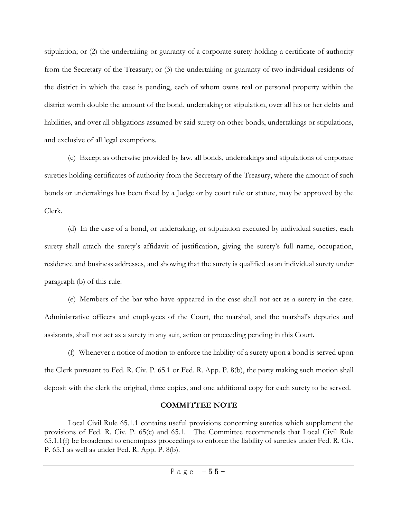stipulation; or (2) the undertaking or guaranty of a corporate surety holding a certificate of authority from the Secretary of the Treasury; or (3) the undertaking or guaranty of two individual residents of the district in which the case is pending, each of whom owns real or personal property within the district worth double the amount of the bond, undertaking or stipulation, over all his or her debts and liabilities, and over all obligations assumed by said surety on other bonds, undertakings or stipulations, and exclusive of all legal exemptions.

(c) Except as otherwise provided by law, all bonds, undertakings and stipulations of corporate sureties holding certificates of authority from the Secretary of the Treasury, where the amount of such bonds or undertakings has been fixed by a Judge or by court rule or statute, may be approved by the Clerk.

(d) In the case of a bond, or undertaking, or stipulation executed by individual sureties, each surety shall attach the surety's affidavit of justification, giving the surety's full name, occupation, residence and business addresses, and showing that the surety is qualified as an individual surety under paragraph (b) of this rule.

(e) Members of the bar who have appeared in the case shall not act as a surety in the case. Administrative officers and employees of the Court, the marshal, and the marshal's deputies and assistants, shall not act as a surety in any suit, action or proceeding pending in this Court.

(f) Whenever a notice of motion to enforce the liability of a surety upon a bond is served upon the Clerk pursuant to Fed. R. Civ. P. 65.1 or Fed. R. App. P. 8(b), the party making such motion shall deposit with the clerk the original, three copies, and one additional copy for each surety to be served.

#### **COMMITTEE NOTE**

Local Civil Rule 65.1.1 contains useful provisions concerning sureties which supplement the provisions of Fed. R. Civ. P. 65(c) and 65.1. The Committee recommends that Local Civil Rule 65.1.1(f) be broadened to encompass proceedings to enforce the liability of sureties under Fed. R. Civ. P. 65.1 as well as under Fed. R. App. P. 8(b).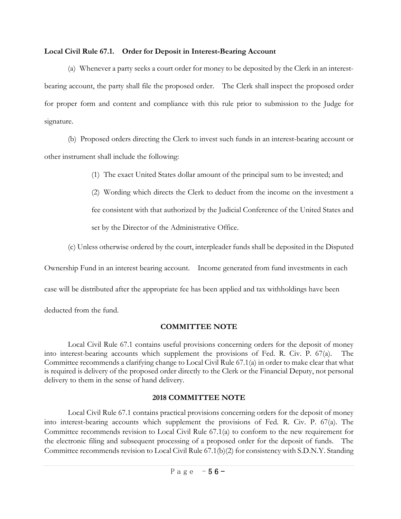#### **Local Civil Rule 67.1. Order for Deposit in Interest-Bearing Account**

(a) Whenever a party seeks a court order for money to be deposited by the Clerk in an interestbearing account, the party shall file the proposed order. The Clerk shall inspect the proposed order for proper form and content and compliance with this rule prior to submission to the Judge for signature.

(b) Proposed orders directing the Clerk to invest such funds in an interest-bearing account or other instrument shall include the following:

(1) The exact United States dollar amount of the principal sum to be invested; and

(2) Wording which directs the Clerk to deduct from the income on the investment a fee consistent with that authorized by the Judicial Conference of the United States and set by the Director of the Administrative Office.

(c) Unless otherwise ordered by the court, interpleader funds shall be deposited in the Disputed

Ownership Fund in an interest bearing account. Income generated from fund investments in each

case will be distributed after the appropriate fee has been applied and tax withholdings have been

deducted from the fund.

# **COMMITTEE NOTE**

Local Civil Rule 67.1 contains useful provisions concerning orders for the deposit of money into interest-bearing accounts which supplement the provisions of Fed. R. Civ. P. 67(a). The Committee recommends a clarifying change to Local Civil Rule 67.1(a) in order to make clear that what is required is delivery of the proposed order directly to the Clerk or the Financial Deputy, not personal delivery to them in the sense of hand delivery.

# **2018 COMMITTEE NOTE**

Local Civil Rule 67.1 contains practical provisions concerning orders for the deposit of money into interest-bearing accounts which supplement the provisions of Fed. R. Civ. P. 67(a). The Committee recommends revision to Local Civil Rule 67.1(a) to conform to the new requirement for the electronic filing and subsequent processing of a proposed order for the deposit of funds. The Committee recommends revision to Local Civil Rule 67.1(b)(2) for consistency with S.D.N.Y. Standing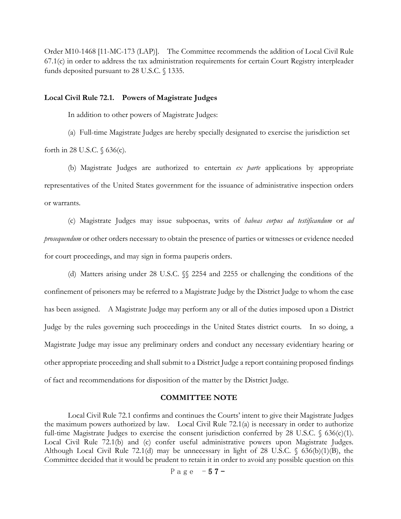Order M10-1468 [11-MC-173 (LAP)]. The Committee recommends the addition of Local Civil Rule 67.1(c) in order to address the tax administration requirements for certain Court Registry interpleader funds deposited pursuant to 28 U.S.C. § 1335.

#### **Local Civil Rule 72.1. Powers of Magistrate Judges**

In addition to other powers of Magistrate Judges:

(a) Full-time Magistrate Judges are hereby specially designated to exercise the jurisdiction set

forth in 28 U.S.C. § 636(c).

(b) Magistrate Judges are authorized to entertain *ex parte* applications by appropriate representatives of the United States government for the issuance of administrative inspection orders or warrants.

(c) Magistrate Judges may issue subpoenas, writs of *habeas corpus ad testificandum* or *ad prosequendum* or other orders necessary to obtain the presence of parties or witnesses or evidence needed for court proceedings, and may sign in forma pauperis orders.

(d) Matters arising under 28 U.S.C. §§ 2254 and 2255 or challenging the conditions of the confinement of prisoners may be referred to a Magistrate Judge by the District Judge to whom the case has been assigned. A Magistrate Judge may perform any or all of the duties imposed upon a District Judge by the rules governing such proceedings in the United States district courts. In so doing, a Magistrate Judge may issue any preliminary orders and conduct any necessary evidentiary hearing or other appropriate proceeding and shall submit to a District Judge a report containing proposed findings of fact and recommendations for disposition of the matter by the District Judge.

#### **COMMITTEE NOTE**

Local Civil Rule 72.1 confirms and continues the Courts' intent to give their Magistrate Judges the maximum powers authorized by law. Local Civil Rule 72.1(a) is necessary in order to authorize full-time Magistrate Judges to exercise the consent jurisdiction conferred by 28 U.S.C. § 636(c)(1). Local Civil Rule 72.1(b) and (c) confer useful administrative powers upon Magistrate Judges. Although Local Civil Rule 72.1(d) may be unnecessary in light of 28 U.S.C.  $\frac{636(b)(1)(B)}{B}$ , the Committee decided that it would be prudent to retain it in order to avoid any possible question on this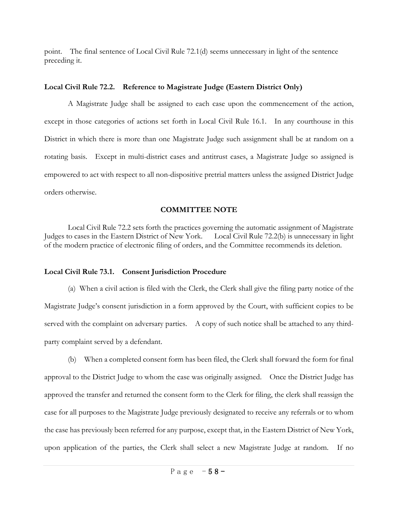point. The final sentence of Local Civil Rule 72.1(d) seems unnecessary in light of the sentence preceding it.

### **Local Civil Rule 72.2. Reference to Magistrate Judge (Eastern District Only)**

A Magistrate Judge shall be assigned to each case upon the commencement of the action, except in those categories of actions set forth in Local Civil Rule 16.1. In any courthouse in this District in which there is more than one Magistrate Judge such assignment shall be at random on a rotating basis. Except in multi-district cases and antitrust cases, a Magistrate Judge so assigned is empowered to act with respect to all non-dispositive pretrial matters unless the assigned District Judge orders otherwise.

# **COMMITTEE NOTE**

Local Civil Rule 72.2 sets forth the practices governing the automatic assignment of Magistrate Judges to cases in the Eastern District of New York. Local Civil Rule 72.2(b) is unnecessary in light of the modern practice of electronic filing of orders, and the Committee recommends its deletion.

# **Local Civil Rule 73.1. Consent Jurisdiction Procedure**

(a) When a civil action is filed with the Clerk, the Clerk shall give the filing party notice of the Magistrate Judge's consent jurisdiction in a form approved by the Court, with sufficient copies to be served with the complaint on adversary parties. A copy of such notice shall be attached to any thirdparty complaint served by a defendant.

(b) When a completed consent form has been filed, the Clerk shall forward the form for final approval to the District Judge to whom the case was originally assigned. Once the District Judge has approved the transfer and returned the consent form to the Clerk for filing, the clerk shall reassign the case for all purposes to the Magistrate Judge previously designated to receive any referrals or to whom the case has previously been referred for any purpose, except that, in the Eastern District of New York, upon application of the parties, the Clerk shall select a new Magistrate Judge at random. If no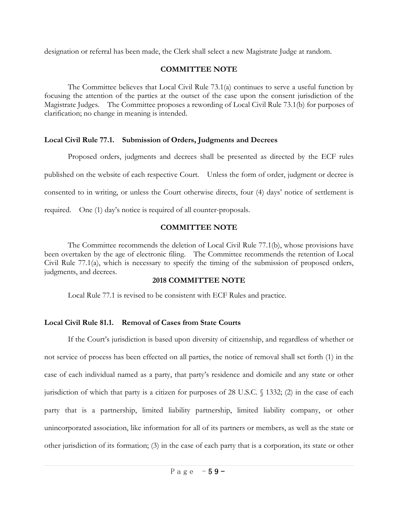designation or referral has been made, the Clerk shall select a new Magistrate Judge at random.

# **COMMITTEE NOTE**

The Committee believes that Local Civil Rule 73.1(a) continues to serve a useful function by focusing the attention of the parties at the outset of the case upon the consent jurisdiction of the Magistrate Judges. The Committee proposes a rewording of Local Civil Rule 73.1(b) for purposes of clarification; no change in meaning is intended.

# **Local Civil Rule 77.1. Submission of Orders, Judgments and Decrees**

Proposed orders, judgments and decrees shall be presented as directed by the ECF rules published on the website of each respective Court. Unless the form of order, judgment or decree is consented to in writing, or unless the Court otherwise directs, four (4) days' notice of settlement is required. One (1) day's notice is required of all counter-proposals.

# **COMMITTEE NOTE**

The Committee recommends the deletion of Local Civil Rule 77.1(b), whose provisions have been overtaken by the age of electronic filing. The Committee recommends the retention of Local Civil Rule 77.1(a), which is necessary to specify the timing of the submission of proposed orders, judgments, and decrees.

# **2018 COMMITTEE NOTE**

Local Rule 77.1 is revised to be consistent with ECF Rules and practice.

# **Local Civil Rule 81.1. Removal of Cases from State Courts**

If the Court's jurisdiction is based upon diversity of citizenship, and regardless of whether or not service of process has been effected on all parties, the notice of removal shall set forth (1) in the case of each individual named as a party, that party's residence and domicile and any state or other jurisdiction of which that party is a citizen for purposes of 28 U.S.C. § 1332; (2) in the case of each party that is a partnership, limited liability partnership, limited liability company, or other unincorporated association, like information for all of its partners or members, as well as the state or other jurisdiction of its formation; (3) in the case of each party that is a corporation, its state or other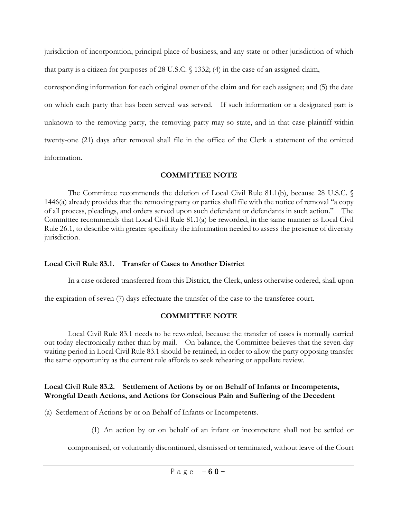jurisdiction of incorporation, principal place of business, and any state or other jurisdiction of which that party is a citizen for purposes of 28 U.S.C. § 1332; (4) in the case of an assigned claim,

corresponding information for each original owner of the claim and for each assignee; and (5) the date on which each party that has been served was served. If such information or a designated part is unknown to the removing party, the removing party may so state, and in that case plaintiff within twenty-one (21) days after removal shall file in the office of the Clerk a statement of the omitted information.

### **COMMITTEE NOTE**

The Committee recommends the deletion of Local Civil Rule 81.1(b), because 28 U.S.C.  $\sqrt{ }$ 1446(a) already provides that the removing party or parties shall file with the notice of removal "a copy of all process, pleadings, and orders served upon such defendant or defendants in such action." The Committee recommends that Local Civil Rule 81.1(a) be reworded, in the same manner as Local Civil Rule 26.1, to describe with greater specificity the information needed to assess the presence of diversity jurisdiction.

# **Local Civil Rule 83.1. Transfer of Cases to Another District**

In a case ordered transferred from this District, the Clerk, unless otherwise ordered, shall upon

the expiration of seven (7) days effectuate the transfer of the case to the transferee court.

# **COMMITTEE NOTE**

Local Civil Rule 83.1 needs to be reworded, because the transfer of cases is normally carried out today electronically rather than by mail. On balance, the Committee believes that the seven-day waiting period in Local Civil Rule 83.1 should be retained, in order to allow the party opposing transfer the same opportunity as the current rule affords to seek rehearing or appellate review.

### **Local Civil Rule 83.2. Settlement of Actions by or on Behalf of Infants or Incompetents, Wrongful Death Actions, and Actions for Conscious Pain and Suffering of the Decedent**

- (a) Settlement of Actions by or on Behalf of Infants or Incompetents.
	- (1) An action by or on behalf of an infant or incompetent shall not be settled or

compromised, or voluntarily discontinued, dismissed or terminated, without leave of the Court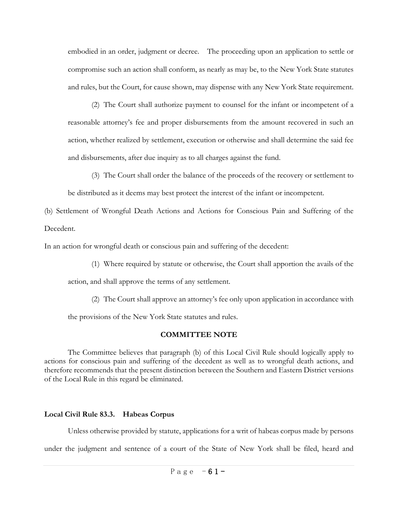embodied in an order, judgment or decree. The proceeding upon an application to settle or compromise such an action shall conform, as nearly as may be, to the New York State statutes and rules, but the Court, for cause shown, may dispense with any New York State requirement.

(2) The Court shall authorize payment to counsel for the infant or incompetent of a reasonable attorney's fee and proper disbursements from the amount recovered in such an action, whether realized by settlement, execution or otherwise and shall determine the said fee and disbursements, after due inquiry as to all charges against the fund.

(3) The Court shall order the balance of the proceeds of the recovery or settlement to

be distributed as it deems may best protect the interest of the infant or incompetent.

(b) Settlement of Wrongful Death Actions and Actions for Conscious Pain and Suffering of the Decedent.

In an action for wrongful death or conscious pain and suffering of the decedent:

(1) Where required by statute or otherwise, the Court shall apportion the avails of the

action, and shall approve the terms of any settlement.

(2) The Court shall approve an attorney's fee only upon application in accordance with

the provisions of the New York State statutes and rules.

# **COMMITTEE NOTE**

The Committee believes that paragraph (b) of this Local Civil Rule should logically apply to actions for conscious pain and suffering of the decedent as well as to wrongful death actions, and therefore recommends that the present distinction between the Southern and Eastern District versions of the Local Rule in this regard be eliminated.

# **Local Civil Rule 83.3. Habeas Corpus**

Unless otherwise provided by statute, applications for a writ of habeas corpus made by persons

under the judgment and sentence of a court of the State of New York shall be filed, heard and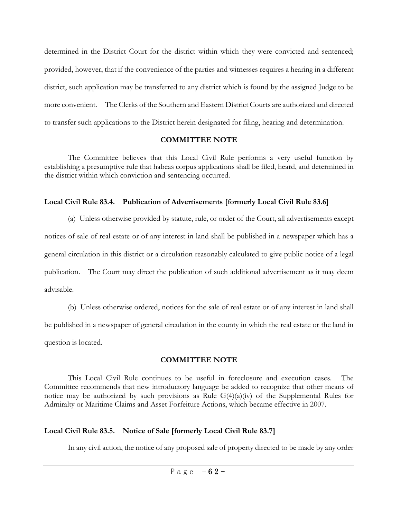determined in the District Court for the district within which they were convicted and sentenced; provided, however, that if the convenience of the parties and witnesses requires a hearing in a different district, such application may be transferred to any district which is found by the assigned Judge to be more convenient. The Clerks of the Southern and Eastern District Courts are authorized and directed to transfer such applications to the District herein designated for filing, hearing and determination.

#### **COMMITTEE NOTE**

The Committee believes that this Local Civil Rule performs a very useful function by establishing a presumptive rule that habeas corpus applications shall be filed, heard, and determined in the district within which conviction and sentencing occurred.

#### **Local Civil Rule 83.4. Publication of Advertisements [formerly Local Civil Rule 83.6]**

(a) Unless otherwise provided by statute, rule, or order of the Court, all advertisements except notices of sale of real estate or of any interest in land shall be published in a newspaper which has a general circulation in this district or a circulation reasonably calculated to give public notice of a legal publication. The Court may direct the publication of such additional advertisement as it may deem advisable.

(b) Unless otherwise ordered, notices for the sale of real estate or of any interest in land shall be published in a newspaper of general circulation in the county in which the real estate or the land in question is located.

# **COMMITTEE NOTE**

This Local Civil Rule continues to be useful in foreclosure and execution cases. The Committee recommends that new introductory language be added to recognize that other means of notice may be authorized by such provisions as Rule  $G(4)(a)(iv)$  of the Supplemental Rules for Admiralty or Maritime Claims and Asset Forfeiture Actions, which became effective in 2007.

# **Local Civil Rule 83.5. Notice of Sale [formerly Local Civil Rule 83.7]**

In any civil action, the notice of any proposed sale of property directed to be made by any order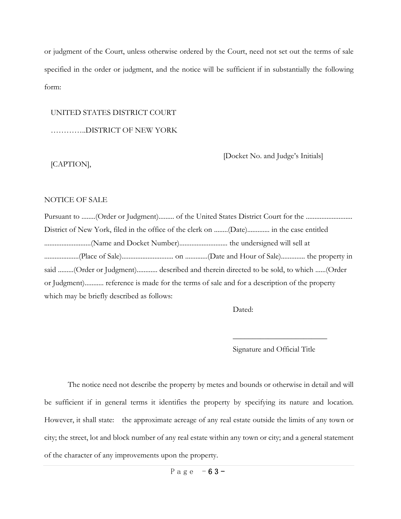or judgment of the Court, unless otherwise ordered by the Court, need not set out the terms of sale specified in the order or judgment, and the notice will be sufficient if in substantially the following form:

#### UNITED STATES DISTRICT COURT

…………..DISTRICT OF NEW YORK

[CAPTION],

[Docket No. and Judge's Initials]

#### NOTICE OF SALE

Pursuant to ........(Order or Judgment)......... of the United States District Court for the ........................... District of New York, filed in the office of the clerk on ........(Date)............. in the case entitled ...........................(Name and Docket Number)............................ the undersigned will sell at ....................(Place of Sale).............................. on .............(Date and Hour of Sale).............. the property in said .........(Order or Judgment)............ described and therein directed to be sold, to which ......(Order or Judgment)........... reference is made for the terms of sale and for a description of the property which may be briefly described as follows:

Dated:

Signature and Official Title

 $\overline{\phantom{a}}$  , where  $\overline{\phantom{a}}$  , where  $\overline{\phantom{a}}$  , where  $\overline{\phantom{a}}$ 

The notice need not describe the property by metes and bounds or otherwise in detail and will be sufficient if in general terms it identifies the property by specifying its nature and location. However, it shall state: the approximate acreage of any real estate outside the limits of any town or city; the street, lot and block number of any real estate within any town or city; and a general statement of the character of any improvements upon the property.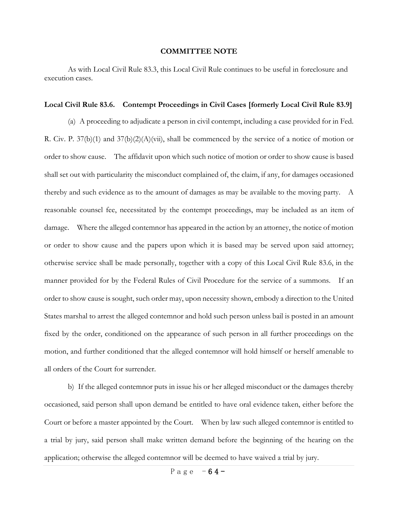#### **COMMITTEE NOTE**

As with Local Civil Rule 83.3, this Local Civil Rule continues to be useful in foreclosure and execution cases.

#### **Local Civil Rule 83.6. Contempt Proceedings in Civil Cases [formerly Local Civil Rule 83.9]**

(a) A proceeding to adjudicate a person in civil contempt, including a case provided for in Fed. R. Civ. P. 37(b)(1) and 37(b)(2)(A)(vii), shall be commenced by the service of a notice of motion or order to show cause. The affidavit upon which such notice of motion or order to show cause is based shall set out with particularity the misconduct complained of, the claim, if any, for damages occasioned thereby and such evidence as to the amount of damages as may be available to the moving party. A reasonable counsel fee, necessitated by the contempt proceedings, may be included as an item of damage. Where the alleged contemnor has appeared in the action by an attorney, the notice of motion or order to show cause and the papers upon which it is based may be served upon said attorney; otherwise service shall be made personally, together with a copy of this Local Civil Rule 83.6, in the manner provided for by the Federal Rules of Civil Procedure for the service of a summons. If an order to show cause is sought, such order may, upon necessity shown, embody a direction to the United States marshal to arrest the alleged contemnor and hold such person unless bail is posted in an amount fixed by the order, conditioned on the appearance of such person in all further proceedings on the motion, and further conditioned that the alleged contemnor will hold himself or herself amenable to all orders of the Court for surrender.

b) If the alleged contemnor puts in issue his or her alleged misconduct or the damages thereby occasioned, said person shall upon demand be entitled to have oral evidence taken, either before the Court or before a master appointed by the Court. When by law such alleged contemnor is entitled to a trial by jury, said person shall make written demand before the beginning of the hearing on the application; otherwise the alleged contemnor will be deemed to have waived a trial by jury.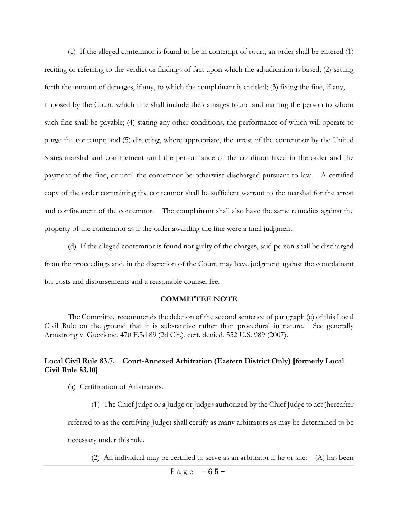(c) If the alleged contemnor is found to be in contempt of court, an order shall be entered (1) reciting or referring to the verdict or findings of fact upon which the adjudication is based; (2) setting forth the amount of damages, if any, to which the complainant is entitled; (3) fixing the fine, if any, imposed by the Court, which fine shall include the damages found and naming the person to whom such fine shall be payable; (4) stating any other conditions, the performance of which will operate to purge the contempt; and (5) directing, where appropriate, the arrest of the contemnor by the United States marshal and confinement until the performance of the condition fixed in the order and the payment of the fine, or until the contemnor be otherwise discharged pursuant to law. A certified copy of the order committing the contemnor shall be sufficient warrant to the marshal for the arrest and confinement of the contemnor. The complainant shall also have the same remedies against the property of the contemnor as if the order awarding the fine were a final judgment.

(d) If the alleged contemnor is found not guilty of the charges, said person shall be discharged from the proceedings and, in the discretion of the Court, may have judgment against the complainant for costs and disbursements and a reasonable counsel fee.

#### **COMMITTEE NOTE**

The Committee recommends the deletion of the second sentence of paragraph (c) of this Local Civil Rule on the ground that it is substantive rather than procedural in nature. See generally Armstrong v. Guccione, 470 F.3d 89 (2d Cir.), cert. denied, 552 U.S. 989 (2007).

#### **Local Civil Rule 83.7. Court-Annexed Arbitration (Eastern District Only) [formerly Local Civil Rule 83.10**]

- (a) Certification of Arbitrators.
	- (1) The Chief Judge or a Judge or Judges authorized by the Chief Judge to act (hereafter

referred to as the certifying Judge) shall certify as many arbitrators as may be determined to be

necessary under this rule.

(2) An individual may be certified to serve as an arbitrator if he or she: (A) has been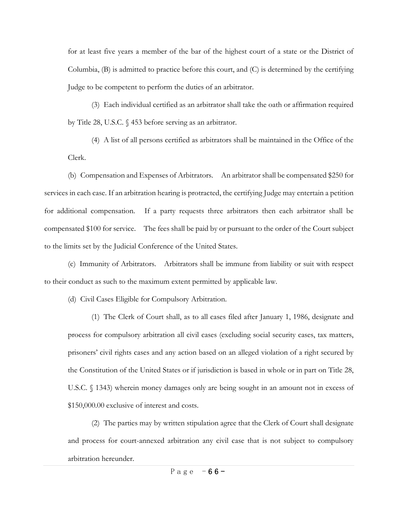for at least five years a member of the bar of the highest court of a state or the District of Columbia, (B) is admitted to practice before this court, and (C) is determined by the certifying Judge to be competent to perform the duties of an arbitrator.

(3) Each individual certified as an arbitrator shall take the oath or affirmation required by Title 28, U.S.C. § 453 before serving as an arbitrator.

(4) A list of all persons certified as arbitrators shall be maintained in the Office of the Clerk.

(b) Compensation and Expenses of Arbitrators. An arbitrator shall be compensated \$250 for services in each case. If an arbitration hearing is protracted, the certifying Judge may entertain a petition for additional compensation. If a party requests three arbitrators then each arbitrator shall be compensated \$100 for service. The fees shall be paid by or pursuant to the order of the Court subject to the limits set by the Judicial Conference of the United States.

(c) Immunity of Arbitrators. Arbitrators shall be immune from liability or suit with respect to their conduct as such to the maximum extent permitted by applicable law.

(d) Civil Cases Eligible for Compulsory Arbitration.

(1) The Clerk of Court shall, as to all cases filed after January 1, 1986, designate and process for compulsory arbitration all civil cases (excluding social security cases, tax matters, prisoners' civil rights cases and any action based on an alleged violation of a right secured by the Constitution of the United States or if jurisdiction is based in whole or in part on Title 28, U.S.C. § 1343) wherein money damages only are being sought in an amount not in excess of \$150,000.00 exclusive of interest and costs.

(2) The parties may by written stipulation agree that the Clerk of Court shall designate and process for court-annexed arbitration any civil case that is not subject to compulsory arbitration hereunder.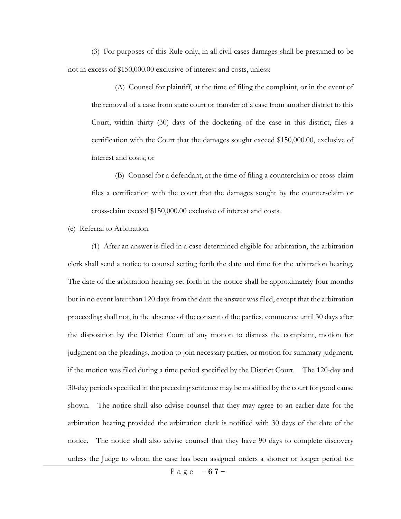(3) For purposes of this Rule only, in all civil cases damages shall be presumed to be not in excess of \$150,000.00 exclusive of interest and costs, unless:

(A) Counsel for plaintiff, at the time of filing the complaint, or in the event of the removal of a case from state court or transfer of a case from another district to this Court, within thirty (30) days of the docketing of the case in this district, files a certification with the Court that the damages sought exceed \$150,000.00, exclusive of interest and costs; or

(B) Counsel for a defendant, at the time of filing a counterclaim or cross-claim files a certification with the court that the damages sought by the counter-claim or cross-claim exceed \$150,000.00 exclusive of interest and costs.

(e) Referral to Arbitration.

(1) After an answer is filed in a case determined eligible for arbitration, the arbitration clerk shall send a notice to counsel setting forth the date and time for the arbitration hearing. The date of the arbitration hearing set forth in the notice shall be approximately four months but in no event later than 120 days from the date the answer was filed, except that the arbitration proceeding shall not, in the absence of the consent of the parties, commence until 30 days after the disposition by the District Court of any motion to dismiss the complaint, motion for judgment on the pleadings, motion to join necessary parties, or motion for summary judgment, if the motion was filed during a time period specified by the District Court. The 120-day and 30-day periods specified in the preceding sentence may be modified by the court for good cause shown. The notice shall also advise counsel that they may agree to an earlier date for the arbitration hearing provided the arbitration clerk is notified with 30 days of the date of the notice. The notice shall also advise counsel that they have 90 days to complete discovery unless the Judge to whom the case has been assigned orders a shorter or longer period for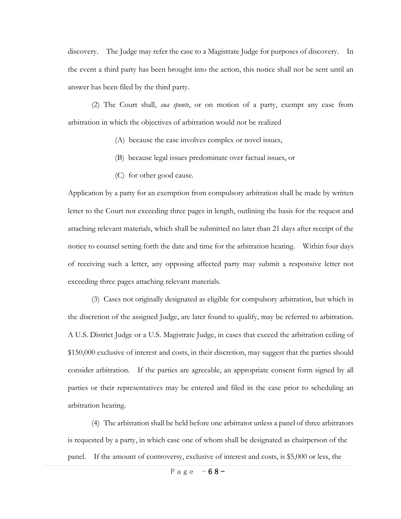discovery. The Judge may refer the case to a Magistrate Judge for purposes of discovery. In the event a third party has been brought into the action, this notice shall not be sent until an answer has been filed by the third party.

(2) The Court shall, *sua sponte*, or on motion of a party, exempt any case from arbitration in which the objectives of arbitration would not be realized

- (A) because the case involves complex or novel issues,
- (B) because legal issues predominate over factual issues, or
- (C) for other good cause.

Application by a party for an exemption from compulsory arbitration shall be made by written letter to the Court not exceeding three pages in length, outlining the basis for the request and attaching relevant materials, which shall be submitted no later than 21 days after receipt of the notice to counsel setting forth the date and time for the arbitration hearing. Within four days of receiving such a letter, any opposing affected party may submit a responsive letter not exceeding three pages attaching relevant materials.

(3) Cases not originally designated as eligible for compulsory arbitration, but which in the discretion of the assigned Judge, are later found to qualify, may be referred to arbitration. A U.S. District Judge or a U.S. Magistrate Judge, in cases that exceed the arbitration ceiling of \$150,000 exclusive of interest and costs, in their discretion, may suggest that the parties should consider arbitration. If the parties are agreeable, an appropriate consent form signed by all parties or their representatives may be entered and filed in the case prior to scheduling an arbitration hearing.

(4) The arbitration shall be held before one arbitrator unless a panel of three arbitrators is requested by a party, in which case one of whom shall be designated as chairperson of the panel. If the amount of controversy, exclusive of interest and costs, is \$5,000 or less, the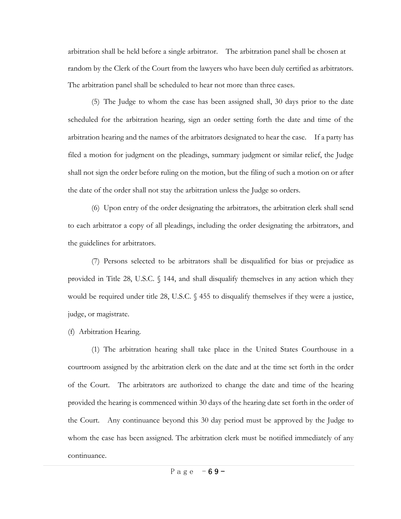arbitration shall be held before a single arbitrator. The arbitration panel shall be chosen at random by the Clerk of the Court from the lawyers who have been duly certified as arbitrators. The arbitration panel shall be scheduled to hear not more than three cases.

(5) The Judge to whom the case has been assigned shall, 30 days prior to the date scheduled for the arbitration hearing, sign an order setting forth the date and time of the arbitration hearing and the names of the arbitrators designated to hear the case. If a party has filed a motion for judgment on the pleadings, summary judgment or similar relief, the Judge shall not sign the order before ruling on the motion, but the filing of such a motion on or after the date of the order shall not stay the arbitration unless the Judge so orders.

(6) Upon entry of the order designating the arbitrators, the arbitration clerk shall send to each arbitrator a copy of all pleadings, including the order designating the arbitrators, and the guidelines for arbitrators.

(7) Persons selected to be arbitrators shall be disqualified for bias or prejudice as provided in Title 28, U.S.C. § 144, and shall disqualify themselves in any action which they would be required under title 28, U.S.C. § 455 to disqualify themselves if they were a justice, judge, or magistrate.

(f) Arbitration Hearing.

(1) The arbitration hearing shall take place in the United States Courthouse in a courtroom assigned by the arbitration clerk on the date and at the time set forth in the order of the Court. The arbitrators are authorized to change the date and time of the hearing provided the hearing is commenced within 30 days of the hearing date set forth in the order of the Court. Any continuance beyond this 30 day period must be approved by the Judge to whom the case has been assigned. The arbitration clerk must be notified immediately of any continuance.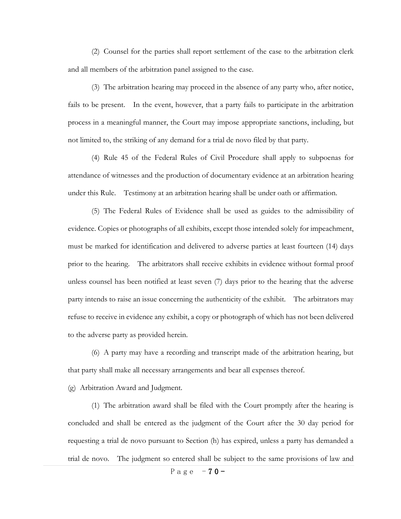(2) Counsel for the parties shall report settlement of the case to the arbitration clerk and all members of the arbitration panel assigned to the case.

(3) The arbitration hearing may proceed in the absence of any party who, after notice, fails to be present. In the event, however, that a party fails to participate in the arbitration process in a meaningful manner, the Court may impose appropriate sanctions, including, but not limited to, the striking of any demand for a trial de novo filed by that party.

(4) Rule 45 of the Federal Rules of Civil Procedure shall apply to subpoenas for attendance of witnesses and the production of documentary evidence at an arbitration hearing under this Rule. Testimony at an arbitration hearing shall be under oath or affirmation.

(5) The Federal Rules of Evidence shall be used as guides to the admissibility of evidence. Copies or photographs of all exhibits, except those intended solely for impeachment, must be marked for identification and delivered to adverse parties at least fourteen (14) days prior to the hearing. The arbitrators shall receive exhibits in evidence without formal proof unless counsel has been notified at least seven (7) days prior to the hearing that the adverse party intends to raise an issue concerning the authenticity of the exhibit. The arbitrators may refuse to receive in evidence any exhibit, a copy or photograph of which has not been delivered to the adverse party as provided herein.

(6) A party may have a recording and transcript made of the arbitration hearing, but that party shall make all necessary arrangements and bear all expenses thereof.

(g) Arbitration Award and Judgment.

(1) The arbitration award shall be filed with the Court promptly after the hearing is concluded and shall be entered as the judgment of the Court after the 30 day period for requesting a trial de novo pursuant to Section (h) has expired, unless a party has demanded a trial de novo. The judgment so entered shall be subject to the same provisions of law and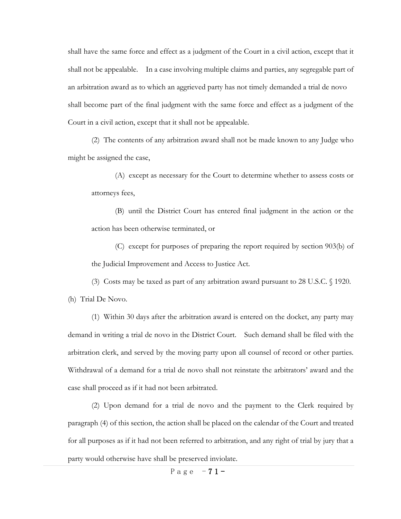shall have the same force and effect as a judgment of the Court in a civil action, except that it shall not be appealable. In a case involving multiple claims and parties, any segregable part of an arbitration award as to which an aggrieved party has not timely demanded a trial de novo shall become part of the final judgment with the same force and effect as a judgment of the Court in a civil action, except that it shall not be appealable.

(2) The contents of any arbitration award shall not be made known to any Judge who might be assigned the case,

(A) except as necessary for the Court to determine whether to assess costs or attorneys fees,

(B) until the District Court has entered final judgment in the action or the action has been otherwise terminated, or

(C) except for purposes of preparing the report required by section 903(b) of the Judicial Improvement and Access to Justice Act.

(3) Costs may be taxed as part of any arbitration award pursuant to 28 U.S.C. § 1920. (h) Trial De Novo.

(1) Within 30 days after the arbitration award is entered on the docket, any party may demand in writing a trial de novo in the District Court. Such demand shall be filed with the arbitration clerk, and served by the moving party upon all counsel of record or other parties. Withdrawal of a demand for a trial de novo shall not reinstate the arbitrators' award and the case shall proceed as if it had not been arbitrated.

(2) Upon demand for a trial de novo and the payment to the Clerk required by paragraph (4) of this section, the action shall be placed on the calendar of the Court and treated for all purposes as if it had not been referred to arbitration, and any right of trial by jury that a party would otherwise have shall be preserved inviolate.

 $P$  a g e  $-71-$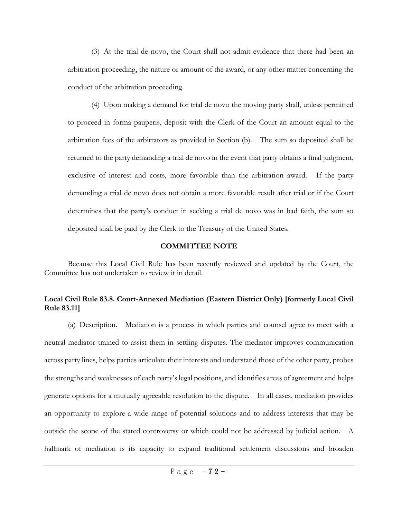(3) At the trial de novo, the Court shall not admit evidence that there had been an arbitration proceeding, the nature or amount of the award, or any other matter concerning the conduct of the arbitration proceeding.

(4) Upon making a demand for trial de novo the moving party shall, unless permitted to proceed in forma pauperis, deposit with the Clerk of the Court an amount equal to the arbitration fees of the arbitrators as provided in Section (b). The sum so deposited shall be returned to the party demanding a trial de novo in the event that party obtains a final judgment, exclusive of interest and costs, more favorable than the arbitration award. If the party demanding a trial de novo does not obtain a more favorable result after trial or if the Court determines that the party's conduct in seeking a trial de novo was in bad faith, the sum so deposited shall be paid by the Clerk to the Treasury of the United States.

#### **COMMITTEE NOTE**

Because this Local Civil Rule has been recently reviewed and updated by the Court, the Committee has not undertaken to review it in detail.

# **Local Civil Rule 83.8. Court-Annexed Mediation (Eastern District Only) [formerly Local Civil Rule 83.11]**

(a) Description. Mediation is a process in which parties and counsel agree to meet with a neutral mediator trained to assist them in settling disputes. The mediator improves communication across party lines, helps parties articulate their interests and understand those of the other party, probes the strengths and weaknesses of each party's legal positions, and identifies areas of agreement and helps generate options for a mutually agreeable resolution to the dispute. In all cases, mediation provides an opportunity to explore a wide range of potential solutions and to address interests that may be outside the scope of the stated controversy or which could not be addressed by judicial action. A hallmark of mediation is its capacity to expand traditional settlement discussions and broaden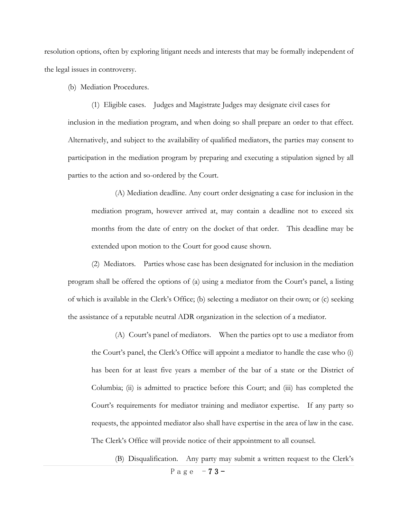resolution options, often by exploring litigant needs and interests that may be formally independent of the legal issues in controversy.

(b) Mediation Procedures.

(1) Eligible cases. Judges and Magistrate Judges may designate civil cases for inclusion in the mediation program, and when doing so shall prepare an order to that effect. Alternatively, and subject to the availability of qualified mediators, the parties may consent to participation in the mediation program by preparing and executing a stipulation signed by all parties to the action and so-ordered by the Court.

(A) Mediation deadline. Any court order designating a case for inclusion in the mediation program, however arrived at, may contain a deadline not to exceed six months from the date of entry on the docket of that order. This deadline may be extended upon motion to the Court for good cause shown.

(2) Mediators. Parties whose case has been designated for inclusion in the mediation program shall be offered the options of (a) using a mediator from the Court's panel, a listing of which is available in the Clerk's Office; (b) selecting a mediator on their own; or (c) seeking the assistance of a reputable neutral ADR organization in the selection of a mediator.

(A) Court's panel of mediators. When the parties opt to use a mediator from the Court's panel, the Clerk's Office will appoint a mediator to handle the case who (i) has been for at least five years a member of the bar of a state or the District of Columbia; (ii) is admitted to practice before this Court; and (iii) has completed the Court's requirements for mediator training and mediator expertise. If any party so requests, the appointed mediator also shall have expertise in the area of law in the case. The Clerk's Office will provide notice of their appointment to all counsel.

(B) Disqualification. Any party may submit a written request to the Clerk's

 $P$  a g e - 7 3 -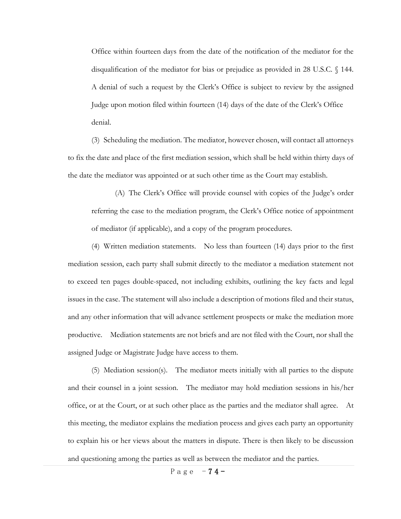Office within fourteen days from the date of the notification of the mediator for the disqualification of the mediator for bias or prejudice as provided in 28 U.S.C. § 144. A denial of such a request by the Clerk's Office is subject to review by the assigned Judge upon motion filed within fourteen (14) days of the date of the Clerk's Office denial.

(3) Scheduling the mediation. The mediator, however chosen, will contact all attorneys to fix the date and place of the first mediation session, which shall be held within thirty days of the date the mediator was appointed or at such other time as the Court may establish.

(A) The Clerk's Office will provide counsel with copies of the Judge's order referring the case to the mediation program, the Clerk's Office notice of appointment of mediator (if applicable), and a copy of the program procedures.

(4) Written mediation statements. No less than fourteen (14) days prior to the first mediation session, each party shall submit directly to the mediator a mediation statement not to exceed ten pages double-spaced, not including exhibits, outlining the key facts and legal issues in the case. The statement will also include a description of motions filed and their status, and any other information that will advance settlement prospects or make the mediation more productive. Mediation statements are not briefs and are not filed with the Court, nor shall the assigned Judge or Magistrate Judge have access to them.

(5) Mediation session(s). The mediator meets initially with all parties to the dispute and their counsel in a joint session. The mediator may hold mediation sessions in his/her office, or at the Court, or at such other place as the parties and the mediator shall agree. At this meeting, the mediator explains the mediation process and gives each party an opportunity to explain his or her views about the matters in dispute. There is then likely to be discussion and questioning among the parties as well as between the mediator and the parties.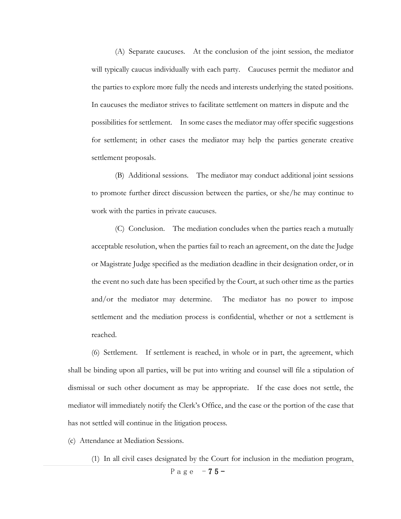(A) Separate caucuses. At the conclusion of the joint session, the mediator will typically caucus individually with each party. Caucuses permit the mediator and the parties to explore more fully the needs and interests underlying the stated positions. In caucuses the mediator strives to facilitate settlement on matters in dispute and the possibilities for settlement. In some cases the mediator may offer specific suggestions for settlement; in other cases the mediator may help the parties generate creative settlement proposals.

(B) Additional sessions. The mediator may conduct additional joint sessions to promote further direct discussion between the parties, or she/he may continue to work with the parties in private caucuses.

(C) Conclusion. The mediation concludes when the parties reach a mutually acceptable resolution, when the parties fail to reach an agreement, on the date the Judge or Magistrate Judge specified as the mediation deadline in their designation order, or in the event no such date has been specified by the Court, at such other time as the parties and/or the mediator may determine. The mediator has no power to impose settlement and the mediation process is confidential, whether or not a settlement is reached.

(6) Settlement. If settlement is reached, in whole or in part, the agreement, which shall be binding upon all parties, will be put into writing and counsel will file a stipulation of dismissal or such other document as may be appropriate. If the case does not settle, the mediator will immediately notify the Clerk's Office, and the case or the portion of the case that has not settled will continue in the litigation process.

- (c) Attendance at Mediation Sessions.
	- (1) In all civil cases designated by the Court for inclusion in the mediation program,

 $P$  a g e - 75 -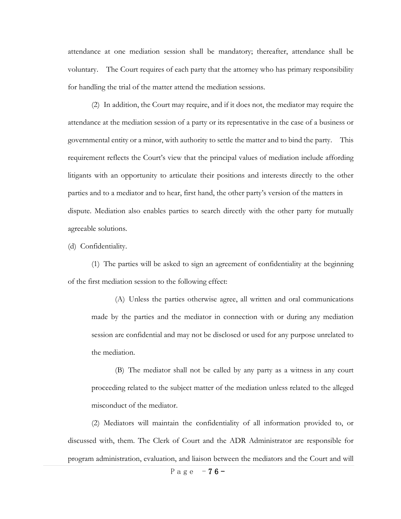attendance at one mediation session shall be mandatory; thereafter, attendance shall be voluntary. The Court requires of each party that the attorney who has primary responsibility for handling the trial of the matter attend the mediation sessions.

(2) In addition, the Court may require, and if it does not, the mediator may require the attendance at the mediation session of a party or its representative in the case of a business or governmental entity or a minor, with authority to settle the matter and to bind the party. This requirement reflects the Court's view that the principal values of mediation include affording litigants with an opportunity to articulate their positions and interests directly to the other parties and to a mediator and to hear, first hand, the other party's version of the matters in dispute. Mediation also enables parties to search directly with the other party for mutually agreeable solutions.

(d) Confidentiality.

(1) The parties will be asked to sign an agreement of confidentiality at the beginning of the first mediation session to the following effect:

(A) Unless the parties otherwise agree, all written and oral communications made by the parties and the mediator in connection with or during any mediation session are confidential and may not be disclosed or used for any purpose unrelated to the mediation.

(B) The mediator shall not be called by any party as a witness in any court proceeding related to the subject matter of the mediation unless related to the alleged misconduct of the mediator.

(2) Mediators will maintain the confidentiality of all information provided to, or discussed with, them. The Clerk of Court and the ADR Administrator are responsible for program administration, evaluation, and liaison between the mediators and the Court and will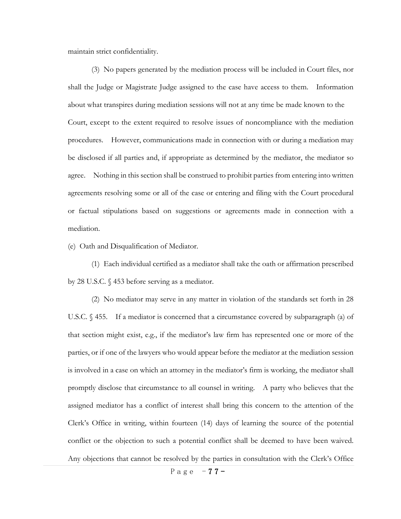maintain strict confidentiality.

(3) No papers generated by the mediation process will be included in Court files, nor shall the Judge or Magistrate Judge assigned to the case have access to them. Information about what transpires during mediation sessions will not at any time be made known to the Court, except to the extent required to resolve issues of noncompliance with the mediation procedures. However, communications made in connection with or during a mediation may be disclosed if all parties and, if appropriate as determined by the mediator, the mediator so agree. Nothing in this section shall be construed to prohibit parties from entering into written agreements resolving some or all of the case or entering and filing with the Court procedural or factual stipulations based on suggestions or agreements made in connection with a mediation.

(e) Oath and Disqualification of Mediator.

(1) Each individual certified as a mediator shall take the oath or affirmation prescribed by 28 U.S.C. § 453 before serving as a mediator.

(2) No mediator may serve in any matter in violation of the standards set forth in 28 U.S.C. § 455. If a mediator is concerned that a circumstance covered by subparagraph (a) of that section might exist, e.g., if the mediator's law firm has represented one or more of the parties, or if one of the lawyers who would appear before the mediator at the mediation session is involved in a case on which an attorney in the mediator's firm is working, the mediator shall promptly disclose that circumstance to all counsel in writing. A party who believes that the assigned mediator has a conflict of interest shall bring this concern to the attention of the Clerk's Office in writing, within fourteen (14) days of learning the source of the potential conflict or the objection to such a potential conflict shall be deemed to have been waived. Any objections that cannot be resolved by the parties in consultation with the Clerk's Office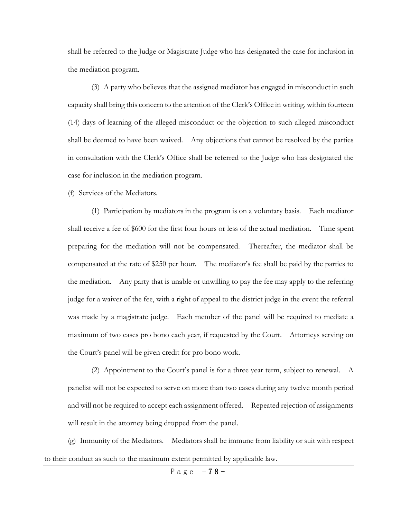shall be referred to the Judge or Magistrate Judge who has designated the case for inclusion in the mediation program.

(3) A party who believes that the assigned mediator has engaged in misconduct in such capacity shall bring this concern to the attention of the Clerk's Office in writing, within fourteen (14) days of learning of the alleged misconduct or the objection to such alleged misconduct shall be deemed to have been waived. Any objections that cannot be resolved by the parties in consultation with the Clerk's Office shall be referred to the Judge who has designated the case for inclusion in the mediation program.

(f) Services of the Mediators.

(1) Participation by mediators in the program is on a voluntary basis. Each mediator shall receive a fee of \$600 for the first four hours or less of the actual mediation. Time spent preparing for the mediation will not be compensated. Thereafter, the mediator shall be compensated at the rate of \$250 per hour. The mediator's fee shall be paid by the parties to the mediation. Any party that is unable or unwilling to pay the fee may apply to the referring judge for a waiver of the fee, with a right of appeal to the district judge in the event the referral was made by a magistrate judge. Each member of the panel will be required to mediate a maximum of two cases pro bono each year, if requested by the Court. Attorneys serving on the Court's panel will be given credit for pro bono work.

(2) Appointment to the Court's panel is for a three year term, subject to renewal. A panelist will not be expected to serve on more than two cases during any twelve month period and will not be required to accept each assignment offered. Repeated rejection of assignments will result in the attorney being dropped from the panel.

(g) Immunity of the Mediators. Mediators shall be immune from liability or suit with respect to their conduct as such to the maximum extent permitted by applicable law.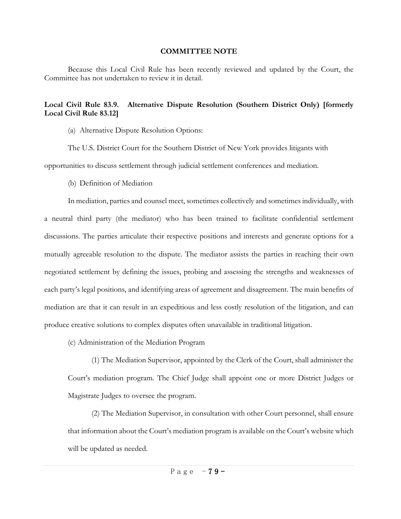### **COMMITTEE NOTE**

Because this Local Civil Rule has been recently reviewed and updated by the Court, the Committee has not undertaken to review it in detail.

# **Local Civil Rule 83.9. Alternative Dispute Resolution (Southern District Only) [formerly Local Civil Rule 83.12]**

(a) Alternative Dispute Resolution Options:

The U.S. District Court for the Southern District of New York provides litigants with

opportunities to discuss settlement through judicial settlement conferences and mediation.

(b) Definition of Mediation

In mediation, parties and counsel meet, sometimes collectively and sometimes individually, with a neutral third party (the mediator) who has been trained to facilitate confidential settlement discussions. The parties articulate their respective positions and interests and generate options for a mutually agreeable resolution to the dispute. The mediator assists the parties in reaching their own negotiated settlement by defining the issues, probing and assessing the strengths and weaknesses of each party's legal positions, and identifying areas of agreement and disagreement. The main benefits of mediation are that it can result in an expeditious and less costly resolution of the litigation, and can produce creative solutions to complex disputes often unavailable in traditional litigation.

(c) Administration of the Mediation Program

(1) The Mediation Supervisor, appointed by the Clerk of the Court, shall administer the Court's mediation program. The Chief Judge shall appoint one or more District Judges or Magistrate Judges to oversee the program.

(2) The Mediation Supervisor, in consultation with other Court personnel, shall ensure that information about the Court's mediation program is available on the Court's website which will be updated as needed.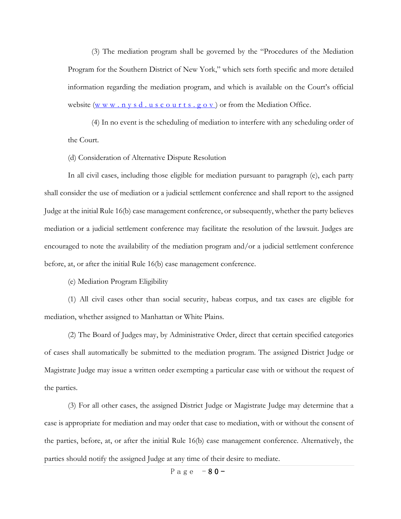(3) The mediation program shall be governed by the "Procedures of the Mediation Program for the Southern District of New York," which sets forth specific and more detailed information regarding the mediation program, and which is available on the Court's official website  $(w \le x \le n \le s \le c \le r \le s \le s \le r)$  or from the Mediation Office.

(4) In no event is the scheduling of mediation to interfere with any scheduling order of the Court.

(d) Consideration of Alternative Dispute Resolution

In all civil cases, including those eligible for mediation pursuant to paragraph (e), each party shall consider the use of mediation or a judicial settlement conference and shall report to the assigned Judge at the initial Rule 16(b) case management conference, or subsequently, whether the party believes mediation or a judicial settlement conference may facilitate the resolution of the lawsuit. Judges are encouraged to note the availability of the mediation program and/or a judicial settlement conference before, at, or after the initial Rule 16(b) case management conference.

(e) Mediation Program Eligibility

(1) All civil cases other than social security, habeas corpus, and tax cases are eligible for mediation, whether assigned to Manhattan or White Plains.

(2) The Board of Judges may, by Administrative Order, direct that certain specified categories of cases shall automatically be submitted to the mediation program. The assigned District Judge or Magistrate Judge may issue a written order exempting a particular case with or without the request of the parties.

(3) For all other cases, the assigned District Judge or Magistrate Judge may determine that a case is appropriate for mediation and may order that case to mediation, with or without the consent of the parties, before, at, or after the initial Rule 16(b) case management conference. Alternatively, the parties should notify the assigned Judge at any time of their desire to mediate.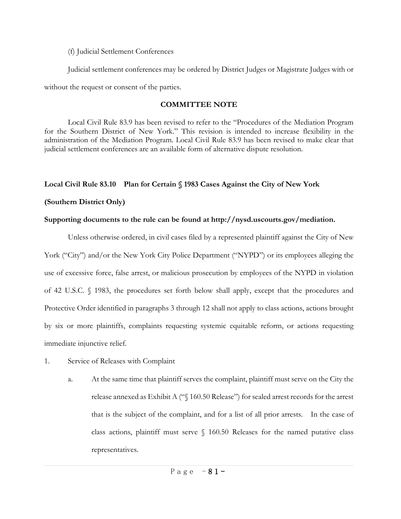## (f) Judicial Settlement Conferences

Judicial settlement conferences may be ordered by District Judges or Magistrate Judges with or without the request or consent of the parties.

# **COMMITTEE NOTE**

Local Civil Rule 83.9 has been revised to refer to the "Procedures of the Mediation Program for the Southern District of New York." This revision is intended to increase flexibility in the administration of the Mediation Program. Local Civil Rule 83.9 has been revised to make clear that judicial settlement conferences are an available form of alternative dispute resolution.

# **Local Civil Rule 83.10 Plan for Certain § 1983 Cases Against the City of New York**

# **(Southern District Only)**

# **Supporting documents to the rule can be found at http://nysd.uscourts.gov/mediation.**

Unless otherwise ordered, in civil cases filed by a represented plaintiff against the City of New York ("City") and/or the New York City Police Department ("NYPD") or its employees alleging the use of excessive force, false arrest, or malicious prosecution by employees of the NYPD in violation of 42 U.S.C. § 1983, the procedures set forth below shall apply, except that the procedures and Protective Order identified in paragraphs 3 through 12 shall not apply to class actions, actions brought by six or more plaintiffs, complaints requesting systemic equitable reform, or actions requesting immediate injunctive relief.

- 1. Service of Releases with Complaint
	- a. At the same time that plaintiff serves the complaint, plaintiff must serve on the City the release annexed as Exhibit A ("§ 160.50 Release") for sealed arrest records for the arrest that is the subject of the complaint, and for a list of all prior arrests. In the case of class actions, plaintiff must serve § 160.50 Releases for the named putative class representatives.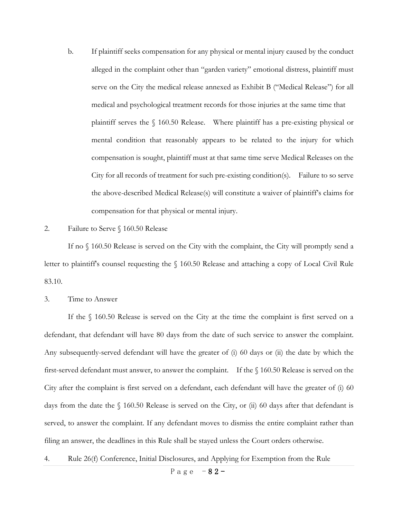b. If plaintiff seeks compensation for any physical or mental injury caused by the conduct alleged in the complaint other than "garden variety" emotional distress, plaintiff must serve on the City the medical release annexed as Exhibit B ("Medical Release") for all medical and psychological treatment records for those injuries at the same time that plaintiff serves the § 160.50 Release. Where plaintiff has a pre-existing physical or mental condition that reasonably appears to be related to the injury for which compensation is sought, plaintiff must at that same time serve Medical Releases on the City for all records of treatment for such pre-existing condition(s). Failure to so serve the above-described Medical Release(s) will constitute a waiver of plaintiff's claims for compensation for that physical or mental injury.

2. Failure to Serve § 160.50 Release

If no § 160.50 Release is served on the City with the complaint, the City will promptly send a letter to plaintiff's counsel requesting the § 160.50 Release and attaching a copy of Local Civil Rule 83.10.

3. Time to Answer

If the § 160.50 Release is served on the City at the time the complaint is first served on a defendant, that defendant will have 80 days from the date of such service to answer the complaint. Any subsequently-served defendant will have the greater of (i) 60 days or (ii) the date by which the first-served defendant must answer, to answer the complaint. If the § 160.50 Release is served on the City after the complaint is first served on a defendant, each defendant will have the greater of (i) 60 days from the date the § 160.50 Release is served on the City, or (ii) 60 days after that defendant is served, to answer the complaint. If any defendant moves to dismiss the entire complaint rather than filing an answer, the deadlines in this Rule shall be stayed unless the Court orders otherwise.

4. Rule 26(f) Conference, Initial Disclosures, and Applying for Exemption from the Rule

Page  $-82-$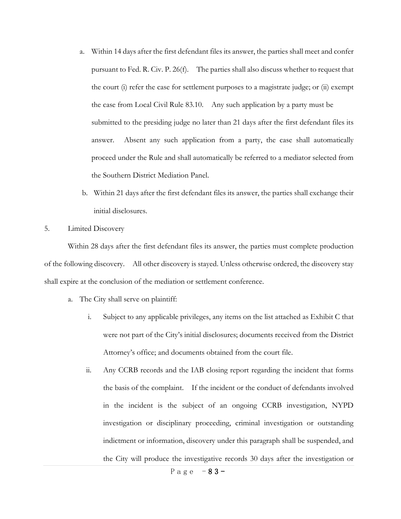- a. Within 14 days after the first defendant files its answer, the parties shall meet and confer pursuant to Fed. R. Civ. P. 26(f). The parties shall also discuss whether to request that the court (i) refer the case for settlement purposes to a magistrate judge; or (ii) exempt the case from Local Civil Rule 83.10. Any such application by a party must be submitted to the presiding judge no later than 21 days after the first defendant files its answer. Absent any such application from a party, the case shall automatically proceed under the Rule and shall automatically be referred to a mediator selected from the Southern District Mediation Panel.
- b. Within 21 days after the first defendant files its answer, the parties shall exchange their initial disclosures.
- 5. Limited Discovery

Within 28 days after the first defendant files its answer, the parties must complete production of the following discovery. All other discovery is stayed. Unless otherwise ordered, the discovery stay shall expire at the conclusion of the mediation or settlement conference.

- a. The City shall serve on plaintiff:
	- i. Subject to any applicable privileges, any items on the list attached as Exhibit C that were not part of the City's initial disclosures; documents received from the District Attorney's office; and documents obtained from the court file.
	- ii. Any CCRB records and the IAB closing report regarding the incident that forms the basis of the complaint. If the incident or the conduct of defendants involved in the incident is the subject of an ongoing CCRB investigation, NYPD investigation or disciplinary proceeding, criminal investigation or outstanding indictment or information, discovery under this paragraph shall be suspended, and the City will produce the investigative records 30 days after the investigation or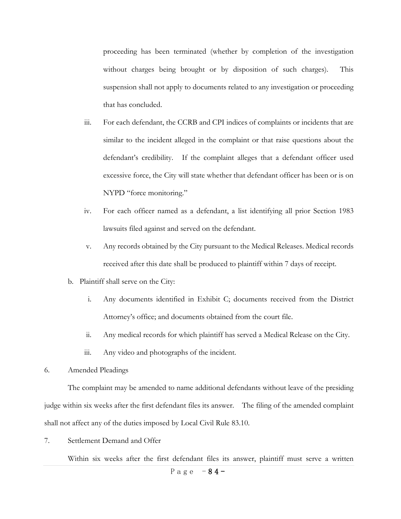proceeding has been terminated (whether by completion of the investigation without charges being brought or by disposition of such charges). This suspension shall not apply to documents related to any investigation or proceeding that has concluded.

- iii. For each defendant, the CCRB and CPI indices of complaints or incidents that are similar to the incident alleged in the complaint or that raise questions about the defendant's credibility. If the complaint alleges that a defendant officer used excessive force, the City will state whether that defendant officer has been or is on NYPD "force monitoring."
- iv. For each officer named as a defendant, a list identifying all prior Section 1983 lawsuits filed against and served on the defendant.
- v. Any records obtained by the City pursuant to the Medical Releases. Medical records received after this date shall be produced to plaintiff within 7 days of receipt.
- b. Plaintiff shall serve on the City:
	- i. Any documents identified in Exhibit C; documents received from the District Attorney's office; and documents obtained from the court file.
	- ii. Any medical records for which plaintiff has served a Medical Release on the City.
	- iii. Any video and photographs of the incident.
- 6. Amended Pleadings

The complaint may be amended to name additional defendants without leave of the presiding judge within six weeks after the first defendant files its answer. The filing of the amended complaint shall not affect any of the duties imposed by Local Civil Rule 83.10.

7. Settlement Demand and Offer

Within six weeks after the first defendant files its answer, plaintiff must serve a written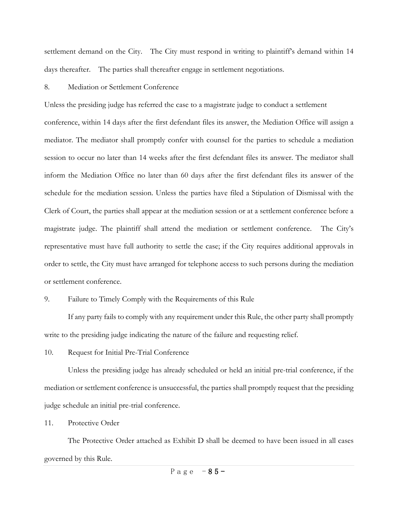settlement demand on the City. The City must respond in writing to plaintiff's demand within 14 days thereafter. The parties shall thereafter engage in settlement negotiations.

## 8. Mediation or Settlement Conference

Unless the presiding judge has referred the case to a magistrate judge to conduct a settlement conference, within 14 days after the first defendant files its answer, the Mediation Office will assign a mediator. The mediator shall promptly confer with counsel for the parties to schedule a mediation session to occur no later than 14 weeks after the first defendant files its answer. The mediator shall inform the Mediation Office no later than 60 days after the first defendant files its answer of the schedule for the mediation session. Unless the parties have filed a Stipulation of Dismissal with the Clerk of Court, the parties shall appear at the mediation session or at a settlement conference before a magistrate judge. The plaintiff shall attend the mediation or settlement conference. The City's representative must have full authority to settle the case; if the City requires additional approvals in order to settle, the City must have arranged for telephone access to such persons during the mediation or settlement conference.

# 9. Failure to Timely Comply with the Requirements of this Rule

If any party fails to comply with any requirement under this Rule, the other party shall promptly write to the presiding judge indicating the nature of the failure and requesting relief.

10. Request for Initial Pre-Trial Conference

Unless the presiding judge has already scheduled or held an initial pre-trial conference, if the mediation or settlement conference is unsuccessful, the parties shall promptly request that the presiding judge schedule an initial pre-trial conference.

11. Protective Order

The Protective Order attached as Exhibit D shall be deemed to have been issued in all cases governed by this Rule.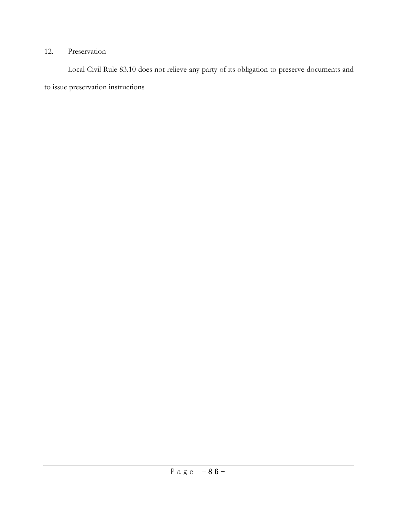# 12. Preservation

Local Civil Rule 83.10 does not relieve any party of its obligation to preserve documents and to issue preservation instructions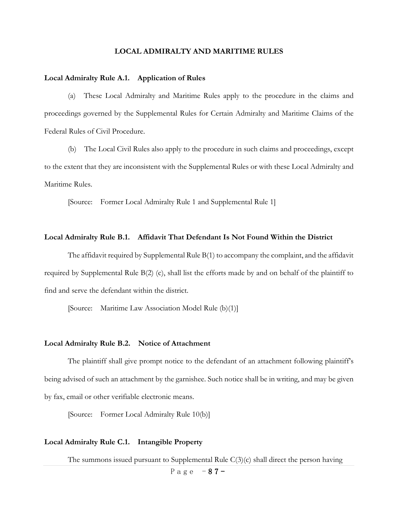#### **LOCAL ADMIRALTY AND MARITIME RULES**

#### **Local Admiralty Rule A.1. Application of Rules**

(a) These Local Admiralty and Maritime Rules apply to the procedure in the claims and proceedings governed by the Supplemental Rules for Certain Admiralty and Maritime Claims of the Federal Rules of Civil Procedure.

(b) The Local Civil Rules also apply to the procedure in such claims and proceedings, except to the extent that they are inconsistent with the Supplemental Rules or with these Local Admiralty and Maritime Rules.

[Source: Former Local Admiralty Rule 1 and Supplemental Rule 1]

#### **Local Admiralty Rule B.1. Affidavit That Defendant Is Not Found Within the District**

The affidavit required by Supplemental Rule B(1) to accompany the complaint, and the affidavit required by Supplemental Rule B(2) (c), shall list the efforts made by and on behalf of the plaintiff to find and serve the defendant within the district.

[Source: Maritime Law Association Model Rule (b)(1)]

#### **Local Admiralty Rule B.2. Notice of Attachment**

The plaintiff shall give prompt notice to the defendant of an attachment following plaintiff's being advised of such an attachment by the garnishee. Such notice shall be in writing, and may be given by fax, email or other verifiable electronic means.

[Source: Former Local Admiralty Rule 10(b)]

#### **Local Admiralty Rule C.1. Intangible Property**

The summons issued pursuant to Supplemental Rule C(3)(c) shall direct the person having

Page  $-87-$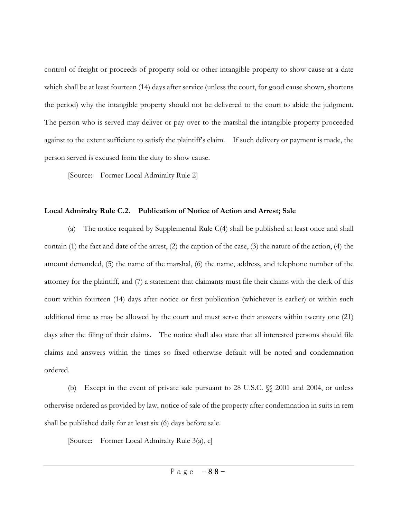control of freight or proceeds of property sold or other intangible property to show cause at a date which shall be at least fourteen (14) days after service (unless the court, for good cause shown, shortens the period) why the intangible property should not be delivered to the court to abide the judgment. The person who is served may deliver or pay over to the marshal the intangible property proceeded against to the extent sufficient to satisfy the plaintiff's claim. If such delivery or payment is made, the person served is excused from the duty to show cause.

[Source: Former Local Admiralty Rule 2]

### **Local Admiralty Rule C.2. Publication of Notice of Action and Arrest; Sale**

(a) The notice required by Supplemental Rule C(4) shall be published at least once and shall contain (1) the fact and date of the arrest, (2) the caption of the case, (3) the nature of the action, (4) the amount demanded, (5) the name of the marshal, (6) the name, address, and telephone number of the attorney for the plaintiff, and (7) a statement that claimants must file their claims with the clerk of this court within fourteen (14) days after notice or first publication (whichever is earlier) or within such additional time as may be allowed by the court and must serve their answers within twenty one (21) days after the filing of their claims. The notice shall also state that all interested persons should file claims and answers within the times so fixed otherwise default will be noted and condemnation ordered.

(b) Except in the event of private sale pursuant to 28 U.S.C. §§ 2001 and 2004, or unless otherwise ordered as provided by law, notice of sale of the property after condemnation in suits in rem shall be published daily for at least six (6) days before sale.

[Source: Former Local Admiralty Rule 3(a), c]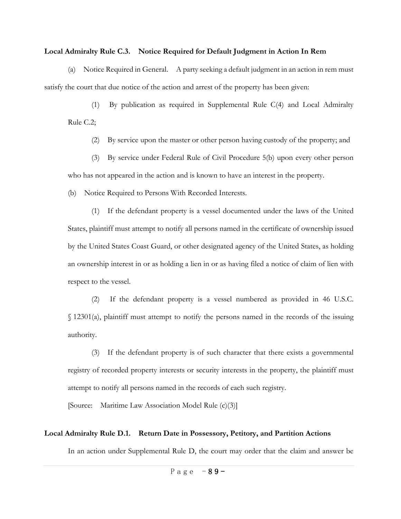## **Local Admiralty Rule C.3. Notice Required for Default Judgment in Action In Rem**

(a) Notice Required in General. A party seeking a default judgment in an action in rem must satisfy the court that due notice of the action and arrest of the property has been given:

(1) By publication as required in Supplemental Rule C(4) and Local Admiralty Rule C.2;

(2) By service upon the master or other person having custody of the property; and

(3) By service under Federal Rule of Civil Procedure 5(b) upon every other person who has not appeared in the action and is known to have an interest in the property.

(b) Notice Required to Persons With Recorded Interests.

(1) If the defendant property is a vessel documented under the laws of the United States, plaintiff must attempt to notify all persons named in the certificate of ownership issued by the United States Coast Guard, or other designated agency of the United States, as holding an ownership interest in or as holding a lien in or as having filed a notice of claim of lien with respect to the vessel.

(2) If the defendant property is a vessel numbered as provided in 46 U.S.C. § 12301(a), plaintiff must attempt to notify the persons named in the records of the issuing authority.

(3) If the defendant property is of such character that there exists a governmental registry of recorded property interests or security interests in the property, the plaintiff must attempt to notify all persons named in the records of each such registry.

[Source: Maritime Law Association Model Rule (c)(3)]

# **Local Admiralty Rule D.1. Return Date in Possessory, Petitory, and Partition Actions**

In an action under Supplemental Rule D, the court may order that the claim and answer be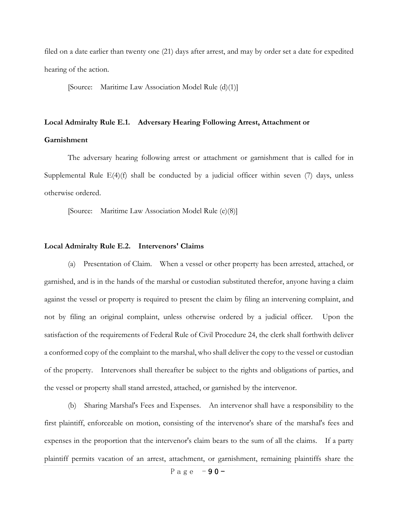filed on a date earlier than twenty one (21) days after arrest, and may by order set a date for expedited hearing of the action.

[Source: Maritime Law Association Model Rule (d)(1)]

### **Local Admiralty Rule E.1. Adversary Hearing Following Arrest, Attachment or**

### **Garnishment**

The adversary hearing following arrest or attachment or garnishment that is called for in Supplemental Rule  $E(4)(f)$  shall be conducted by a judicial officer within seven (7) days, unless otherwise ordered.

[Source: Maritime Law Association Model Rule (e)(8)]

#### **Local Admiralty Rule E.2. Intervenors' Claims**

(a) Presentation of Claim. When a vessel or other property has been arrested, attached, or garnished, and is in the hands of the marshal or custodian substituted therefor, anyone having a claim against the vessel or property is required to present the claim by filing an intervening complaint, and not by filing an original complaint, unless otherwise ordered by a judicial officer. Upon the satisfaction of the requirements of Federal Rule of Civil Procedure 24, the clerk shall forthwith deliver a conformed copy of the complaint to the marshal, who shall deliver the copy to the vessel or custodian of the property. Intervenors shall thereafter be subject to the rights and obligations of parties, and the vessel or property shall stand arrested, attached, or garnished by the intervenor.

(b) Sharing Marshal's Fees and Expenses. An intervenor shall have a responsibility to the first plaintiff, enforceable on motion, consisting of the intervenor's share of the marshal's fees and expenses in the proportion that the intervenor's claim bears to the sum of all the claims. If a party plaintiff permits vacation of an arrest, attachment, or garnishment, remaining plaintiffs share the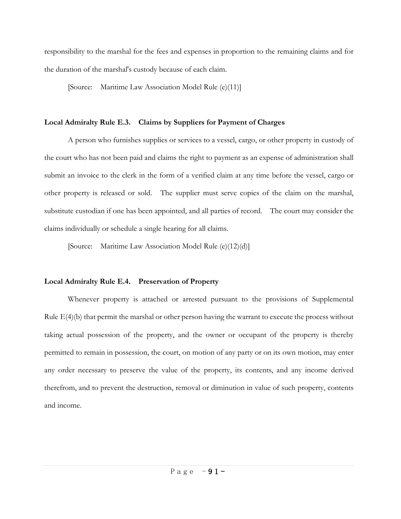responsibility to the marshal for the fees and expenses in proportion to the remaining claims and for the duration of the marshal's custody because of each claim.

[Source: Maritime Law Association Model Rule (e)(11)]

# **Local Admiralty Rule E.3. Claims by Suppliers for Payment of Charges**

A person who furnishes supplies or services to a vessel, cargo, or other property in custody of the court who has not been paid and claims the right to payment as an expense of administration shall submit an invoice to the clerk in the form of a verified claim at any time before the vessel, cargo or other property is released or sold. The supplier must serve copies of the claim on the marshal, substitute custodian if one has been appointed, and all parties of record. The court may consider the claims individually or schedule a single hearing for all claims.

[Source: Maritime Law Association Model Rule (e)(12)(d)]

# **Local Admiralty Rule E.4. Preservation of Property**

Whenever property is attached or arrested pursuant to the provisions of Supplemental Rule E(4)(b) that permit the marshal or other person having the warrant to execute the process without taking actual possession of the property, and the owner or occupant of the property is thereby permitted to remain in possession, the court, on motion of any party or on its own motion, may enter any order necessary to preserve the value of the property, its contents, and any income derived therefrom, and to prevent the destruction, removal or diminution in value of such property, contents and income.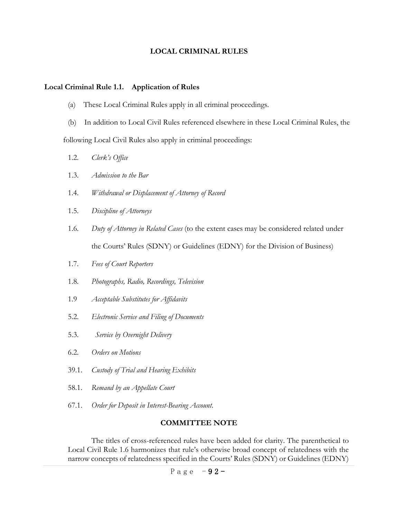## **LOCAL CRIMINAL RULES**

## **Local Criminal Rule 1.1. Application of Rules**

- (a) These Local Criminal Rules apply in all criminal proceedings.
- (b) In addition to Local Civil Rules referenced elsewhere in these Local Criminal Rules, the following Local Civil Rules also apply in criminal proceedings:
	- 1.2. *Clerk's Office*
	- 1.3. *Admission to the Bar*
	- 1.4. *Withdrawal or Displacement of Attorney of Record*
- 1.5. *Discipline of Attorneys*
- 1.6. *Duty of Attorney in Related Cases* (to the extent cases may be considered related under the Courts' Rules (SDNY) or Guidelines (EDNY) for the Division of Business)
- 1.7. *Fees of Court Reporters*
- 1.8. *Photographs, Radio, Recordings, Television*
- 1.9 *Acceptable Substitutes for Affidavits*
- 5.2. *Electronic Service and Filing of Documents*
- 5.3. *Service by Overnight Delivery*
- 6.2. *Orders on Motions*
- 39.1. *Custody of Trial and Hearing Exhibits*
- 58.1. *Remand by an Appellate Court*
- 67.1. *Order for Deposit in Interest-Bearing Account*.

# **COMMITTEE NOTE**

The titles of cross-referenced rules have been added for clarity. The parenthetical to Local Civil Rule 1.6 harmonizes that rule's otherwise broad concept of relatedness with the narrow concepts of relatedness specified in the Courts' Rules (SDNY) or Guidelines (EDNY)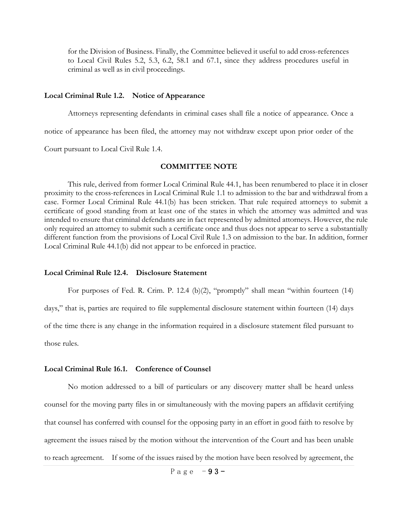for the Division of Business. Finally, the Committee believed it useful to add cross-references to Local Civil Rules 5.2, 5.3, 6.2, 58.1 and 67.1, since they address procedures useful in criminal as well as in civil proceedings.

### **Local Criminal Rule 1.2. Notice of Appearance**

Attorneys representing defendants in criminal cases shall file a notice of appearance. Once a

notice of appearance has been filed, the attorney may not withdraw except upon prior order of the

Court pursuant to Local Civil Rule 1.4.

### **COMMITTEE NOTE**

This rule, derived from former Local Criminal Rule 44.1, has been renumbered to place it in closer proximity to the cross-references in Local Criminal Rule 1.1 to admission to the bar and withdrawal from a case. Former Local Criminal Rule 44.1(b) has been stricken. That rule required attorneys to submit a certificate of good standing from at least one of the states in which the attorney was admitted and was intended to ensure that criminal defendants are in fact represented by admitted attorneys. However, the rule only required an attorney to submit such a certificate once and thus does not appear to serve a substantially different function from the provisions of Local Civil Rule 1.3 on admission to the bar. In addition, former Local Criminal Rule 44.1(b) did not appear to be enforced in practice.

#### **Local Criminal Rule 12.4. Disclosure Statement**

For purposes of Fed. R. Crim. P. 12.4 (b)(2), "promptly" shall mean "within fourteen (14) days," that is, parties are required to file supplemental disclosure statement within fourteen (14) days of the time there is any change in the information required in a disclosure statement filed pursuant to those rules.

## **Local Criminal Rule 16.1. Conference of Counsel**

No motion addressed to a bill of particulars or any discovery matter shall be heard unless counsel for the moving party files in or simultaneously with the moving papers an affidavit certifying that counsel has conferred with counsel for the opposing party in an effort in good faith to resolve by agreement the issues raised by the motion without the intervention of the Court and has been unable to reach agreement. If some of the issues raised by the motion have been resolved by agreement, the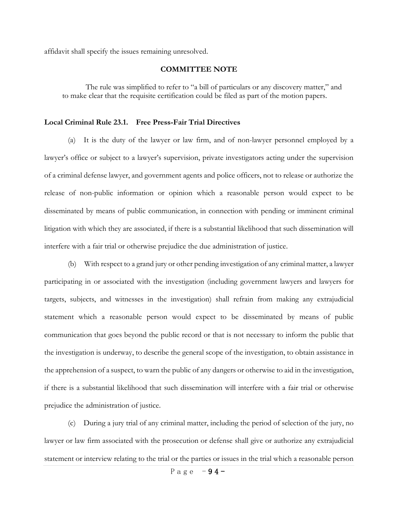affidavit shall specify the issues remaining unresolved.

#### **COMMITTEE NOTE**

The rule was simplified to refer to "a bill of particulars or any discovery matter," and to make clear that the requisite certification could be filed as part of the motion papers.

### **Local Criminal Rule 23.1. Free Press-Fair Trial Directives**

(a) It is the duty of the lawyer or law firm, and of non-lawyer personnel employed by a lawyer's office or subject to a lawyer's supervision, private investigators acting under the supervision of a criminal defense lawyer, and government agents and police officers, not to release or authorize the release of non-public information or opinion which a reasonable person would expect to be disseminated by means of public communication, in connection with pending or imminent criminal litigation with which they are associated, if there is a substantial likelihood that such dissemination will interfere with a fair trial or otherwise prejudice the due administration of justice.

(b) With respect to a grand jury or other pending investigation of any criminal matter, a lawyer participating in or associated with the investigation (including government lawyers and lawyers for targets, subjects, and witnesses in the investigation) shall refrain from making any extrajudicial statement which a reasonable person would expect to be disseminated by means of public communication that goes beyond the public record or that is not necessary to inform the public that the investigation is underway, to describe the general scope of the investigation, to obtain assistance in the apprehension of a suspect, to warn the public of any dangers or otherwise to aid in the investigation, if there is a substantial likelihood that such dissemination will interfere with a fair trial or otherwise prejudice the administration of justice.

(c) During a jury trial of any criminal matter, including the period of selection of the jury, no lawyer or law firm associated with the prosecution or defense shall give or authorize any extrajudicial statement or interview relating to the trial or the parties or issues in the trial which a reasonable person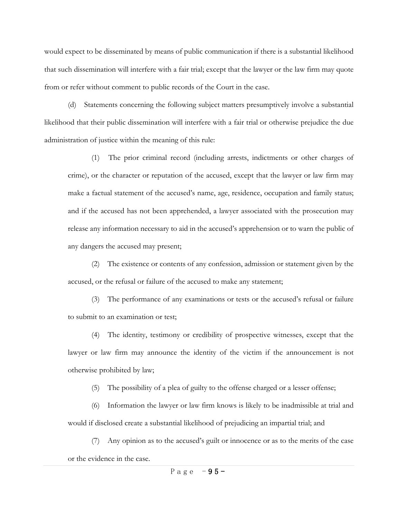would expect to be disseminated by means of public communication if there is a substantial likelihood that such dissemination will interfere with a fair trial; except that the lawyer or the law firm may quote from or refer without comment to public records of the Court in the case.

(d) Statements concerning the following subject matters presumptively involve a substantial likelihood that their public dissemination will interfere with a fair trial or otherwise prejudice the due administration of justice within the meaning of this rule:

(1) The prior criminal record (including arrests, indictments or other charges of crime), or the character or reputation of the accused, except that the lawyer or law firm may make a factual statement of the accused's name, age, residence, occupation and family status; and if the accused has not been apprehended, a lawyer associated with the prosecution may release any information necessary to aid in the accused's apprehension or to warn the public of any dangers the accused may present;

(2) The existence or contents of any confession, admission or statement given by the accused, or the refusal or failure of the accused to make any statement;

(3) The performance of any examinations or tests or the accused's refusal or failure to submit to an examination or test;

(4) The identity, testimony or credibility of prospective witnesses, except that the lawyer or law firm may announce the identity of the victim if the announcement is not otherwise prohibited by law;

(5) The possibility of a plea of guilty to the offense charged or a lesser offense;

(6) Information the lawyer or law firm knows is likely to be inadmissible at trial and would if disclosed create a substantial likelihood of prejudicing an impartial trial; and

(7) Any opinion as to the accused's guilt or innocence or as to the merits of the case or the evidence in the case.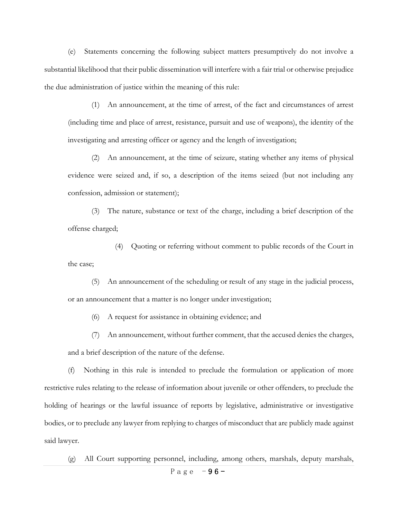(e) Statements concerning the following subject matters presumptively do not involve a substantial likelihood that their public dissemination will interfere with a fair trial or otherwise prejudice the due administration of justice within the meaning of this rule:

(1) An announcement, at the time of arrest, of the fact and circumstances of arrest (including time and place of arrest, resistance, pursuit and use of weapons), the identity of the investigating and arresting officer or agency and the length of investigation;

(2) An announcement, at the time of seizure, stating whether any items of physical evidence were seized and, if so, a description of the items seized (but not including any confession, admission or statement);

(3) The nature, substance or text of the charge, including a brief description of the offense charged;

(4) Quoting or referring without comment to public records of the Court in the case;

(5) An announcement of the scheduling or result of any stage in the judicial process, or an announcement that a matter is no longer under investigation;

(6) A request for assistance in obtaining evidence; and

(7) An announcement, without further comment, that the accused denies the charges, and a brief description of the nature of the defense.

(f) Nothing in this rule is intended to preclude the formulation or application of more restrictive rules relating to the release of information about juvenile or other offenders, to preclude the holding of hearings or the lawful issuance of reports by legislative, administrative or investigative bodies, or to preclude any lawyer from replying to charges of misconduct that are publicly made against said lawyer.

(g) All Court supporting personnel, including, among others, marshals, deputy marshals,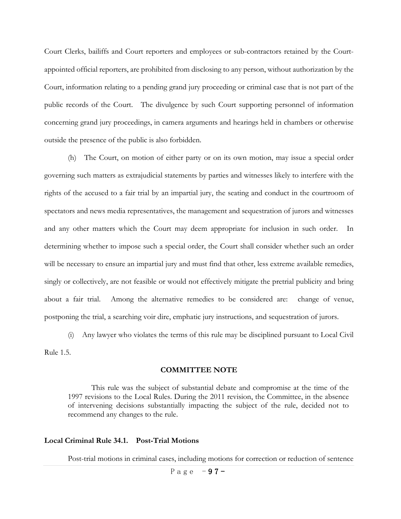Court Clerks, bailiffs and Court reporters and employees or sub-contractors retained by the Courtappointed official reporters, are prohibited from disclosing to any person, without authorization by the Court, information relating to a pending grand jury proceeding or criminal case that is not part of the public records of the Court. The divulgence by such Court supporting personnel of information concerning grand jury proceedings, in camera arguments and hearings held in chambers or otherwise outside the presence of the public is also forbidden.

(h) The Court, on motion of either party or on its own motion, may issue a special order governing such matters as extrajudicial statements by parties and witnesses likely to interfere with the rights of the accused to a fair trial by an impartial jury, the seating and conduct in the courtroom of spectators and news media representatives, the management and sequestration of jurors and witnesses and any other matters which the Court may deem appropriate for inclusion in such order. In determining whether to impose such a special order, the Court shall consider whether such an order will be necessary to ensure an impartial jury and must find that other, less extreme available remedies, singly or collectively, are not feasible or would not effectively mitigate the pretrial publicity and bring about a fair trial. Among the alternative remedies to be considered are: change of venue, postponing the trial, a searching voir dire, emphatic jury instructions, and sequestration of jurors.

(i) Any lawyer who violates the terms of this rule may be disciplined pursuant to Local Civil Rule 1.5.

#### **COMMITTEE NOTE**

This rule was the subject of substantial debate and compromise at the time of the 1997 revisions to the Local Rules. During the 2011 revision, the Committee, in the absence of intervening decisions substantially impacting the subject of the rule, decided not to recommend any changes to the rule.

### **Local Criminal Rule 34.1. Post-Trial Motions**

Post-trial motions in criminal cases, including motions for correction or reduction of sentence

Page  $-97-$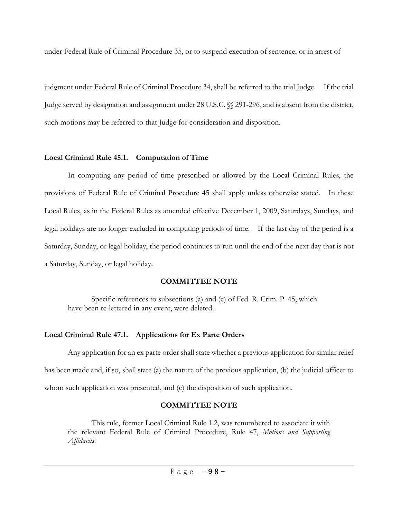under Federal Rule of Criminal Procedure 35, or to suspend execution of sentence, or in arrest of

judgment under Federal Rule of Criminal Procedure 34, shall be referred to the trial Judge. If the trial Judge served by designation and assignment under 28 U.S.C.  $\%$  291-296, and is absent from the district, such motions may be referred to that Judge for consideration and disposition.

# **Local Criminal Rule 45.1. Computation of Time**

In computing any period of time prescribed or allowed by the Local Criminal Rules, the provisions of Federal Rule of Criminal Procedure 45 shall apply unless otherwise stated. In these Local Rules, as in the Federal Rules as amended effective December 1, 2009, Saturdays, Sundays, and legal holidays are no longer excluded in computing periods of time. If the last day of the period is a Saturday, Sunday, or legal holiday, the period continues to run until the end of the next day that is not a Saturday, Sunday, or legal holiday.

# **COMMITTEE NOTE**

Specific references to subsections (a) and (e) of Fed. R. Crim. P. 45, which have been re-lettered in any event, were deleted.

# **Local Criminal Rule 47.1. Applications for Ex Parte Orders**

Any application for an ex parte order shall state whether a previous application for similar relief has been made and, if so, shall state (a) the nature of the previous application, (b) the judicial officer to whom such application was presented, and (c) the disposition of such application.

# **COMMITTEE NOTE**

This rule, former Local Criminal Rule 1.2, was renumbered to associate it with the relevant Federal Rule of Criminal Procedure, Rule 47, *Motions and Supporting Affidavits*.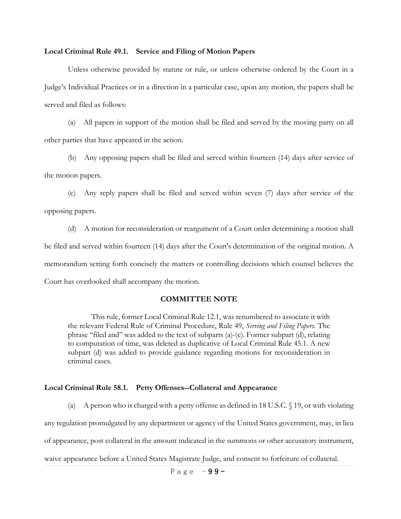### **Local Criminal Rule 49.1. Service and Filing of Motion Papers**

Unless otherwise provided by statute or rule, or unless otherwise ordered by the Court in a Judge's Individual Practices or in a direction in a particular case, upon any motion, the papers shall be served and filed as follows:

(a) All papers in support of the motion shall be filed and served by the moving party on all other parties that have appeared in the action.

(b) Any opposing papers shall be filed and served within fourteen (14) days after service of the motion papers.

(c) Any reply papers shall be filed and served within seven (7) days after service of the opposing papers.

(d) A motion for reconsideration or reargument of a Court order determining a motion shall be filed and served within fourteen (14) days after the Court's determination of the original motion. A memorandum setting forth concisely the matters or controlling decisions which counsel believes the Court has overlooked shall accompany the motion.

## **COMMITTEE NOTE**

This rule, former Local Criminal Rule 12.1, was renumbered to associate it with the relevant Federal Rule of Criminal Procedure, Rule 49, *Serving and Filing Papers*. The phrase "filed and" was added to the text of subparts (a)-(c). Former subpart (d), relating to computation of time, was deleted as duplicative of Local Criminal Rule 45.1. A new subpart (d) was added to provide guidance regarding motions for reconsideration in criminal cases.

## **Local Criminal Rule 58.1. Petty Offenses--Collateral and Appearance**

(a) A person who is charged with a petty offense as defined in 18 U.S.C.  $\$ 19, or with violating

any regulation promulgated by any department or agency of the United States government, may, in lieu

of appearance, post collateral in the amount indicated in the summons or other accusatory instrument,

waive appearance before a United States Magistrate Judge, and consent to forfeiture of collateral.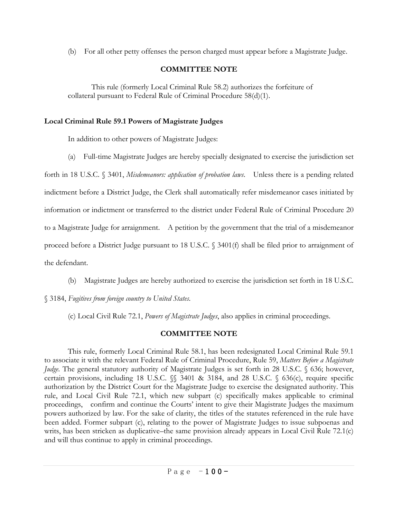(b) For all other petty offenses the person charged must appear before a Magistrate Judge.

# **COMMITTEE NOTE**

This rule (formerly Local Criminal Rule 58.2) authorizes the forfeiture of collateral pursuant to Federal Rule of Criminal Procedure 58(d)(1).

# **Local Criminal Rule 59.1 Powers of Magistrate Judges**

In addition to other powers of Magistrate Judges:

(a) Full-time Magistrate Judges are hereby specially designated to exercise the jurisdiction set

forth in 18 U.S.C. § 3401, *Misdemeanors: application of probation laws*. Unless there is a pending related indictment before a District Judge, the Clerk shall automatically refer misdemeanor cases initiated by information or indictment or transferred to the district under Federal Rule of Criminal Procedure 20 to a Magistrate Judge for arraignment. A petition by the government that the trial of a misdemeanor proceed before a District Judge pursuant to 18 U.S.C. § 3401(f) shall be filed prior to arraignment of

the defendant.

(b) Magistrate Judges are hereby authorized to exercise the jurisdiction set forth in 18 U.S.C.

§ 3184, *Fugitives from foreign country to United States*.

(c) Local Civil Rule 72.1, *Powers of Magistrate Judges*, also applies in criminal proceedings.

# **COMMITTEE NOTE**

This rule, formerly Local Criminal Rule 58.1, has been redesignated Local Criminal Rule 59.1 to associate it with the relevant Federal Rule of Criminal Procedure, Rule 59, *Matters Before a Magistrate Judge*. The general statutory authority of Magistrate Judges is set forth in 28 U.S.C. § 636; however, certain provisions, including 18 U.S.C. §§ 3401 & 3184, and 28 U.S.C. § 636(c), require specific authorization by the District Court for the Magistrate Judge to exercise the designated authority. This rule, and Local Civil Rule 72.1, which new subpart (c) specifically makes applicable to criminal proceedings, confirm and continue the Courts' intent to give their Magistrate Judges the maximum powers authorized by law. For the sake of clarity, the titles of the statutes referenced in the rule have been added. Former subpart (c), relating to the power of Magistrate Judges to issue subpoenas and writs, has been stricken as duplicative–the same provision already appears in Local Civil Rule 72.1(c) and will thus continue to apply in criminal proceedings.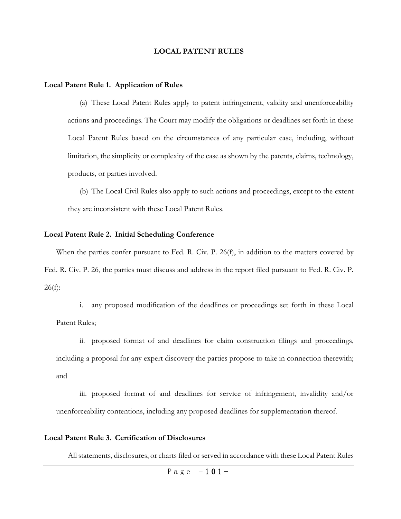#### **LOCAL PATENT RULES**

#### **Local Patent Rule 1. Application of Rules**

(a) These Local Patent Rules apply to patent infringement, validity and unenforceability actions and proceedings. The Court may modify the obligations or deadlines set forth in these Local Patent Rules based on the circumstances of any particular case, including, without limitation, the simplicity or complexity of the case as shown by the patents, claims, technology, products, or parties involved.

(b) The Local Civil Rules also apply to such actions and proceedings, except to the extent they are inconsistent with these Local Patent Rules.

### **Local Patent Rule 2. Initial Scheduling Conference**

When the parties confer pursuant to Fed. R. Civ. P. 26(f), in addition to the matters covered by Fed. R. Civ. P. 26, the parties must discuss and address in the report filed pursuant to Fed. R. Civ. P.  $26(f)$ :

i. any proposed modification of the deadlines or proceedings set forth in these Local Patent Rules;

ii. proposed format of and deadlines for claim construction filings and proceedings, including a proposal for any expert discovery the parties propose to take in connection therewith; and

iii. proposed format of and deadlines for service of infringement, invalidity and/or unenforceability contentions, including any proposed deadlines for supplementation thereof.

#### **Local Patent Rule 3. Certification of Disclosures**

All statements, disclosures, or charts filed or served in accordance with these Local Patent Rules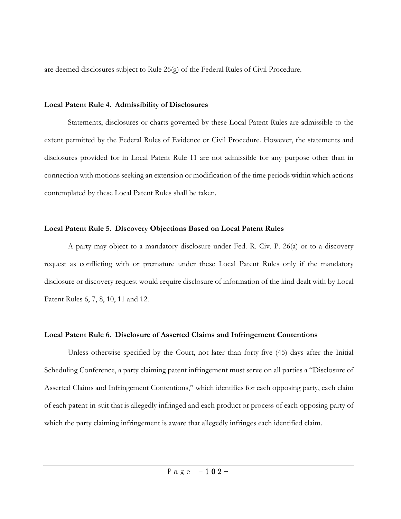are deemed disclosures subject to Rule 26(g) of the Federal Rules of Civil Procedure.

## **Local Patent Rule 4. Admissibility of Disclosures**

Statements, disclosures or charts governed by these Local Patent Rules are admissible to the extent permitted by the Federal Rules of Evidence or Civil Procedure. However, the statements and disclosures provided for in Local Patent Rule 11 are not admissible for any purpose other than in connection with motions seeking an extension or modification of the time periods within which actions contemplated by these Local Patent Rules shall be taken.

# **Local Patent Rule 5. Discovery Objections Based on Local Patent Rules**

A party may object to a mandatory disclosure under Fed. R. Civ. P. 26(a) or to a discovery request as conflicting with or premature under these Local Patent Rules only if the mandatory disclosure or discovery request would require disclosure of information of the kind dealt with by Local Patent Rules 6, 7, 8, 10, 11 and 12.

# **Local Patent Rule 6. Disclosure of Asserted Claims and Infringement Contentions**

Unless otherwise specified by the Court, not later than forty-five (45) days after the Initial Scheduling Conference, a party claiming patent infringement must serve on all parties a "Disclosure of Asserted Claims and Infringement Contentions," which identifies for each opposing party, each claim of each patent-in-suit that is allegedly infringed and each product or process of each opposing party of which the party claiming infringement is aware that allegedly infringes each identified claim.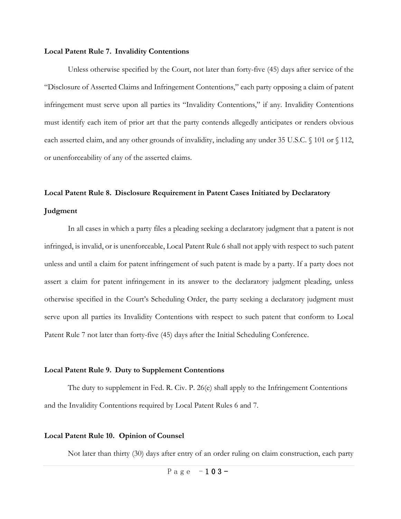### **Local Patent Rule 7. Invalidity Contentions**

Unless otherwise specified by the Court, not later than forty-five (45) days after service of the "Disclosure of Asserted Claims and Infringement Contentions," each party opposing a claim of patent infringement must serve upon all parties its "Invalidity Contentions," if any. Invalidity Contentions must identify each item of prior art that the party contends allegedly anticipates or renders obvious each asserted claim, and any other grounds of invalidity, including any under 35 U.S.C. § 101 or § 112, or unenforceability of any of the asserted claims.

## **Local Patent Rule 8. Disclosure Requirement in Patent Cases Initiated by Declaratory**

#### **Judgment**

In all cases in which a party files a pleading seeking a declaratory judgment that a patent is not infringed, is invalid, or is unenforceable, Local Patent Rule 6 shall not apply with respect to such patent unless and until a claim for patent infringement of such patent is made by a party. If a party does not assert a claim for patent infringement in its answer to the declaratory judgment pleading, unless otherwise specified in the Court's Scheduling Order, the party seeking a declaratory judgment must serve upon all parties its Invalidity Contentions with respect to such patent that conform to Local Patent Rule 7 not later than forty-five (45) days after the Initial Scheduling Conference.

#### **Local Patent Rule 9. Duty to Supplement Contentions**

The duty to supplement in Fed. R. Civ. P. 26(e) shall apply to the Infringement Contentions and the Invalidity Contentions required by Local Patent Rules 6 and 7.

### **Local Patent Rule 10. Opinion of Counsel**

Not later than thirty (30) days after entry of an order ruling on claim construction, each party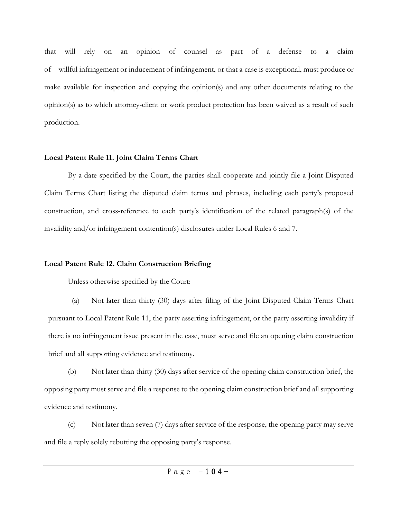that will rely on an opinion of counsel as part of a defense to a claim of willful infringement or inducement of infringement, or that a case is exceptional, must produce or make available for inspection and copying the opinion(s) and any other documents relating to the opinion(s) as to which attorney-client or work product protection has been waived as a result of such production.

## **Local Patent Rule 11. Joint Claim Terms Chart**

By a date specified by the Court, the parties shall cooperate and jointly file a Joint Disputed Claim Terms Chart listing the disputed claim terms and phrases, including each party's proposed construction, and cross-reference to each party's identification of the related paragraph(s) of the invalidity and/or infringement contention(s) disclosures under Local Rules 6 and 7.

## **Local Patent Rule 12. Claim Construction Briefing**

Unless otherwise specified by the Court:

(a) Not later than thirty (30) days after filing of the Joint Disputed Claim Terms Chart pursuant to Local Patent Rule 11, the party asserting infringement, or the party asserting invalidity if there is no infringement issue present in the case, must serve and file an opening claim construction brief and all supporting evidence and testimony.

(b) Not later than thirty (30) days after service of the opening claim construction brief, the opposing party must serve and file a response to the opening claim construction brief and all supporting evidence and testimony.

(c) Not later than seven (7) days after service of the response, the opening party may serve and file a reply solely rebutting the opposing party's response.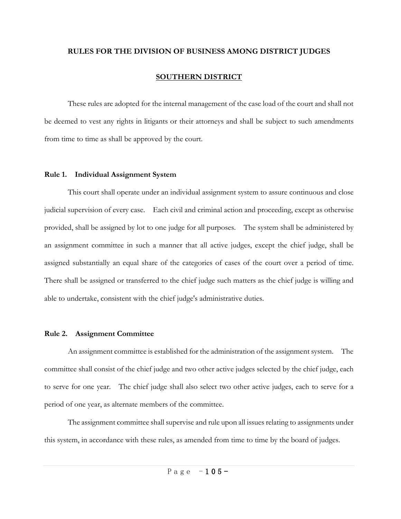## **RULES FOR THE DIVISION OF BUSINESS AMONG DISTRICT JUDGES**

# **SOUTHERN DISTRICT**

These rules are adopted for the internal management of the case load of the court and shall not be deemed to vest any rights in litigants or their attorneys and shall be subject to such amendments from time to time as shall be approved by the court.

## **Rule 1. Individual Assignment System**

This court shall operate under an individual assignment system to assure continuous and close judicial supervision of every case. Each civil and criminal action and proceeding, except as otherwise provided, shall be assigned by lot to one judge for all purposes. The system shall be administered by an assignment committee in such a manner that all active judges, except the chief judge, shall be assigned substantially an equal share of the categories of cases of the court over a period of time. There shall be assigned or transferred to the chief judge such matters as the chief judge is willing and able to undertake, consistent with the chief judge's administrative duties.

# **Rule 2. Assignment Committee**

An assignment committee is established for the administration of the assignment system. The committee shall consist of the chief judge and two other active judges selected by the chief judge, each to serve for one year. The chief judge shall also select two other active judges, each to serve for a period of one year, as alternate members of the committee.

The assignment committee shall supervise and rule upon all issues relating to assignments under this system, in accordance with these rules, as amended from time to time by the board of judges.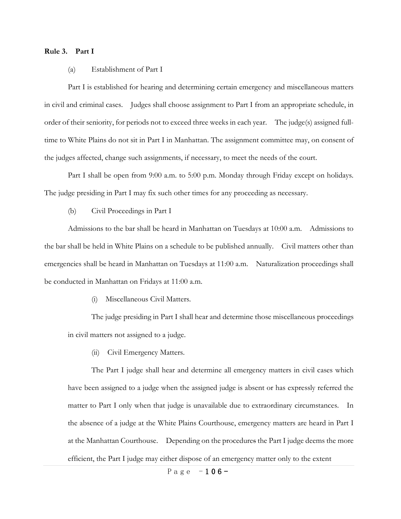### **Rule 3. Part I**

(a) Establishment of Part I

Part I is established for hearing and determining certain emergency and miscellaneous matters in civil and criminal cases. Judges shall choose assignment to Part I from an appropriate schedule, in order of their seniority, for periods not to exceed three weeks in each year. The judge(s) assigned fulltime to White Plains do not sit in Part I in Manhattan. The assignment committee may, on consent of the judges affected, change such assignments, if necessary, to meet the needs of the court.

Part I shall be open from 9:00 a.m. to 5:00 p.m. Monday through Friday except on holidays. The judge presiding in Part I may fix such other times for any proceeding as necessary.

(b) Civil Proceedings in Part I

Admissions to the bar shall be heard in Manhattan on Tuesdays at 10:00 a.m. Admissions to the bar shall be held in White Plains on a schedule to be published annually. Civil matters other than emergencies shall be heard in Manhattan on Tuesdays at 11:00 a.m. Naturalization proceedings shall be conducted in Manhattan on Fridays at 11:00 a.m.

(i) Miscellaneous Civil Matters.

The judge presiding in Part I shall hear and determine those miscellaneous proceedings in civil matters not assigned to a judge.

(ii) Civil Emergency Matters.

The Part I judge shall hear and determine all emergency matters in civil cases which have been assigned to a judge when the assigned judge is absent or has expressly referred the matter to Part I only when that judge is unavailable due to extraordinary circumstances. In the absence of a judge at the White Plains Courthouse, emergency matters are heard in Part I at the Manhattan Courthouse. Depending on the procedures the Part I judge deems the more efficient, the Part I judge may either dispose of an emergency matter only to the extent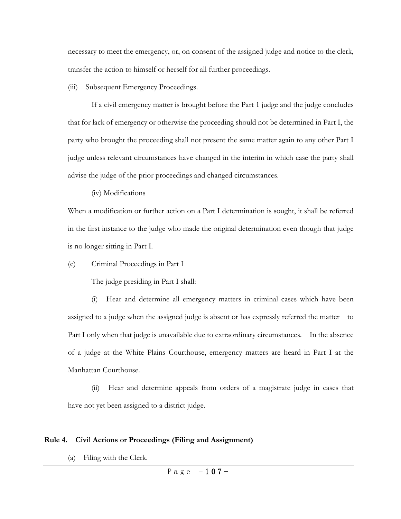necessary to meet the emergency, or, on consent of the assigned judge and notice to the clerk, transfer the action to himself or herself for all further proceedings.

(iii) Subsequent Emergency Proceedings.

If a civil emergency matter is brought before the Part 1 judge and the judge concludes that for lack of emergency or otherwise the proceeding should not be determined in Part I, the party who brought the proceeding shall not present the same matter again to any other Part I judge unless relevant circumstances have changed in the interim in which case the party shall advise the judge of the prior proceedings and changed circumstances.

(iv) Modifications

When a modification or further action on a Part I determination is sought, it shall be referred in the first instance to the judge who made the original determination even though that judge is no longer sitting in Part I.

(c) Criminal Proceedings in Part I

The judge presiding in Part I shall:

(i) Hear and determine all emergency matters in criminal cases which have been assigned to a judge when the assigned judge is absent or has expressly referred the matter to Part I only when that judge is unavailable due to extraordinary circumstances. In the absence of a judge at the White Plains Courthouse, emergency matters are heard in Part I at the Manhattan Courthouse.

 (ii) Hear and determine appeals from orders of a magistrate judge in cases that have not yet been assigned to a district judge.

### **Rule 4. Civil Actions or Proceedings (Filing and Assignment)**

(a) Filing with the Clerk.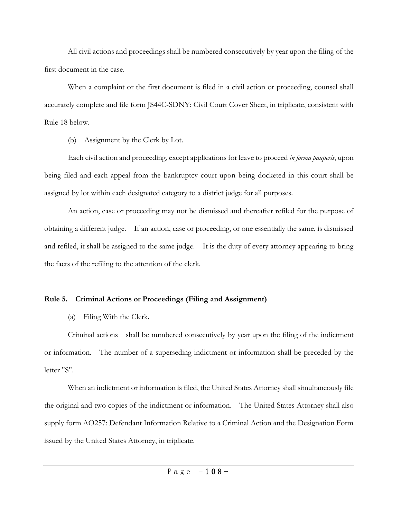All civil actions and proceedings shall be numbered consecutively by year upon the filing of the first document in the case.

When a complaint or the first document is filed in a civil action or proceeding, counsel shall accurately complete and file form JS44C-SDNY: Civil Court Cover Sheet, in triplicate, consistent with Rule 18 below.

(b) Assignment by the Clerk by Lot.

 Each civil action and proceeding, except applications for leave to proceed *in forma pauperis*, upon being filed and each appeal from the bankruptcy court upon being docketed in this court shall be assigned by lot within each designated category to a district judge for all purposes.

An action, case or proceeding may not be dismissed and thereafter refiled for the purpose of obtaining a different judge. If an action, case or proceeding, or one essentially the same, is dismissed and refiled, it shall be assigned to the same judge. It is the duty of every attorney appearing to bring the facts of the refiling to the attention of the clerk.

# **Rule 5. Criminal Actions or Proceedings (Filing and Assignment)**

(a) Filing With the Clerk.

Criminal actions shall be numbered consecutively by year upon the filing of the indictment or information. The number of a superseding indictment or information shall be preceded by the letter "S".

When an indictment or information is filed, the United States Attorney shall simultaneously file the original and two copies of the indictment or information. The United States Attorney shall also supply form AO257: Defendant Information Relative to a Criminal Action and the Designation Form issued by the United States Attorney, in triplicate.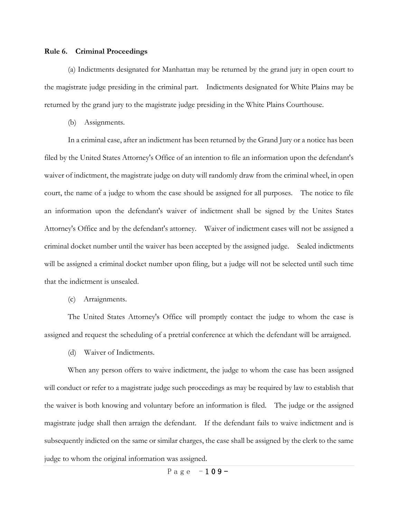#### **Rule 6. Criminal Proceedings**

(a) Indictments designated for Manhattan may be returned by the grand jury in open court to the magistrate judge presiding in the criminal part. Indictments designated for White Plains may be returned by the grand jury to the magistrate judge presiding in the White Plains Courthouse.

(b) Assignments.

In a criminal case, after an indictment has been returned by the Grand Jury or a notice has been filed by the United States Attorney's Office of an intention to file an information upon the defendant's waiver of indictment, the magistrate judge on duty will randomly draw from the criminal wheel, in open court, the name of a judge to whom the case should be assigned for all purposes. The notice to file an information upon the defendant's waiver of indictment shall be signed by the Unites States Attorney's Office and by the defendant's attorney. Waiver of indictment cases will not be assigned a criminal docket number until the waiver has been accepted by the assigned judge. Sealed indictments will be assigned a criminal docket number upon filing, but a judge will not be selected until such time that the indictment is unsealed.

(c) Arraignments.

The United States Attorney's Office will promptly contact the judge to whom the case is assigned and request the scheduling of a pretrial conference at which the defendant will be arraigned.

(d) Waiver of Indictments.

When any person offers to waive indictment, the judge to whom the case has been assigned will conduct or refer to a magistrate judge such proceedings as may be required by law to establish that the waiver is both knowing and voluntary before an information is filed. The judge or the assigned magistrate judge shall then arraign the defendant. If the defendant fails to waive indictment and is subsequently indicted on the same or similar charges, the case shall be assigned by the clerk to the same judge to whom the original information was assigned.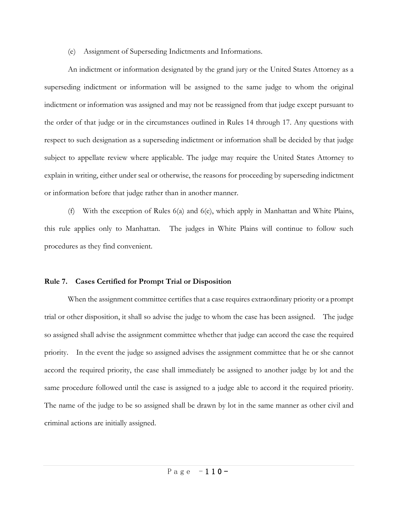## (e) Assignment of Superseding Indictments and Informations.

An indictment or information designated by the grand jury or the United States Attorney as a superseding indictment or information will be assigned to the same judge to whom the original indictment or information was assigned and may not be reassigned from that judge except pursuant to the order of that judge or in the circumstances outlined in Rules 14 through 17. Any questions with respect to such designation as a superseding indictment or information shall be decided by that judge subject to appellate review where applicable. The judge may require the United States Attorney to explain in writing, either under seal or otherwise, the reasons for proceeding by superseding indictment or information before that judge rather than in another manner.

(f) With the exception of Rules 6(a) and 6(e), which apply in Manhattan and White Plains, this rule applies only to Manhattan. The judges in White Plains will continue to follow such procedures as they find convenient.

## **Rule 7. Cases Certified for Prompt Trial or Disposition**

When the assignment committee certifies that a case requires extraordinary priority or a prompt trial or other disposition, it shall so advise the judge to whom the case has been assigned. The judge so assigned shall advise the assignment committee whether that judge can accord the case the required priority. In the event the judge so assigned advises the assignment committee that he or she cannot accord the required priority, the case shall immediately be assigned to another judge by lot and the same procedure followed until the case is assigned to a judge able to accord it the required priority. The name of the judge to be so assigned shall be drawn by lot in the same manner as other civil and criminal actions are initially assigned.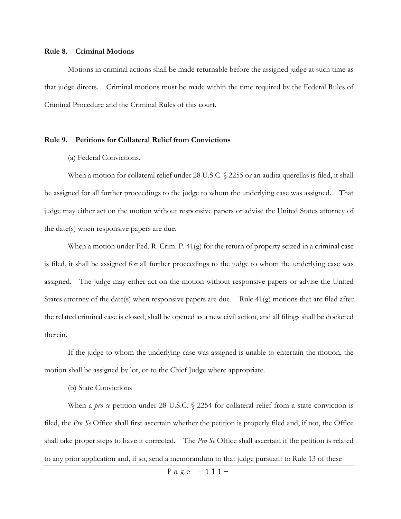#### **Rule 8. Criminal Motions**

Motions in criminal actions shall be made returnable before the assigned judge at such time as that judge directs. Criminal motions must be made within the time required by the Federal Rules of Criminal Procedure and the Criminal Rules of this court.

### **Rule 9. Petitions for Collateral Relief from Convictions**

#### (a) Federal Convictions.

When a motion for collateral relief under 28 U.S.C.  $\&$  2255 or an audita querellas is filed, it shall be assigned for all further proceedings to the judge to whom the underlying case was assigned. That judge may either act on the motion without responsive papers or advise the United States attorney of the date(s) when responsive papers are due.

When a motion under Fed. R. Crim. P. 41(g) for the return of property seized in a criminal case is filed, it shall be assigned for all further proceedings to the judge to whom the underlying case was assigned. The judge may either act on the motion without responsive papers or advise the United States attorney of the date(s) when responsive papers are due. Rule 41(g) motions that are filed after the related criminal case is closed, shall be opened as a new civil action, and all filings shall be docketed therein.

If the judge to whom the underlying case was assigned is unable to entertain the motion, the motion shall be assigned by lot, or to the Chief Judge where appropriate.

### (b) State Convictions

When a *pro se* petition under 28 U.S.C.  $\sqrt{2254}$  for collateral relief from a state conviction is filed, the *Pro Se* Office shall first ascertain whether the petition is properly filed and, if not, the Office shall take proper steps to have it corrected. The *Pro Se* Office shall ascertain if the petition is related to any prior application and, if so, send a memorandum to that judge pursuant to Rule 13 of these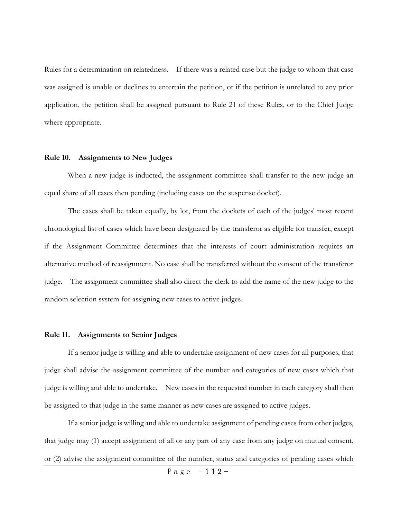Rules for a determination on relatedness. If there was a related case but the judge to whom that case was assigned is unable or declines to entertain the petition, or if the petition is unrelated to any prior application, the petition shall be assigned pursuant to Rule 21 of these Rules, or to the Chief Judge where appropriate.

#### **Rule 10. Assignments to New Judges**

When a new judge is inducted, the assignment committee shall transfer to the new judge an equal share of all cases then pending (including cases on the suspense docket).

The cases shall be taken equally, by lot, from the dockets of each of the judges' most recent chronological list of cases which have been designated by the transferor as eligible for transfer, except if the Assignment Committee determines that the interests of court administration requires an alternative method of reassignment. No case shall be transferred without the consent of the transferor judge. The assignment committee shall also direct the clerk to add the name of the new judge to the random selection system for assigning new cases to active judges.

### **Rule 11. Assignments to Senior Judges**

If a senior judge is willing and able to undertake assignment of new cases for all purposes, that judge shall advise the assignment committee of the number and categories of new cases which that judge is willing and able to undertake. New cases in the requested number in each category shall then be assigned to that judge in the same manner as new cases are assigned to active judges.

If a senior judge is willing and able to undertake assignment of pending cases from other judges, that judge may (1) accept assignment of all or any part of any case from any judge on mutual consent, or (2) advise the assignment committee of the number, status and categories of pending cases which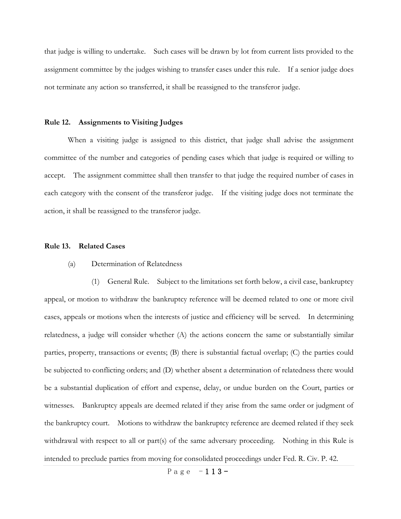that judge is willing to undertake. Such cases will be drawn by lot from current lists provided to the assignment committee by the judges wishing to transfer cases under this rule. If a senior judge does not terminate any action so transferred, it shall be reassigned to the transferor judge.

### **Rule 12. Assignments to Visiting Judges**

When a visiting judge is assigned to this district, that judge shall advise the assignment committee of the number and categories of pending cases which that judge is required or willing to accept. The assignment committee shall then transfer to that judge the required number of cases in each category with the consent of the transferor judge. If the visiting judge does not terminate the action, it shall be reassigned to the transferor judge.

### **Rule 13. Related Cases**

#### (a) Determination of Relatedness

(1) General Rule. Subject to the limitations set forth below, a civil case, bankruptcy appeal, or motion to withdraw the bankruptcy reference will be deemed related to one or more civil cases, appeals or motions when the interests of justice and efficiency will be served. In determining relatedness, a judge will consider whether (A) the actions concern the same or substantially similar parties, property, transactions or events; (B) there is substantial factual overlap; (C) the parties could be subjected to conflicting orders; and (D) whether absent a determination of relatedness there would be a substantial duplication of effort and expense, delay, or undue burden on the Court, parties or witnesses. Bankruptcy appeals are deemed related if they arise from the same order or judgment of the bankruptcy court. Motions to withdraw the bankruptcy reference are deemed related if they seek withdrawal with respect to all or part(s) of the same adversary proceeding. Nothing in this Rule is intended to preclude parties from moving for consolidated proceedings under Fed. R. Civ. P. 42.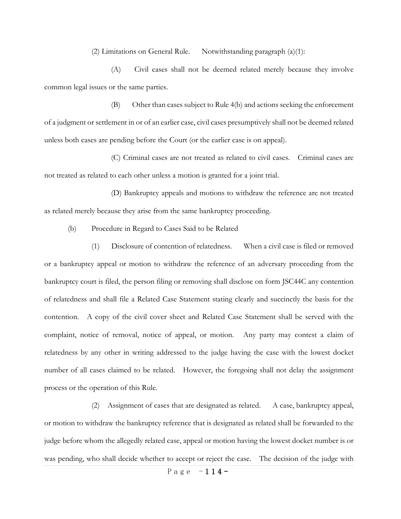(2) Limitations on General Rule. Notwithstanding paragraph (a)(1):

 (A) Civil cases shall not be deemed related merely because they involve common legal issues or the same parties.

 (B) Other than cases subject to Rule 4(b) and actions seeking the enforcement of a judgment or settlement in or of an earlier case, civil cases presumptively shall not be deemed related unless both cases are pending before the Court (or the earlier case is on appeal).

 (C) Criminal cases are not treated as related to civil cases. Criminal cases are not treated as related to each other unless a motion is granted for a joint trial.

 (D) Bankruptcy appeals and motions to withdraw the reference are not treated as related merely because they arise from the same bankruptcy proceeding.

(b) Procedure in Regard to Cases Said to be Related

(1) Disclosure of contention of relatedness. When a civil case is filed or removed or a bankruptcy appeal or motion to withdraw the reference of an adversary proceeding from the bankruptcy court is filed, the person filing or removing shall disclose on form JSC44C any contention of relatedness and shall file a Related Case Statement stating clearly and succinctly the basis for the contention. A copy of the civil cover sheet and Related Case Statement shall be served with the complaint, notice of removal, notice of appeal, or motion. Any party may contest a claim of relatedness by any other in writing addressed to the judge having the case with the lowest docket number of all cases claimed to be related. However, the foregoing shall not delay the assignment process or the operation of this Rule.

(2) Assignment of cases that are designated as related. A case, bankruptcy appeal, or motion to withdraw the bankruptcy reference that is designated as related shall be forwarded to the judge before whom the allegedly related case, appeal or motion having the lowest docket number is or was pending, who shall decide whether to accept or reject the case. The decision of the judge with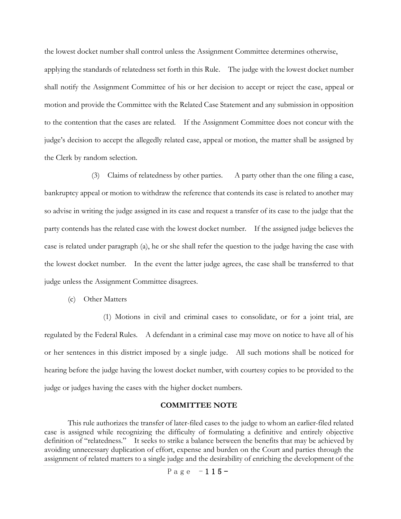the lowest docket number shall control unless the Assignment Committee determines otherwise,

applying the standards of relatedness set forth in this Rule. The judge with the lowest docket number shall notify the Assignment Committee of his or her decision to accept or reject the case, appeal or motion and provide the Committee with the Related Case Statement and any submission in opposition to the contention that the cases are related. If the Assignment Committee does not concur with the judge's decision to accept the allegedly related case, appeal or motion, the matter shall be assigned by the Clerk by random selection.

(3) Claims of relatedness by other parties. A party other than the one filing a case, bankruptcy appeal or motion to withdraw the reference that contends its case is related to another may so advise in writing the judge assigned in its case and request a transfer of its case to the judge that the party contends has the related case with the lowest docket number. If the assigned judge believes the case is related under paragraph (a), he or she shall refer the question to the judge having the case with the lowest docket number. In the event the latter judge agrees, the case shall be transferred to that judge unless the Assignment Committee disagrees.

(c) Other Matters

 (1) Motions in civil and criminal cases to consolidate, or for a joint trial, are regulated by the Federal Rules. A defendant in a criminal case may move on notice to have all of his or her sentences in this district imposed by a single judge. All such motions shall be noticed for hearing before the judge having the lowest docket number, with courtesy copies to be provided to the judge or judges having the cases with the higher docket numbers.

# **COMMITTEE NOTE**

This rule authorizes the transfer of later-filed cases to the judge to whom an earlier-filed related case is assigned while recognizing the difficulty of formulating a definitive and entirely objective definition of "relatedness." It seeks to strike a balance between the benefits that may be achieved by avoiding unnecessary duplication of effort, expense and burden on the Court and parties through the assignment of related matters to a single judge and the desirability of enriching the development of the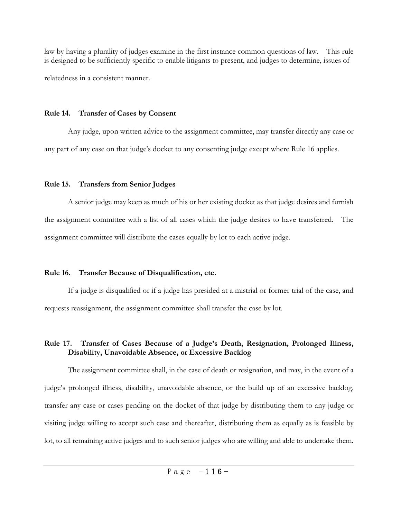law by having a plurality of judges examine in the first instance common questions of law. This rule is designed to be sufficiently specific to enable litigants to present, and judges to determine, issues of

relatedness in a consistent manner.

# **Rule 14. Transfer of Cases by Consent**

Any judge, upon written advice to the assignment committee, may transfer directly any case or any part of any case on that judge's docket to any consenting judge except where Rule 16 applies.

# **Rule 15. Transfers from Senior Judges**

A senior judge may keep as much of his or her existing docket as that judge desires and furnish the assignment committee with a list of all cases which the judge desires to have transferred. The assignment committee will distribute the cases equally by lot to each active judge.

# **Rule 16. Transfer Because of Disqualification, etc.**

If a judge is disqualified or if a judge has presided at a mistrial or former trial of the case, and requests reassignment, the assignment committee shall transfer the case by lot.

# **Rule 17. Transfer of Cases Because of a Judge's Death, Resignation, Prolonged Illness, Disability, Unavoidable Absence, or Excessive Backlog**

The assignment committee shall, in the case of death or resignation, and may, in the event of a judge's prolonged illness, disability, unavoidable absence, or the build up of an excessive backlog, transfer any case or cases pending on the docket of that judge by distributing them to any judge or visiting judge willing to accept such case and thereafter, distributing them as equally as is feasible by lot, to all remaining active judges and to such senior judges who are willing and able to undertake them.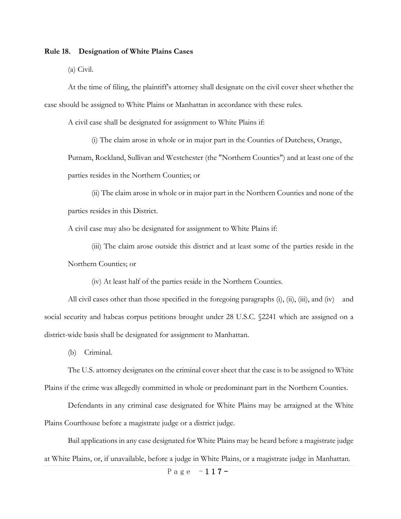#### **Rule 18. Designation of White Plains Cases**

(a) Civil.

At the time of filing, the plaintiff's attorney shall designate on the civil cover sheet whether the case should be assigned to White Plains or Manhattan in accordance with these rules.

A civil case shall be designated for assignment to White Plains if:

(i) The claim arose in whole or in major part in the Counties of Dutchess, Orange,

Putnam, Rockland, Sullivan and Westchester (the "Northern Counties") and at least one of the parties resides in the Northern Counties; or

(ii) The claim arose in whole or in major part in the Northern Counties and none of the parties resides in this District.

A civil case may also be designated for assignment to White Plains if:

(iii) The claim arose outside this district and at least some of the parties reside in the Northern Counties; or

(iv) At least half of the parties reside in the Northern Counties.

All civil cases other than those specified in the foregoing paragraphs (i), (ii), (iii), and (iv) and social security and habeas corpus petitions brought under 28 U.S.C. §2241 which are assigned on a district-wide basis shall be designated for assignment to Manhattan.

(b) Criminal.

The U.S. attorney designates on the criminal cover sheet that the case is to be assigned to White Plains if the crime was allegedly committed in whole or predominant part in the Northern Counties.

Defendants in any criminal case designated for White Plains may be arraigned at the White Plains Courthouse before a magistrate judge or a district judge.

Bail applications in any case designated for White Plains may be heard before a magistrate judge at White Plains, or, if unavailable, before a judge in White Plains, or a magistrate judge in Manhattan.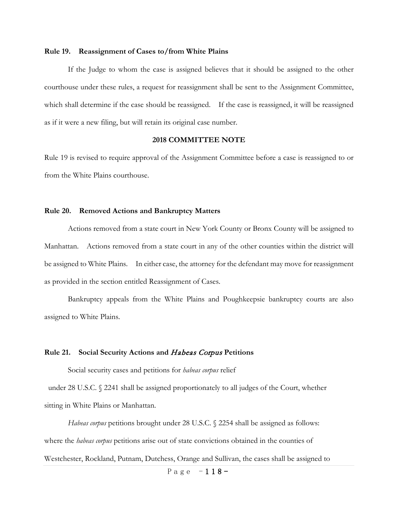#### **Rule 19. Reassignment of Cases to/from White Plains**

If the Judge to whom the case is assigned believes that it should be assigned to the other courthouse under these rules, a request for reassignment shall be sent to the Assignment Committee, which shall determine if the case should be reassigned. If the case is reassigned, it will be reassigned as if it were a new filing, but will retain its original case number.

### **2018 COMMITTEE NOTE**

Rule 19 is revised to require approval of the Assignment Committee before a case is reassigned to or from the White Plains courthouse.

#### **Rule 20. Removed Actions and Bankruptcy Matters**

Actions removed from a state court in New York County or Bronx County will be assigned to Manhattan. Actions removed from a state court in any of the other counties within the district will be assigned to White Plains. In either case, the attorney for the defendant may move for reassignment as provided in the section entitled Reassignment of Cases.

Bankruptcy appeals from the White Plains and Poughkeepsie bankruptcy courts are also assigned to White Plains.

#### **Rule 21. Social Security Actions and** Habeas Corpus **Petitions**

Social security cases and petitions for *habeas corpus* relief

under 28 U.S.C. § 2241 shall be assigned proportionately to all judges of the Court, whether sitting in White Plains or Manhattan.

*Habeas corpus* petitions brought under 28 U.S.C. § 2254 shall be assigned as follows: where the *habeas corpus* petitions arise out of state convictions obtained in the counties of Westchester, Rockland, Putnam, Dutchess, Orange and Sullivan, the cases shall be assigned to

 $P$  a g e  $-118$  -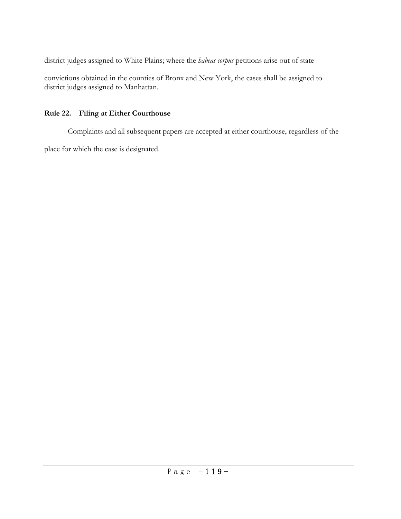district judges assigned to White Plains; where the *habeas corpus* petitions arise out of state

convictions obtained in the counties of Bronx and New York, the cases shall be assigned to district judges assigned to Manhattan.

# **Rule 22. Filing at Either Courthouse**

Complaints and all subsequent papers are accepted at either courthouse, regardless of the place for which the case is designated.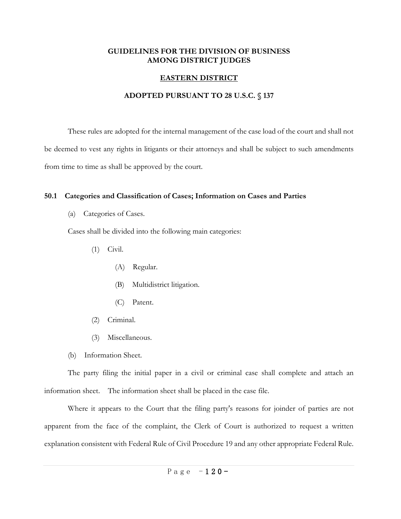# **GUIDELINES FOR THE DIVISION OF BUSINESS AMONG DISTRICT JUDGES**

# **EASTERN DISTRICT**

# **ADOPTED PURSUANT TO 28 U.S.C. § 137**

These rules are adopted for the internal management of the case load of the court and shall not be deemed to vest any rights in litigants or their attorneys and shall be subject to such amendments from time to time as shall be approved by the court.

# **50.1 Categories and Classification of Cases; Information on Cases and Parties**

(a) Categories of Cases.

Cases shall be divided into the following main categories:

- (1) Civil.
	- (A) Regular.
	- (B) Multidistrict litigation.
	- (C) Patent.
- (2) Criminal.
- (3) Miscellaneous.
- (b) Information Sheet.

 The party filing the initial paper in a civil or criminal case shall complete and attach an information sheet. The information sheet shall be placed in the case file.

Where it appears to the Court that the filing party's reasons for joinder of parties are not apparent from the face of the complaint, the Clerk of Court is authorized to request a written explanation consistent with Federal Rule of Civil Procedure 19 and any other appropriate Federal Rule.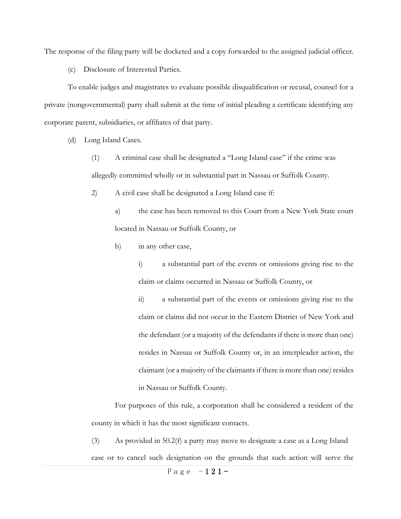The response of the filing party will be docketed and a copy forwarded to the assigned judicial officer.

(c) Disclosure of Interested Parties.

To enable judges and magistrates to evaluate possible disqualification or recusal, counsel for a private (nongovernmental) party shall submit at the time of initial pleading a certificate identifying any corporate parent, subsidiaries, or affiliates of that party.

(d) Long Island Cases.

(1) A criminal case shall be designated a "Long Island case" if the crime was allegedly committed wholly or in substantial part in Nassau or Suffolk County.

2) A civil case shall be designated a Long Island case if:

a) the case has been removed to this Court from a New York State court located in Nassau or Suffolk County, or

b) in any other case,

i) a substantial part of the events or omissions giving rise to the claim or claims occurred in Nassau or Suffolk County, or

ii) a substantial part of the events or omissions giving rise to the claim or claims did not occur in the Eastern District of New York and the defendant (or a majority of the defendants if there is more than one) resides in Nassau or Suffolk County or, in an interpleader action, the claimant (or a majority of the claimants if there is more than one) resides in Nassau or Suffolk County.

For purposes of this rule, a corporation shall be considered a resident of the county in which it has the most significant contacts.

(3) As provided in 50.2(f) a party may move to designate a case as a Long Island case or to cancel such designation on the grounds that such action will serve the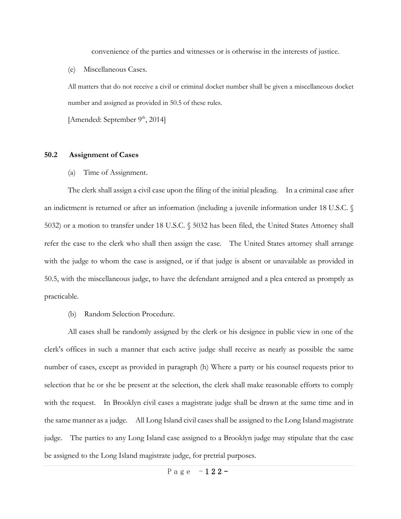convenience of the parties and witnesses or is otherwise in the interests of justice.

(e) Miscellaneous Cases.

All matters that do not receive a civil or criminal docket number shall be given a miscellaneous docket number and assigned as provided in 50.5 of these rules.

[Amended: September 9<sup>th</sup>, 2014]

### **50.2 Assignment of Cases**

(a) Time of Assignment.

The clerk shall assign a civil case upon the filing of the initial pleading. In a criminal case after an indictment is returned or after an information (including a juvenile information under 18 U.S.C. § 5032) or a motion to transfer under 18 U.S.C. § 5032 has been filed, the United States Attorney shall refer the case to the clerk who shall then assign the case. The United States attorney shall arrange with the judge to whom the case is assigned, or if that judge is absent or unavailable as provided in 50.5, with the miscellaneous judge, to have the defendant arraigned and a plea entered as promptly as practicable.

(b) Random Selection Procedure.

All cases shall be randomly assigned by the clerk or his designee in public view in one of the clerk's offices in such a manner that each active judge shall receive as nearly as possible the same number of cases, except as provided in paragraph (h) Where a party or his counsel requests prior to selection that he or she be present at the selection, the clerk shall make reasonable efforts to comply with the request. In Brooklyn civil cases a magistrate judge shall be drawn at the same time and in the same manner as a judge. All Long Island civil cases shall be assigned to the Long Island magistrate judge. The parties to any Long Island case assigned to a Brooklyn judge may stipulate that the case be assigned to the Long Island magistrate judge, for pretrial purposes.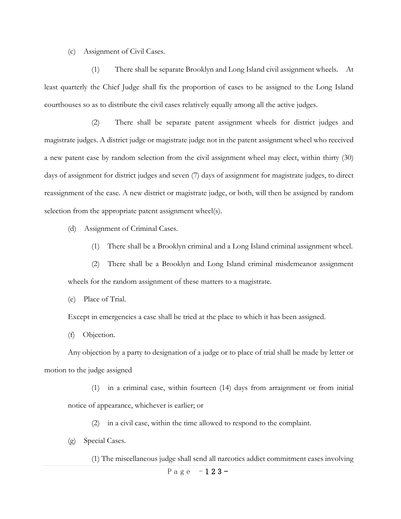(c) Assignment of Civil Cases.

(1) There shall be separate Brooklyn and Long Island civil assignment wheels. At least quarterly the Chief Judge shall fix the proportion of cases to be assigned to the Long Island courthouses so as to distribute the civil cases relatively equally among all the active judges.

(2) There shall be separate patent assignment wheels for district judges and magistrate judges. A district judge or magistrate judge not in the patent assignment wheel who received a new patent case by random selection from the civil assignment wheel may elect, within thirty (30) days of assignment for district judges and seven (7) days of assignment for magistrate judges, to direct reassignment of the case. A new district or magistrate judge, or both, will then be assigned by random selection from the appropriate patent assignment wheel(s).

(d) Assignment of Criminal Cases.

(1) There shall be a Brooklyn criminal and a Long Island criminal assignment wheel.

(2) There shall be a Brooklyn and Long Island criminal misdemeanor assignment wheels for the random assignment of these matters to a magistrate.

(e) Place of Trial.

Except in emergencies a case shall be tried at the place to which it has been assigned.

(f) Objection.

Any objection by a party to designation of a judge or to place of trial shall be made by letter or motion to the judge assigned

(1) in a criminal case, within fourteen (14) days from arraignment or from initial notice of appearance, whichever is earlier; or

(2) in a civil case, within the time allowed to respond to the complaint.

(g) Special Cases.

(1) The miscellaneous judge shall send all narcotics addict commitment cases involving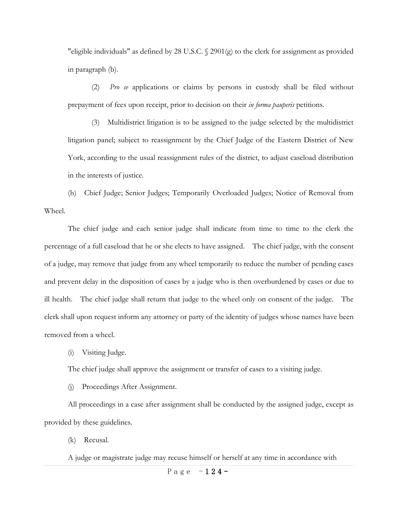"eligible individuals" as defined by 28 U.S.C. § 2901(g) to the clerk for assignment as provided in paragraph (b).

(2) *Pro se* applications or claims by persons in custody shall be filed without prepayment of fees upon receipt, prior to decision on their *in forma pauperis* petitions.

(3) Multidistrict litigation is to be assigned to the judge selected by the multidistrict litigation panel; subject to reassignment by the Chief Judge of the Eastern District of New York, according to the usual reassignment rules of the district, to adjust caseload distribution in the interests of justice.

(h) Chief Judge; Senior Judges; Temporarily Overloaded Judges; Notice of Removal from Wheel.

The chief judge and each senior judge shall indicate from time to time to the clerk the percentage of a full caseload that he or she elects to have assigned. The chief judge, with the consent of a judge, may remove that judge from any wheel temporarily to reduce the number of pending cases and prevent delay in the disposition of cases by a judge who is then overburdened by cases or due to ill health. The chief judge shall return that judge to the wheel only on consent of the judge. The clerk shall upon request inform any attorney or party of the identity of judges whose names have been removed from a wheel.

(i) Visiting Judge.

The chief judge shall approve the assignment or transfer of cases to a visiting judge.

(j) Proceedings After Assignment.

All proceedings in a case after assignment shall be conducted by the assigned judge, except as provided by these guidelines.

(k) Recusal.

A judge or magistrate judge may recuse himself or herself at any time in accordance with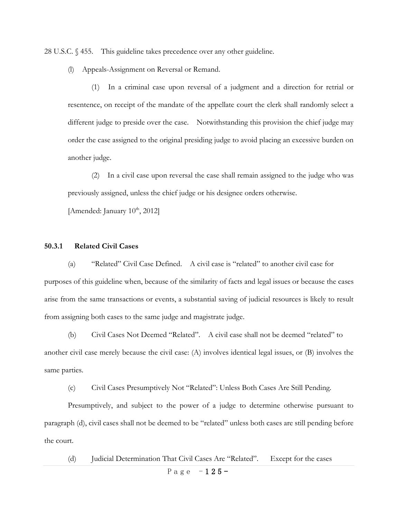28 U.S.C. § 455. This guideline takes precedence over any other guideline.

(l) Appeals-Assignment on Reversal or Remand.

(1) In a criminal case upon reversal of a judgment and a direction for retrial or resentence, on receipt of the mandate of the appellate court the clerk shall randomly select a different judge to preside over the case. Notwithstanding this provision the chief judge may order the case assigned to the original presiding judge to avoid placing an excessive burden on another judge.

(2) In a civil case upon reversal the case shall remain assigned to the judge who was previously assigned, unless the chief judge or his designee orders otherwise.

[Amended: January  $10^{th}$ , 2012]

### **50.3.1 Related Civil Cases**

(a) "Related" Civil Case Defined. A civil case is "related" to another civil case for purposes of this guideline when, because of the similarity of facts and legal issues or because the cases arise from the same transactions or events, a substantial saving of judicial resources is likely to result from assigning both cases to the same judge and magistrate judge.

(b) Civil Cases Not Deemed "Related". A civil case shall not be deemed "related" to another civil case merely because the civil case: (A) involves identical legal issues, or (B) involves the same parties.

(c)Civil Cases Presumptively Not "Related": Unless Both Cases Are Still Pending.

Presumptively, and subject to the power of a judge to determine otherwise pursuant to paragraph (d), civil cases shall not be deemed to be "related" unless both cases are still pending before the court.

(d) Judicial Determination That Civil Cases Are "Related". Except for the cases

Page  $-125-$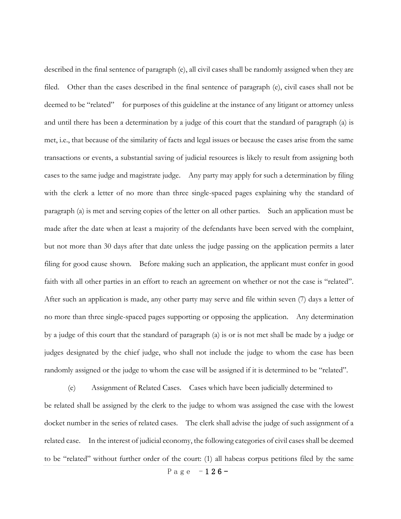described in the final sentence of paragraph (e), all civil cases shall be randomly assigned when they are filed. Other than the cases described in the final sentence of paragraph (e), civil cases shall not be deemed to be "related" for purposes of this guideline at the instance of any litigant or attorney unless and until there has been a determination by a judge of this court that the standard of paragraph (a) is met, i.e., that because of the similarity of facts and legal issues or because the cases arise from the same transactions or events, a substantial saving of judicial resources is likely to result from assigning both cases to the same judge and magistrate judge. Any party may apply for such a determination by filing with the clerk a letter of no more than three single-spaced pages explaining why the standard of paragraph (a) is met and serving copies of the letter on all other parties. Such an application must be made after the date when at least a majority of the defendants have been served with the complaint, but not more than 30 days after that date unless the judge passing on the application permits a later filing for good cause shown. Before making such an application, the applicant must confer in good faith with all other parties in an effort to reach an agreement on whether or not the case is "related". After such an application is made, any other party may serve and file within seven (7) days a letter of no more than three single-spaced pages supporting or opposing the application. Any determination by a judge of this court that the standard of paragraph (a) is or is not met shall be made by a judge or judges designated by the chief judge, who shall not include the judge to whom the case has been randomly assigned or the judge to whom the case will be assigned if it is determined to be "related".

(e) Assignment of Related Cases. Cases which have been judicially determined to be related shall be assigned by the clerk to the judge to whom was assigned the case with the lowest docket number in the series of related cases. The clerk shall advise the judge of such assignment of a related case. In the interest of judicial economy, the following categories of civil cases shall be deemed to be "related" without further order of the court: (1) all habeas corpus petitions filed by the same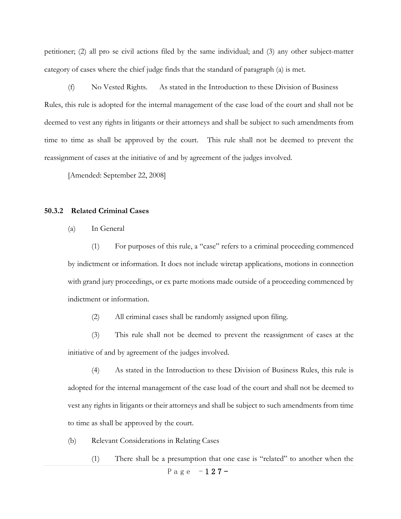petitioner; (2) all pro se civil actions filed by the same individual; and (3) any other subject-matter category of cases where the chief judge finds that the standard of paragraph (a) is met.

(f) No Vested Rights. As stated in the Introduction to these Division of Business Rules, this rule is adopted for the internal management of the case load of the court and shall not be deemed to vest any rights in litigants or their attorneys and shall be subject to such amendments from time to time as shall be approved by the court. This rule shall not be deemed to prevent the reassignment of cases at the initiative of and by agreement of the judges involved.

[Amended: September 22, 2008]

## **50.3.2 Related Criminal Cases**

(a) In General

(1) For purposes of this rule, a "case" refers to a criminal proceeding commenced by indictment or information. It does not include wiretap applications, motions in connection with grand jury proceedings, or ex parte motions made outside of a proceeding commenced by indictment or information.

(2) All criminal cases shall be randomly assigned upon filing.

(3) This rule shall not be deemed to prevent the reassignment of cases at the initiative of and by agreement of the judges involved.

(4) As stated in the Introduction to these Division of Business Rules, this rule is adopted for the internal management of the case load of the court and shall not be deemed to vest any rights in litigants or their attorneys and shall be subject to such amendments from time to time as shall be approved by the court.

- (b) Relevant Considerations in Relating Cases
	- (1) There shall be a presumption that one case is "related" to another when the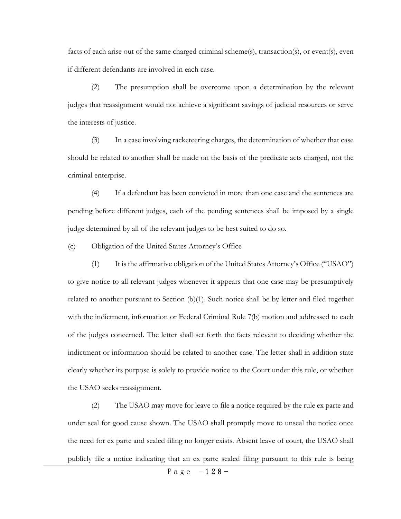facts of each arise out of the same charged criminal scheme(s), transaction(s), or event(s), even if different defendants are involved in each case.

(2) The presumption shall be overcome upon a determination by the relevant judges that reassignment would not achieve a significant savings of judicial resources or serve the interests of justice.

(3) In a case involving racketeering charges, the determination of whether that case should be related to another shall be made on the basis of the predicate acts charged, not the criminal enterprise.

(4) If a defendant has been convicted in more than one case and the sentences are pending before different judges, each of the pending sentences shall be imposed by a single judge determined by all of the relevant judges to be best suited to do so.

(c) Obligation of the United States Attorney's Office

(1) It is the affirmative obligation of the United States Attorney's Office ("USAO") to give notice to all relevant judges whenever it appears that one case may be presumptively related to another pursuant to Section (b)(1). Such notice shall be by letter and filed together with the indictment, information or Federal Criminal Rule 7(b) motion and addressed to each of the judges concerned. The letter shall set forth the facts relevant to deciding whether the indictment or information should be related to another case. The letter shall in addition state clearly whether its purpose is solely to provide notice to the Court under this rule, or whether the USAO seeks reassignment.

(2) The USAO may move for leave to file a notice required by the rule ex parte and under seal for good cause shown. The USAO shall promptly move to unseal the notice once the need for ex parte and sealed filing no longer exists. Absent leave of court, the USAO shall publicly file a notice indicating that an ex parte sealed filing pursuant to this rule is being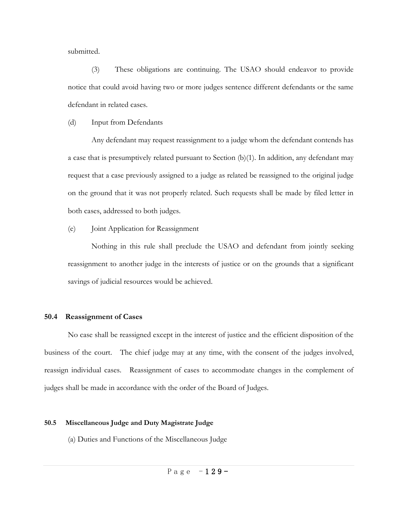submitted.

(3) These obligations are continuing. The USAO should endeavor to provide notice that could avoid having two or more judges sentence different defendants or the same defendant in related cases.

(d) Input from Defendants

Any defendant may request reassignment to a judge whom the defendant contends has a case that is presumptively related pursuant to Section  $(b)(1)$ . In addition, any defendant may request that a case previously assigned to a judge as related be reassigned to the original judge on the ground that it was not properly related. Such requests shall be made by filed letter in both cases, addressed to both judges.

(e) Joint Application for Reassignment

Nothing in this rule shall preclude the USAO and defendant from jointly seeking reassignment to another judge in the interests of justice or on the grounds that a significant savings of judicial resources would be achieved.

# **50.4 Reassignment of Cases**

No case shall be reassigned except in the interest of justice and the efficient disposition of the business of the court. The chief judge may at any time, with the consent of the judges involved, reassign individual cases. Reassignment of cases to accommodate changes in the complement of judges shall be made in accordance with the order of the Board of Judges.

# **50.5 Miscellaneous Judge and Duty Magistrate Judge**

(a) Duties and Functions of the Miscellaneous Judge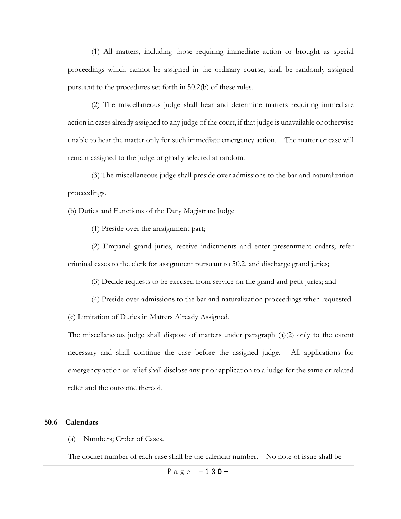(1) All matters, including those requiring immediate action or brought as special proceedings which cannot be assigned in the ordinary course, shall be randomly assigned pursuant to the procedures set forth in 50.2(b) of these rules.

(2) The miscellaneous judge shall hear and determine matters requiring immediate action in cases already assigned to any judge of the court, if that judge is unavailable or otherwise unable to hear the matter only for such immediate emergency action. The matter or case will remain assigned to the judge originally selected at random.

(3) The miscellaneous judge shall preside over admissions to the bar and naturalization proceedings.

(b) Duties and Functions of the Duty Magistrate Judge

(1) Preside over the arraignment part;

(2) Empanel grand juries, receive indictments and enter presentment orders, refer criminal cases to the clerk for assignment pursuant to 50.2, and discharge grand juries;

(3) Decide requests to be excused from service on the grand and petit juries; and

(4) Preside over admissions to the bar and naturalization proceedings when requested.

(c) Limitation of Duties in Matters Already Assigned.

The miscellaneous judge shall dispose of matters under paragraph (a)(2) only to the extent necessary and shall continue the case before the assigned judge. All applications for emergency action or relief shall disclose any prior application to a judge for the same or related relief and the outcome thereof.

### **50.6 Calendars**

(a) Numbers; Order of Cases.

The docket number of each case shall be the calendar number. No note of issue shall be